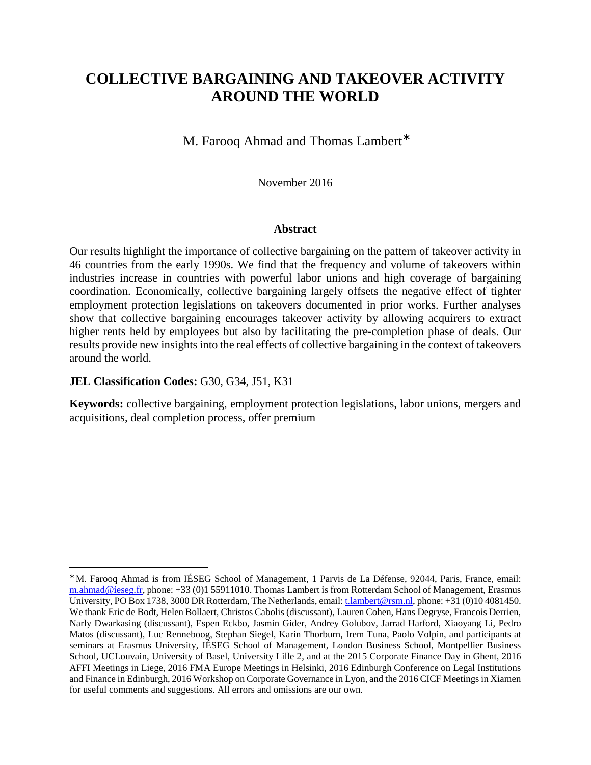# **COLLECTIVE BARGAINING AND TAKEOVER ACTIVITY AROUND THE WORLD**

M. Farooq Ahmad and Thomas Lambert<sup>\*</sup>

November 2016

## **Abstract**

Our results highlight the importance of collective bargaining on the pattern of takeover activity in 46 countries from the early 1990s. We find that the frequency and volume of takeovers within industries increase in countries with powerful labor unions and high coverage of bargaining coordination. Economically, collective bargaining largely offsets the negative effect of tighter employment protection legislations on takeovers documented in prior works. Further analyses show that collective bargaining encourages takeover activity by allowing acquirers to extract higher rents held by employees but also by facilitating the pre-completion phase of deals. Our results provide new insights into the real effects of collective bargaining in the context of takeovers around the world.

# **JEL Classification Codes:** G30, G34, J51, K31

 $\overline{a}$ 

**Keywords:** collective bargaining, employment protection legislations, labor unions, mergers and acquisitions, deal completion process, offer premium

<sup>∗</sup> M. Farooq Ahmad is from IÉSEG School of Management, 1 Parvis de La Défense, 92044, Paris, France, email: m.ahmad@ieseg.fr, phone: +33 (0)1 55911010. Thomas Lambert is from Rotterdam School of Management, Erasmus University, PO Box 1738, 3000 DR Rotterdam, The Netherlands, email: t.lambert@rsm.nl, phone: +31 (0)10 4081450. We thank Eric de Bodt, Helen Bollaert, Christos Cabolis (discussant), Lauren Cohen, Hans Degryse, Francois Derrien, Narly Dwarkasing (discussant), Espen Eckbo, Jasmin Gider, Andrey Golubov, Jarrad Harford, Xiaoyang Li, Pedro Matos (discussant), Luc Renneboog, Stephan Siegel, Karin Thorburn, Irem Tuna, Paolo Volpin, and participants at seminars at Erasmus University, IÉSEG School of Management, London Business School, Montpellier Business School, UCLouvain, University of Basel, University Lille 2, and at the 2015 Corporate Finance Day in Ghent, 2016 AFFI Meetings in Liege, 2016 FMA Europe Meetings in Helsinki, 2016 Edinburgh Conference on Legal Institutions and Finance in Edinburgh, 2016 Workshop on Corporate Governance in Lyon, and the 2016 CICF Meetings in Xiamen for useful comments and suggestions. All errors and omissions are our own.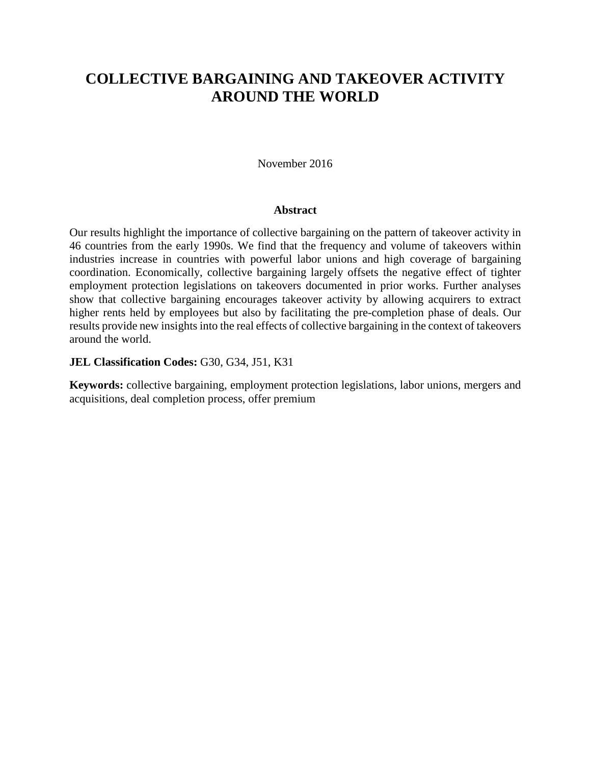# **COLLECTIVE BARGAINING AND TAKEOVER ACTIVITY AROUND THE WORLD**

## November 2016

## **Abstract**

Our results highlight the importance of collective bargaining on the pattern of takeover activity in 46 countries from the early 1990s. We find that the frequency and volume of takeovers within industries increase in countries with powerful labor unions and high coverage of bargaining coordination. Economically, collective bargaining largely offsets the negative effect of tighter employment protection legislations on takeovers documented in prior works. Further analyses show that collective bargaining encourages takeover activity by allowing acquirers to extract higher rents held by employees but also by facilitating the pre-completion phase of deals. Our results provide new insights into the real effects of collective bargaining in the context of takeovers around the world.

# **JEL Classification Codes:** G30, G34, J51, K31

**Keywords:** collective bargaining, employment protection legislations, labor unions, mergers and acquisitions, deal completion process, offer premium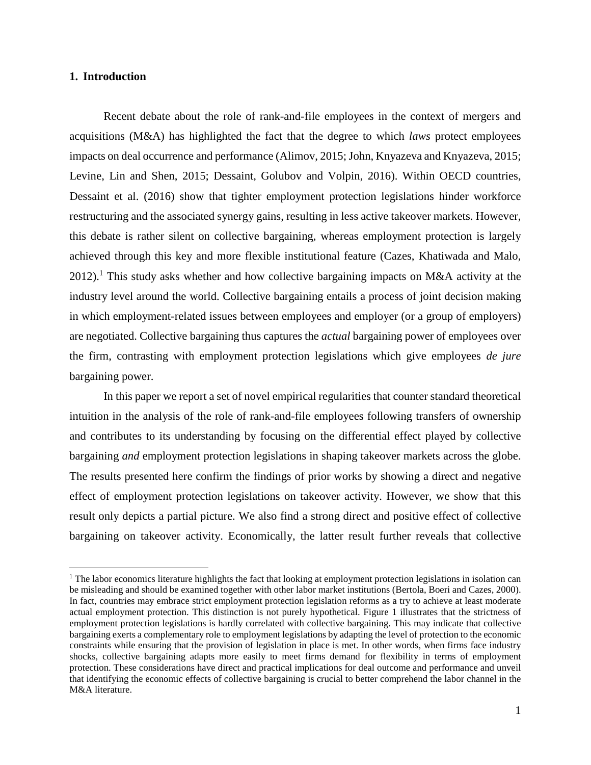## **1. Introduction**

 $\overline{a}$ 

Recent debate about the role of rank-and-file employees in the context of mergers and acquisitions (M&A) has highlighted the fact that the degree to which *laws* protect employees impacts on deal occurrence and performance (Alimov, 2015; John, Knyazeva and Knyazeva, 2015; Levine, Lin and Shen, 2015; Dessaint, Golubov and Volpin, 2016). Within OECD countries, Dessaint et al. (2016) show that tighter employment protection legislations hinder workforce restructuring and the associated synergy gains, resulting in less active takeover markets. However, this debate is rather silent on collective bargaining, whereas employment protection is largely achieved through this key and more flexible institutional feature (Cazes, Khatiwada and Malo, 2012).<sup>1</sup> This study asks whether and how collective bargaining impacts on M&A activity at the industry level around the world. Collective bargaining entails a process of joint decision making in which employment-related issues between employees and employer (or a group of employers) are negotiated. Collective bargaining thus captures the *actual* bargaining power of employees over the firm, contrasting with employment protection legislations which give employees *de jure* bargaining power.

In this paper we report a set of novel empirical regularities that counter standard theoretical intuition in the analysis of the role of rank-and-file employees following transfers of ownership and contributes to its understanding by focusing on the differential effect played by collective bargaining *and* employment protection legislations in shaping takeover markets across the globe. The results presented here confirm the findings of prior works by showing a direct and negative effect of employment protection legislations on takeover activity. However, we show that this result only depicts a partial picture. We also find a strong direct and positive effect of collective bargaining on takeover activity. Economically, the latter result further reveals that collective

<sup>&</sup>lt;sup>1</sup> The labor economics literature highlights the fact that looking at employment protection legislations in isolation can be misleading and should be examined together with other labor market institutions (Bertola, Boeri and Cazes, 2000). In fact, countries may embrace strict employment protection legislation reforms as a try to achieve at least moderate actual employment protection. This distinction is not purely hypothetical. Figure 1 illustrates that the strictness of employment protection legislations is hardly correlated with collective bargaining. This may indicate that collective bargaining exerts a complementary role to employment legislations by adapting the level of protection to the economic constraints while ensuring that the provision of legislation in place is met. In other words, when firms face industry shocks, collective bargaining adapts more easily to meet firms demand for flexibility in terms of employment protection. These considerations have direct and practical implications for deal outcome and performance and unveil that identifying the economic effects of collective bargaining is crucial to better comprehend the labor channel in the M&A literature.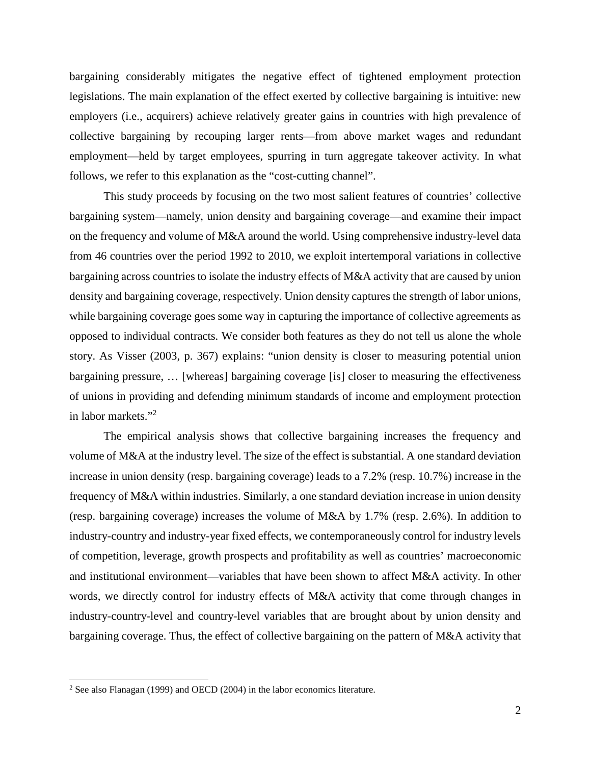bargaining considerably mitigates the negative effect of tightened employment protection legislations. The main explanation of the effect exerted by collective bargaining is intuitive: new employers (i.e., acquirers) achieve relatively greater gains in countries with high prevalence of collective bargaining by recouping larger rents—from above market wages and redundant employment—held by target employees, spurring in turn aggregate takeover activity. In what follows, we refer to this explanation as the "cost-cutting channel".

This study proceeds by focusing on the two most salient features of countries' collective bargaining system—namely, union density and bargaining coverage—and examine their impact on the frequency and volume of M&A around the world. Using comprehensive industry-level data from 46 countries over the period 1992 to 2010, we exploit intertemporal variations in collective bargaining across countries to isolate the industry effects of M&A activity that are caused by union density and bargaining coverage, respectively. Union density captures the strength of labor unions, while bargaining coverage goes some way in capturing the importance of collective agreements as opposed to individual contracts. We consider both features as they do not tell us alone the whole story. As Visser (2003, p. 367) explains: "union density is closer to measuring potential union bargaining pressure, … [whereas] bargaining coverage [is] closer to measuring the effectiveness of unions in providing and defending minimum standards of income and employment protection in labor markets."<sup>2</sup>

The empirical analysis shows that collective bargaining increases the frequency and volume of M&A at the industry level. The size of the effect is substantial. A one standard deviation increase in union density (resp. bargaining coverage) leads to a 7.2% (resp. 10.7%) increase in the frequency of M&A within industries. Similarly, a one standard deviation increase in union density (resp. bargaining coverage) increases the volume of M&A by 1.7% (resp. 2.6%). In addition to industry-country and industry-year fixed effects, we contemporaneously control for industry levels of competition, leverage, growth prospects and profitability as well as countries' macroeconomic and institutional environment—variables that have been shown to affect M&A activity. In other words, we directly control for industry effects of M&A activity that come through changes in industry-country-level and country-level variables that are brought about by union density and bargaining coverage. Thus, the effect of collective bargaining on the pattern of M&A activity that

<sup>2</sup> See also Flanagan (1999) and OECD (2004) in the labor economics literature.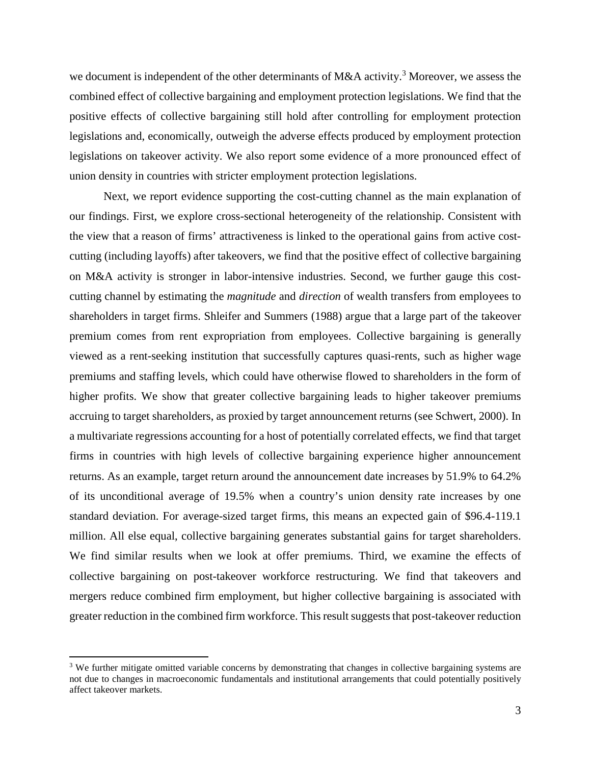we document is independent of the other determinants of M&A activity.<sup>3</sup> Moreover, we assess the combined effect of collective bargaining and employment protection legislations. We find that the positive effects of collective bargaining still hold after controlling for employment protection legislations and, economically, outweigh the adverse effects produced by employment protection legislations on takeover activity. We also report some evidence of a more pronounced effect of union density in countries with stricter employment protection legislations.

Next, we report evidence supporting the cost-cutting channel as the main explanation of our findings. First, we explore cross-sectional heterogeneity of the relationship. Consistent with the view that a reason of firms' attractiveness is linked to the operational gains from active costcutting (including layoffs) after takeovers, we find that the positive effect of collective bargaining on M&A activity is stronger in labor-intensive industries. Second, we further gauge this costcutting channel by estimating the *magnitude* and *direction* of wealth transfers from employees to shareholders in target firms. Shleifer and Summers (1988) argue that a large part of the takeover premium comes from rent expropriation from employees. Collective bargaining is generally viewed as a rent-seeking institution that successfully captures quasi-rents, such as higher wage premiums and staffing levels, which could have otherwise flowed to shareholders in the form of higher profits. We show that greater collective bargaining leads to higher takeover premiums accruing to target shareholders, as proxied by target announcement returns (see Schwert, 2000). In a multivariate regressions accounting for a host of potentially correlated effects, we find that target firms in countries with high levels of collective bargaining experience higher announcement returns. As an example, target return around the announcement date increases by 51.9% to 64.2% of its unconditional average of 19.5% when a country's union density rate increases by one standard deviation. For average-sized target firms, this means an expected gain of \$96.4-119.1 million. All else equal, collective bargaining generates substantial gains for target shareholders. We find similar results when we look at offer premiums. Third, we examine the effects of collective bargaining on post-takeover workforce restructuring. We find that takeovers and mergers reduce combined firm employment, but higher collective bargaining is associated with greater reduction in the combined firm workforce. This result suggests that post-takeover reduction

<sup>&</sup>lt;sup>3</sup> We further mitigate omitted variable concerns by demonstrating that changes in collective bargaining systems are not due to changes in macroeconomic fundamentals and institutional arrangements that could potentially positively affect takeover markets.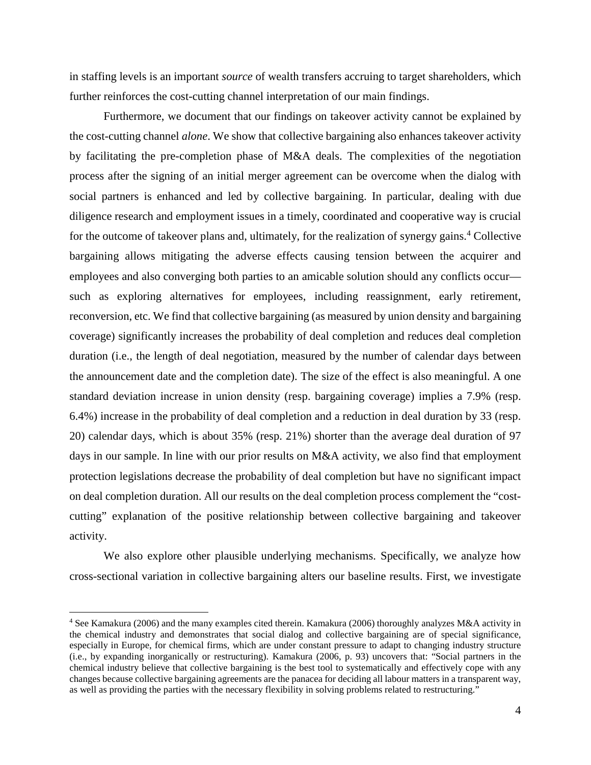in staffing levels is an important *source* of wealth transfers accruing to target shareholders, which further reinforces the cost-cutting channel interpretation of our main findings.

Furthermore, we document that our findings on takeover activity cannot be explained by the cost-cutting channel *alone*. We show that collective bargaining also enhances takeover activity by facilitating the pre-completion phase of M&A deals. The complexities of the negotiation process after the signing of an initial merger agreement can be overcome when the dialog with social partners is enhanced and led by collective bargaining. In particular, dealing with due diligence research and employment issues in a timely, coordinated and cooperative way is crucial for the outcome of takeover plans and, ultimately, for the realization of synergy gains.<sup>4</sup> Collective bargaining allows mitigating the adverse effects causing tension between the acquirer and employees and also converging both parties to an amicable solution should any conflicts occur such as exploring alternatives for employees, including reassignment, early retirement, reconversion, etc. We find that collective bargaining (as measured by union density and bargaining coverage) significantly increases the probability of deal completion and reduces deal completion duration (i.e., the length of deal negotiation, measured by the number of calendar days between the announcement date and the completion date). The size of the effect is also meaningful. A one standard deviation increase in union density (resp. bargaining coverage) implies a 7.9% (resp. 6.4%) increase in the probability of deal completion and a reduction in deal duration by 33 (resp. 20) calendar days, which is about 35% (resp. 21%) shorter than the average deal duration of 97 days in our sample. In line with our prior results on M&A activity, we also find that employment protection legislations decrease the probability of deal completion but have no significant impact on deal completion duration. All our results on the deal completion process complement the "costcutting" explanation of the positive relationship between collective bargaining and takeover activity.

We also explore other plausible underlying mechanisms. Specifically, we analyze how cross-sectional variation in collective bargaining alters our baseline results. First, we investigate

<sup>&</sup>lt;sup>4</sup> See Kamakura (2006) and the many examples cited therein. Kamakura (2006) thoroughly analyzes M&A activity in the chemical industry and demonstrates that social dialog and collective bargaining are of special significance, especially in Europe, for chemical firms, which are under constant pressure to adapt to changing industry structure (i.e., by expanding inorganically or restructuring). Kamakura (2006, p. 93) uncovers that: "Social partners in the chemical industry believe that collective bargaining is the best tool to systematically and effectively cope with any changes because collective bargaining agreements are the panacea for deciding all labour matters in a transparent way, as well as providing the parties with the necessary flexibility in solving problems related to restructuring."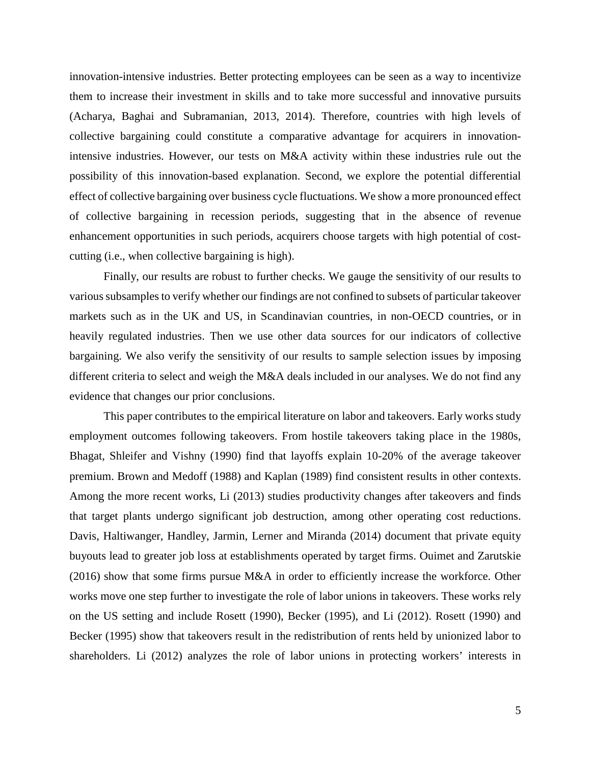innovation-intensive industries. Better protecting employees can be seen as a way to incentivize them to increase their investment in skills and to take more successful and innovative pursuits (Acharya, Baghai and Subramanian, 2013, 2014). Therefore, countries with high levels of collective bargaining could constitute a comparative advantage for acquirers in innovationintensive industries. However, our tests on M&A activity within these industries rule out the possibility of this innovation-based explanation. Second, we explore the potential differential effect of collective bargaining over business cycle fluctuations. We show a more pronounced effect of collective bargaining in recession periods, suggesting that in the absence of revenue enhancement opportunities in such periods, acquirers choose targets with high potential of costcutting (i.e., when collective bargaining is high).

Finally, our results are robust to further checks. We gauge the sensitivity of our results to various subsamples to verify whether our findings are not confined to subsets of particular takeover markets such as in the UK and US, in Scandinavian countries, in non-OECD countries, or in heavily regulated industries. Then we use other data sources for our indicators of collective bargaining. We also verify the sensitivity of our results to sample selection issues by imposing different criteria to select and weigh the M&A deals included in our analyses. We do not find any evidence that changes our prior conclusions.

This paper contributes to the empirical literature on labor and takeovers. Early works study employment outcomes following takeovers. From hostile takeovers taking place in the 1980s, Bhagat, Shleifer and Vishny (1990) find that layoffs explain 10-20% of the average takeover premium. Brown and Medoff (1988) and Kaplan (1989) find consistent results in other contexts. Among the more recent works, Li (2013) studies productivity changes after takeovers and finds that target plants undergo significant job destruction, among other operating cost reductions. Davis, Haltiwanger, Handley, Jarmin, Lerner and Miranda (2014) document that private equity buyouts lead to greater job loss at establishments operated by target firms. Ouimet and Zarutskie (2016) show that some firms pursue M&A in order to efficiently increase the workforce. Other works move one step further to investigate the role of labor unions in takeovers. These works rely on the US setting and include Rosett (1990), Becker (1995), and Li (2012). Rosett (1990) and Becker (1995) show that takeovers result in the redistribution of rents held by unionized labor to shareholders. Li (2012) analyzes the role of labor unions in protecting workers' interests in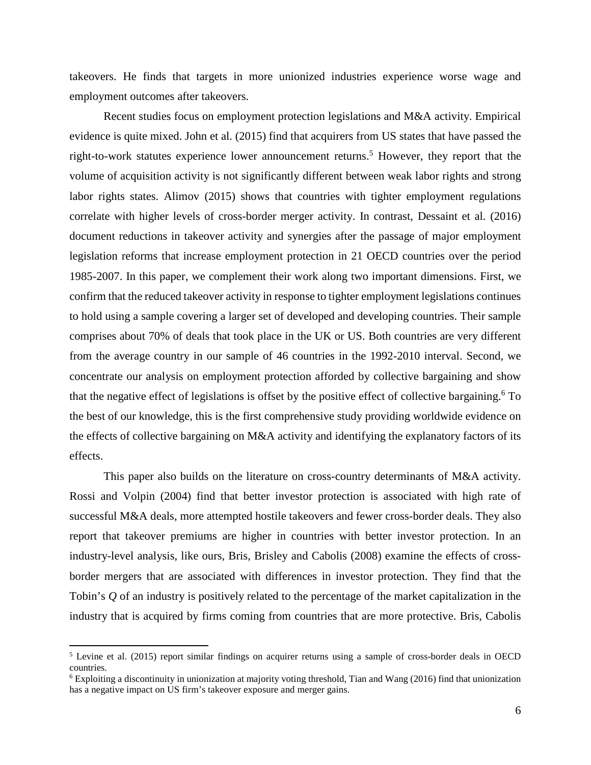takeovers. He finds that targets in more unionized industries experience worse wage and employment outcomes after takeovers.

Recent studies focus on employment protection legislations and M&A activity. Empirical evidence is quite mixed. John et al. (2015) find that acquirers from US states that have passed the right-to-work statutes experience lower announcement returns.<sup>5</sup> However, they report that the volume of acquisition activity is not significantly different between weak labor rights and strong labor rights states. Alimov (2015) shows that countries with tighter employment regulations correlate with higher levels of cross-border merger activity. In contrast, Dessaint et al. (2016) document reductions in takeover activity and synergies after the passage of major employment legislation reforms that increase employment protection in 21 OECD countries over the period 1985-2007. In this paper, we complement their work along two important dimensions. First, we confirm that the reduced takeover activity in response to tighter employment legislations continues to hold using a sample covering a larger set of developed and developing countries. Their sample comprises about 70% of deals that took place in the UK or US. Both countries are very different from the average country in our sample of 46 countries in the 1992-2010 interval. Second, we concentrate our analysis on employment protection afforded by collective bargaining and show that the negative effect of legislations is offset by the positive effect of collective bargaining.<sup>6</sup> To the best of our knowledge, this is the first comprehensive study providing worldwide evidence on the effects of collective bargaining on M&A activity and identifying the explanatory factors of its effects.

This paper also builds on the literature on cross-country determinants of M&A activity. Rossi and Volpin (2004) find that better investor protection is associated with high rate of successful M&A deals, more attempted hostile takeovers and fewer cross-border deals. They also report that takeover premiums are higher in countries with better investor protection. In an industry-level analysis, like ours, Bris, Brisley and Cabolis (2008) examine the effects of crossborder mergers that are associated with differences in investor protection. They find that the Tobin's *Q* of an industry is positively related to the percentage of the market capitalization in the industry that is acquired by firms coming from countries that are more protective. Bris, Cabolis

<sup>&</sup>lt;sup>5</sup> Levine et al. (2015) report similar findings on acquirer returns using a sample of cross-border deals in OECD countries.

<sup>&</sup>lt;sup>6</sup> Exploiting a discontinuity in unionization at majority voting threshold, Tian and Wang (2016) find that unionization has a negative impact on US firm's takeover exposure and merger gains.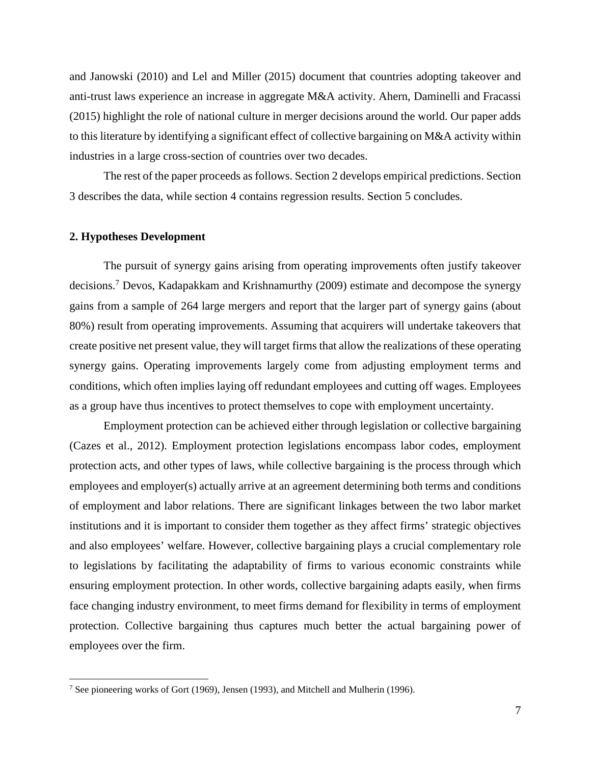and Janowski (2010) and Lel and Miller (2015) document that countries adopting takeover and anti-trust laws experience an increase in aggregate M&A activity. Ahern, Daminelli and Fracassi (2015) highlight the role of national culture in merger decisions around the world. Our paper adds to this literature by identifying a significant effect of collective bargaining on M&A activity within industries in a large cross-section of countries over two decades.

The rest of the paper proceeds as follows. Section 2 develops empirical predictions. Section 3 describes the data, while section 4 contains regression results. Section 5 concludes.

## **2. Hypotheses Development**

 $\overline{a}$ 

The pursuit of synergy gains arising from operating improvements often justify takeover decisions.<sup>7</sup> Devos, Kadapakkam and Krishnamurthy (2009) estimate and decompose the synergy gains from a sample of 264 large mergers and report that the larger part of synergy gains (about 80%) result from operating improvements. Assuming that acquirers will undertake takeovers that create positive net present value, they will target firms that allow the realizations of these operating synergy gains. Operating improvements largely come from adjusting employment terms and conditions, which often implies laying off redundant employees and cutting off wages. Employees as a group have thus incentives to protect themselves to cope with employment uncertainty.

Employment protection can be achieved either through legislation or collective bargaining (Cazes et al., 2012). Employment protection legislations encompass labor codes, employment protection acts, and other types of laws, while collective bargaining is the process through which employees and employer(s) actually arrive at an agreement determining both terms and conditions of employment and labor relations. There are significant linkages between the two labor market institutions and it is important to consider them together as they affect firms' strategic objectives and also employees' welfare. However, collective bargaining plays a crucial complementary role to legislations by facilitating the adaptability of firms to various economic constraints while ensuring employment protection. In other words, collective bargaining adapts easily, when firms face changing industry environment, to meet firms demand for flexibility in terms of employment protection. Collective bargaining thus captures much better the actual bargaining power of employees over the firm.

<sup>&</sup>lt;sup>7</sup> See pioneering works of Gort (1969), Jensen (1993), and Mitchell and Mulherin (1996).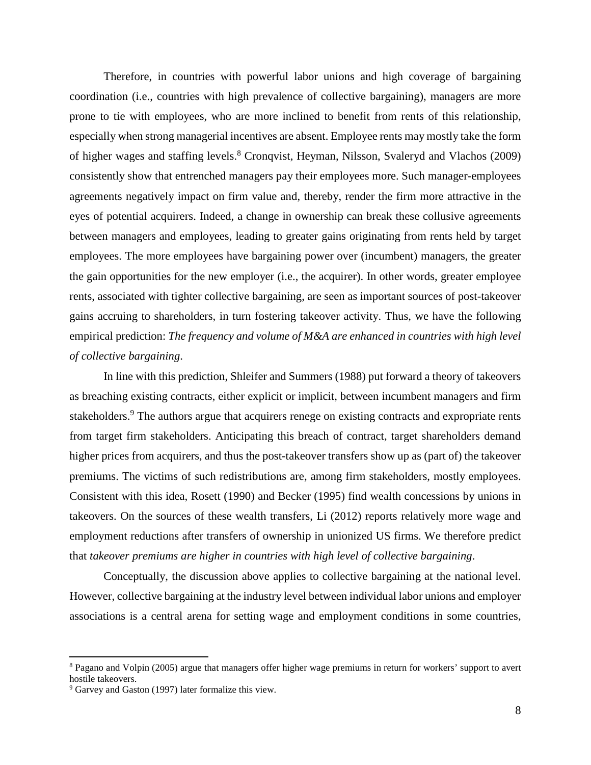Therefore, in countries with powerful labor unions and high coverage of bargaining coordination (i.e., countries with high prevalence of collective bargaining), managers are more prone to tie with employees, who are more inclined to benefit from rents of this relationship, especially when strong managerial incentives are absent. Employee rents may mostly take the form of higher wages and staffing levels.<sup>8</sup> Cronqvist, Heyman, Nilsson, Svaleryd and Vlachos (2009) consistently show that entrenched managers pay their employees more. Such manager-employees agreements negatively impact on firm value and, thereby, render the firm more attractive in the eyes of potential acquirers. Indeed, a change in ownership can break these collusive agreements between managers and employees, leading to greater gains originating from rents held by target employees. The more employees have bargaining power over (incumbent) managers, the greater the gain opportunities for the new employer (i.e., the acquirer). In other words, greater employee rents, associated with tighter collective bargaining, are seen as important sources of post-takeover gains accruing to shareholders, in turn fostering takeover activity. Thus, we have the following empirical prediction: *The frequency and volume of M&A are enhanced in countries with high level of collective bargaining*.

In line with this prediction, Shleifer and Summers (1988) put forward a theory of takeovers as breaching existing contracts, either explicit or implicit, between incumbent managers and firm stakeholders.<sup>9</sup> The authors argue that acquirers renege on existing contracts and expropriate rents from target firm stakeholders. Anticipating this breach of contract, target shareholders demand higher prices from acquirers, and thus the post-takeover transfers show up as (part of) the takeover premiums. The victims of such redistributions are, among firm stakeholders, mostly employees. Consistent with this idea, Rosett (1990) and Becker (1995) find wealth concessions by unions in takeovers. On the sources of these wealth transfers, Li (2012) reports relatively more wage and employment reductions after transfers of ownership in unionized US firms. We therefore predict that *takeover premiums are higher in countries with high level of collective bargaining*.

Conceptually, the discussion above applies to collective bargaining at the national level. However, collective bargaining at the industry level between individual labor unions and employer associations is a central arena for setting wage and employment conditions in some countries,

<sup>&</sup>lt;sup>8</sup> Pagano and Volpin (2005) argue that managers offer higher wage premiums in return for workers' support to avert hostile takeovers.

<sup>&</sup>lt;sup>9</sup> Garvey and Gaston (1997) later formalize this view.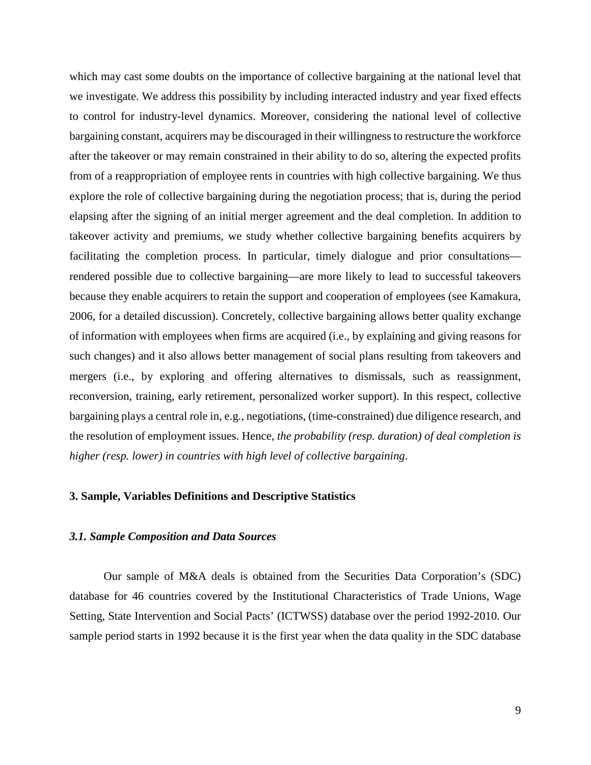which may cast some doubts on the importance of collective bargaining at the national level that we investigate. We address this possibility by including interacted industry and year fixed effects to control for industry-level dynamics. Moreover, considering the national level of collective bargaining constant, acquirers may be discouraged in their willingness to restructure the workforce after the takeover or may remain constrained in their ability to do so, altering the expected profits from of a reappropriation of employee rents in countries with high collective bargaining. We thus explore the role of collective bargaining during the negotiation process; that is, during the period elapsing after the signing of an initial merger agreement and the deal completion. In addition to takeover activity and premiums, we study whether collective bargaining benefits acquirers by facilitating the completion process. In particular, timely dialogue and prior consultations rendered possible due to collective bargaining—are more likely to lead to successful takeovers because they enable acquirers to retain the support and cooperation of employees (see Kamakura, 2006, for a detailed discussion). Concretely, collective bargaining allows better quality exchange of information with employees when firms are acquired (i.e., by explaining and giving reasons for such changes) and it also allows better management of social plans resulting from takeovers and mergers (i.e., by exploring and offering alternatives to dismissals, such as reassignment, reconversion, training, early retirement, personalized worker support). In this respect, collective bargaining plays a central role in, e.g., negotiations, (time-constrained) due diligence research, and the resolution of employment issues. Hence, *the probability (resp. duration) of deal completion is higher (resp. lower) in countries with high level of collective bargaining*.

## **3. Sample, Variables Definitions and Descriptive Statistics**

# *3.1. Sample Composition and Data Sources*

 Our sample of M&A deals is obtained from the Securities Data Corporation's (SDC) database for 46 countries covered by the Institutional Characteristics of Trade Unions, Wage Setting, State Intervention and Social Pacts' (ICTWSS) database over the period 1992-2010. Our sample period starts in 1992 because it is the first year when the data quality in the SDC database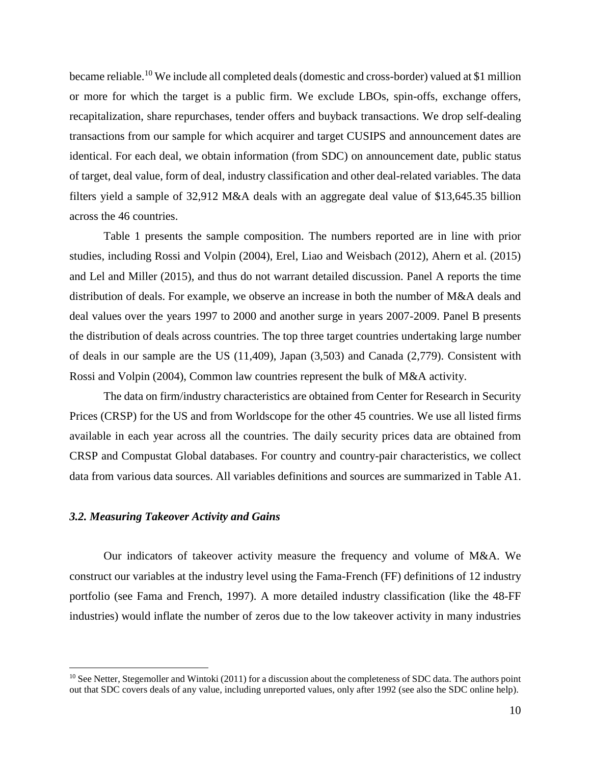became reliable.<sup>10</sup> We include all completed deals (domestic and cross-border) valued at \$1 million or more for which the target is a public firm. We exclude LBOs, spin-offs, exchange offers, recapitalization, share repurchases, tender offers and buyback transactions. We drop self-dealing transactions from our sample for which acquirer and target CUSIPS and announcement dates are identical. For each deal, we obtain information (from SDC) on announcement date, public status of target, deal value, form of deal, industry classification and other deal-related variables. The data filters yield a sample of 32,912 M&A deals with an aggregate deal value of \$13,645.35 billion across the 46 countries.

Table 1 presents the sample composition. The numbers reported are in line with prior studies, including Rossi and Volpin (2004), Erel, Liao and Weisbach (2012), Ahern et al. (2015) and Lel and Miller (2015), and thus do not warrant detailed discussion. Panel A reports the time distribution of deals. For example, we observe an increase in both the number of M&A deals and deal values over the years 1997 to 2000 and another surge in years 2007-2009. Panel B presents the distribution of deals across countries. The top three target countries undertaking large number of deals in our sample are the US (11,409), Japan (3,503) and Canada (2,779). Consistent with Rossi and Volpin (2004), Common law countries represent the bulk of M&A activity.

The data on firm/industry characteristics are obtained from Center for Research in Security Prices (CRSP) for the US and from Worldscope for the other 45 countries. We use all listed firms available in each year across all the countries. The daily security prices data are obtained from CRSP and Compustat Global databases. For country and country-pair characteristics, we collect data from various data sources. All variables definitions and sources are summarized in Table A1.

## *3.2. Measuring Takeover Activity and Gains*

 $\overline{a}$ 

Our indicators of takeover activity measure the frequency and volume of M&A. We construct our variables at the industry level using the Fama-French (FF) definitions of 12 industry portfolio (see Fama and French, 1997). A more detailed industry classification (like the 48-FF industries) would inflate the number of zeros due to the low takeover activity in many industries

 $10$  See Netter, Stegemoller and Wintoki (2011) for a discussion about the completeness of SDC data. The authors point out that SDC covers deals of any value, including unreported values, only after 1992 (see also the SDC online help).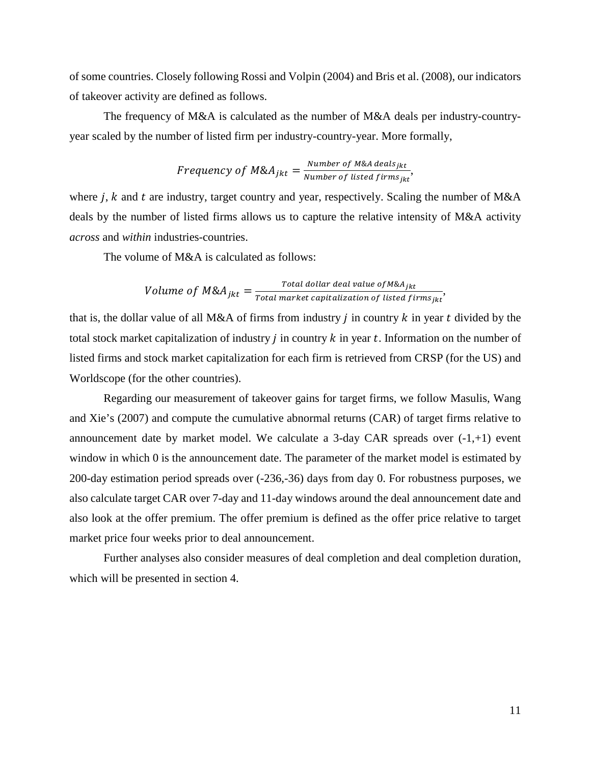of some countries. Closely following Rossi and Volpin (2004) and Bris et al. (2008), our indicators of takeover activity are defined as follows.

The frequency of M&A is calculated as the number of M&A deals per industry-countryyear scaled by the number of listed firm per industry-country-year. More formally,

Frequency of 
$$
MSA_{jkt} = \frac{Number\ of\ M&A\ deals_{jkt}}{Number\ of\ listed\ firms_{jkt}},
$$

where  $j$ ,  $k$  and  $t$  are industry, target country and year, respectively. Scaling the number of M&A deals by the number of listed firms allows us to capture the relative intensity of M&A activity *across* and *within* industries-countries.

The volume of M&A is calculated as follows:

Volume of 
$$
M\&A_{jkt} = \frac{Total dollar deal value of M\&A_{jkt}}{Total market capitalization of listed firms_{jkt}}
$$
,

that is, the dollar value of all M&A of firms from industry  $j$  in country  $k$  in year  $t$  divided by the total stock market capitalization of industry  $j$  in country  $k$  in year  $t$ . Information on the number of listed firms and stock market capitalization for each firm is retrieved from CRSP (for the US) and Worldscope (for the other countries).

Regarding our measurement of takeover gains for target firms, we follow Masulis, Wang and Xie's (2007) and compute the cumulative abnormal returns (CAR) of target firms relative to announcement date by market model. We calculate a 3-day CAR spreads over  $(-1, +1)$  event window in which 0 is the announcement date. The parameter of the market model is estimated by 200-day estimation period spreads over (-236,-36) days from day 0. For robustness purposes, we also calculate target CAR over 7-day and 11-day windows around the deal announcement date and also look at the offer premium. The offer premium is defined as the offer price relative to target market price four weeks prior to deal announcement.

Further analyses also consider measures of deal completion and deal completion duration, which will be presented in section 4.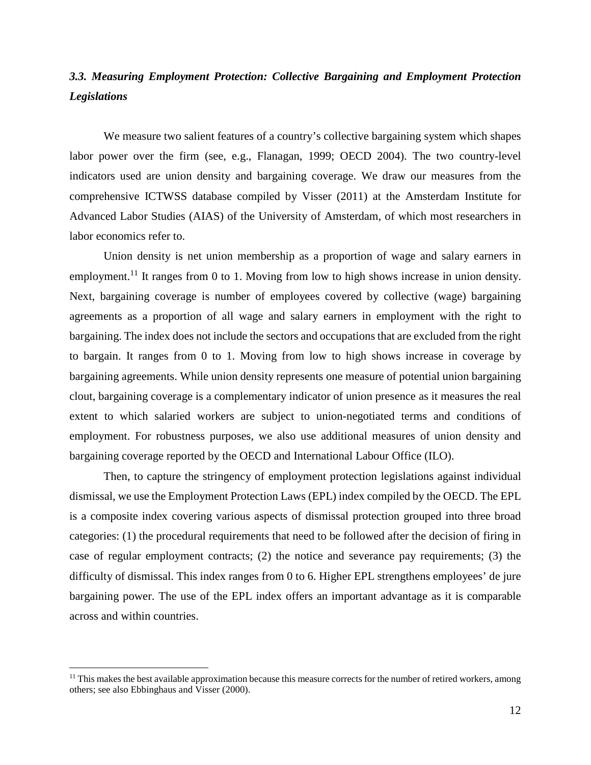# *3.3. Measuring Employment Protection: Collective Bargaining and Employment Protection Legislations*

We measure two salient features of a country's collective bargaining system which shapes labor power over the firm (see, e.g., Flanagan, 1999; OECD 2004). The two country-level indicators used are union density and bargaining coverage. We draw our measures from the comprehensive ICTWSS database compiled by Visser (2011) at the Amsterdam Institute for Advanced Labor Studies (AIAS) of the University of Amsterdam, of which most researchers in labor economics refer to.

Union density is net union membership as a proportion of wage and salary earners in employment.<sup>11</sup> It ranges from 0 to 1. Moving from low to high shows increase in union density. Next, bargaining coverage is number of employees covered by collective (wage) bargaining agreements as a proportion of all wage and salary earners in employment with the right to bargaining. The index does not include the sectors and occupations that are excluded from the right to bargain. It ranges from 0 to 1. Moving from low to high shows increase in coverage by bargaining agreements. While union density represents one measure of potential union bargaining clout, bargaining coverage is a complementary indicator of union presence as it measures the real extent to which salaried workers are subject to union-negotiated terms and conditions of employment. For robustness purposes, we also use additional measures of union density and bargaining coverage reported by the OECD and International Labour Office (ILO).

Then, to capture the stringency of employment protection legislations against individual dismissal, we use the Employment Protection Laws (EPL) index compiled by the OECD. The EPL is a composite index covering various aspects of dismissal protection grouped into three broad categories: (1) the procedural requirements that need to be followed after the decision of firing in case of regular employment contracts; (2) the notice and severance pay requirements; (3) the difficulty of dismissal. This index ranges from 0 to 6. Higher EPL strengthens employees' de jure bargaining power. The use of the EPL index offers an important advantage as it is comparable across and within countries.

 $<sup>11</sup>$  This makes the best available approximation because this measure corrects for the number of retired workers, among</sup> others; see also Ebbinghaus and Visser (2000).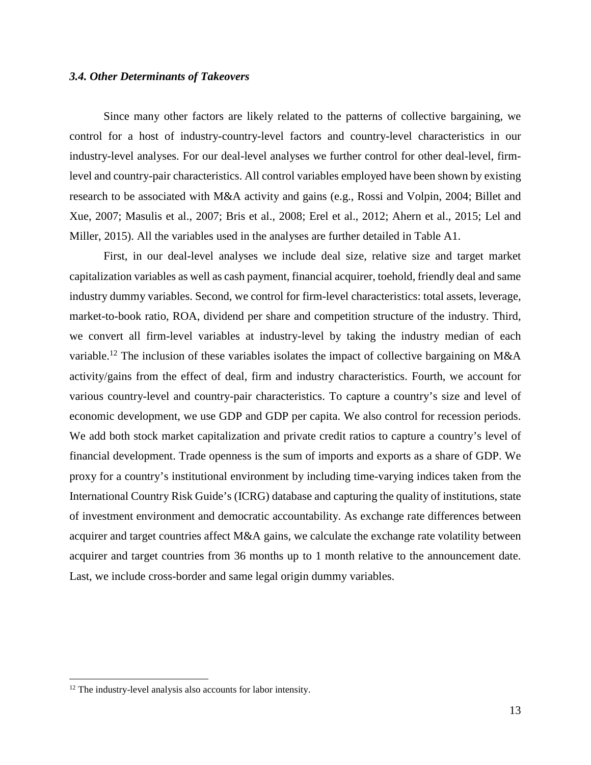## *3.4. Other Determinants of Takeovers*

Since many other factors are likely related to the patterns of collective bargaining, we control for a host of industry-country-level factors and country-level characteristics in our industry-level analyses. For our deal-level analyses we further control for other deal-level, firmlevel and country-pair characteristics. All control variables employed have been shown by existing research to be associated with M&A activity and gains (e.g., Rossi and Volpin, 2004; Billet and Xue, 2007; Masulis et al., 2007; Bris et al., 2008; Erel et al., 2012; Ahern et al., 2015; Lel and Miller, 2015). All the variables used in the analyses are further detailed in Table A1.

First, in our deal-level analyses we include deal size, relative size and target market capitalization variables as well as cash payment, financial acquirer, toehold, friendly deal and same industry dummy variables. Second, we control for firm-level characteristics: total assets, leverage, market-to-book ratio, ROA, dividend per share and competition structure of the industry. Third, we convert all firm-level variables at industry-level by taking the industry median of each variable.<sup>12</sup> The inclusion of these variables isolates the impact of collective bargaining on M&A activity/gains from the effect of deal, firm and industry characteristics. Fourth, we account for various country-level and country-pair characteristics. To capture a country's size and level of economic development, we use GDP and GDP per capita. We also control for recession periods. We add both stock market capitalization and private credit ratios to capture a country's level of financial development. Trade openness is the sum of imports and exports as a share of GDP. We proxy for a country's institutional environment by including time-varying indices taken from the International Country Risk Guide's (ICRG) database and capturing the quality of institutions, state of investment environment and democratic accountability. As exchange rate differences between acquirer and target countries affect M&A gains, we calculate the exchange rate volatility between acquirer and target countries from 36 months up to 1 month relative to the announcement date. Last, we include cross-border and same legal origin dummy variables.

<sup>&</sup>lt;sup>12</sup> The industry-level analysis also accounts for labor intensity.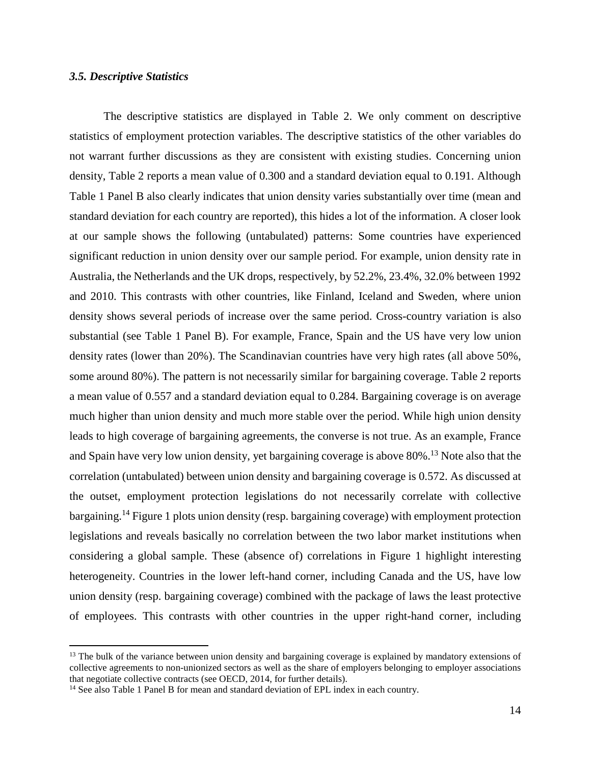## *3.5. Descriptive Statistics*

 $\overline{a}$ 

The descriptive statistics are displayed in Table 2. We only comment on descriptive statistics of employment protection variables. The descriptive statistics of the other variables do not warrant further discussions as they are consistent with existing studies. Concerning union density, Table 2 reports a mean value of 0.300 and a standard deviation equal to 0.191. Although Table 1 Panel B also clearly indicates that union density varies substantially over time (mean and standard deviation for each country are reported), this hides a lot of the information. A closer look at our sample shows the following (untabulated) patterns: Some countries have experienced significant reduction in union density over our sample period. For example, union density rate in Australia, the Netherlands and the UK drops, respectively, by 52.2%, 23.4%, 32.0% between 1992 and 2010. This contrasts with other countries, like Finland, Iceland and Sweden, where union density shows several periods of increase over the same period. Cross-country variation is also substantial (see Table 1 Panel B). For example, France, Spain and the US have very low union density rates (lower than 20%). The Scandinavian countries have very high rates (all above 50%, some around 80%). The pattern is not necessarily similar for bargaining coverage. Table 2 reports a mean value of 0.557 and a standard deviation equal to 0.284. Bargaining coverage is on average much higher than union density and much more stable over the period. While high union density leads to high coverage of bargaining agreements, the converse is not true. As an example, France and Spain have very low union density, yet bargaining coverage is above 80%.<sup>13</sup> Note also that the correlation (untabulated) between union density and bargaining coverage is 0.572. As discussed at the outset, employment protection legislations do not necessarily correlate with collective bargaining.<sup>14</sup> Figure 1 plots union density (resp. bargaining coverage) with employment protection legislations and reveals basically no correlation between the two labor market institutions when considering a global sample. These (absence of) correlations in Figure 1 highlight interesting heterogeneity. Countries in the lower left-hand corner, including Canada and the US, have low union density (resp. bargaining coverage) combined with the package of laws the least protective of employees. This contrasts with other countries in the upper right-hand corner, including

<sup>&</sup>lt;sup>13</sup> The bulk of the variance between union density and bargaining coverage is explained by mandatory extensions of collective agreements to non-unionized sectors as well as the share of employers belonging to employer associations that negotiate collective contracts (see OECD, 2014, for further details).

<sup>&</sup>lt;sup>14</sup> See also Table 1 Panel B for mean and standard deviation of EPL index in each country.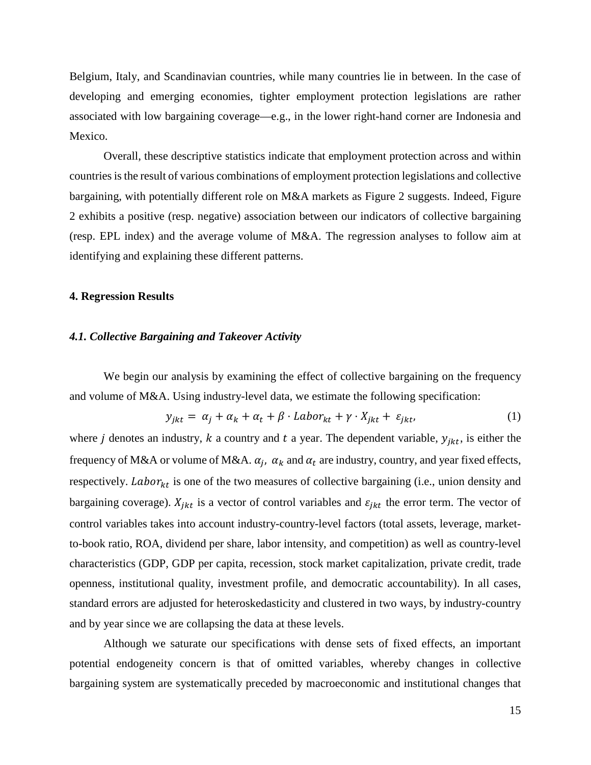Belgium, Italy, and Scandinavian countries, while many countries lie in between. In the case of developing and emerging economies, tighter employment protection legislations are rather associated with low bargaining coverage—e.g., in the lower right-hand corner are Indonesia and Mexico.

Overall, these descriptive statistics indicate that employment protection across and within countries is the result of various combinations of employment protection legislations and collective bargaining, with potentially different role on M&A markets as Figure 2 suggests. Indeed, Figure 2 exhibits a positive (resp. negative) association between our indicators of collective bargaining (resp. EPL index) and the average volume of M&A. The regression analyses to follow aim at identifying and explaining these different patterns.

## **4. Regression Results**

## *4.1. Collective Bargaining and Takeover Activity*

We begin our analysis by examining the effect of collective bargaining on the frequency and volume of M&A. Using industry-level data, we estimate the following specification:

$$
y_{jkt} = \alpha_j + \alpha_k + \alpha_t + \beta \cdot \text{Labor}_{kt} + \gamma \cdot X_{jkt} + \varepsilon_{jkt}, \tag{1}
$$

where *j* denotes an industry, *k* a country and *t* a year. The dependent variable,  $y_{ikt}$ , is either the frequency of M&A or volume of M&A.  $\alpha_j$ ,  $\alpha_k$  and  $\alpha_t$  are industry, country, and year fixed effects, respectively. Labor<sub>kt</sub> is one of the two measures of collective bargaining (i.e., union density and bargaining coverage).  $X_{jkt}$  is a vector of control variables and  $\varepsilon_{jkt}$  the error term. The vector of control variables takes into account industry-country-level factors (total assets, leverage, marketto-book ratio, ROA, dividend per share, labor intensity, and competition) as well as country-level characteristics (GDP, GDP per capita, recession, stock market capitalization, private credit, trade openness, institutional quality, investment profile, and democratic accountability). In all cases, standard errors are adjusted for heteroskedasticity and clustered in two ways, by industry-country and by year since we are collapsing the data at these levels.

 Although we saturate our specifications with dense sets of fixed effects, an important potential endogeneity concern is that of omitted variables, whereby changes in collective bargaining system are systematically preceded by macroeconomic and institutional changes that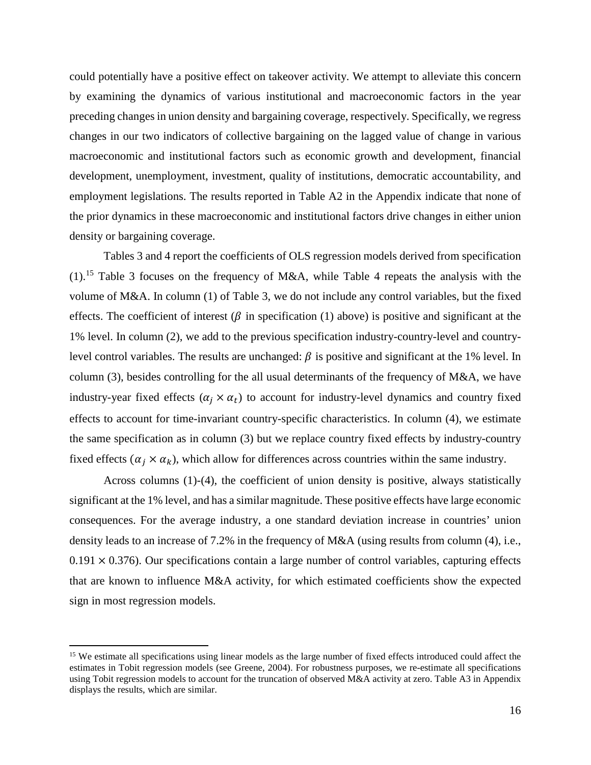could potentially have a positive effect on takeover activity. We attempt to alleviate this concern by examining the dynamics of various institutional and macroeconomic factors in the year preceding changes in union density and bargaining coverage, respectively. Specifically, we regress changes in our two indicators of collective bargaining on the lagged value of change in various macroeconomic and institutional factors such as economic growth and development, financial development, unemployment, investment, quality of institutions, democratic accountability, and employment legislations. The results reported in Table A2 in the Appendix indicate that none of the prior dynamics in these macroeconomic and institutional factors drive changes in either union density or bargaining coverage.

 Tables 3 and 4 report the coefficients of OLS regression models derived from specification (1).<sup>15</sup> Table 3 focuses on the frequency of M&A, while Table 4 repeats the analysis with the volume of M&A. In column (1) of Table 3, we do not include any control variables, but the fixed effects. The coefficient of interest ( $\beta$  in specification (1) above) is positive and significant at the 1% level. In column (2), we add to the previous specification industry-country-level and countrylevel control variables. The results are unchanged:  $\beta$  is positive and significant at the 1% level. In column (3), besides controlling for the all usual determinants of the frequency of M&A, we have industry-year fixed effects  $(\alpha_j \times \alpha_t)$  to account for industry-level dynamics and country fixed effects to account for time-invariant country-specific characteristics. In column (4), we estimate the same specification as in column (3) but we replace country fixed effects by industry-country fixed effects  $(\alpha_i \times \alpha_k)$ , which allow for differences across countries within the same industry.

Across columns (1)-(4), the coefficient of union density is positive, always statistically significant at the 1% level, and has a similar magnitude. These positive effects have large economic consequences. For the average industry, a one standard deviation increase in countries' union density leads to an increase of 7.2% in the frequency of M&A (using results from column (4), i.e.,  $0.191 \times 0.376$ ). Our specifications contain a large number of control variables, capturing effects that are known to influence M&A activity, for which estimated coefficients show the expected sign in most regression models.

<sup>&</sup>lt;sup>15</sup> We estimate all specifications using linear models as the large number of fixed effects introduced could affect the estimates in Tobit regression models (see Greene, 2004). For robustness purposes, we re-estimate all specifications using Tobit regression models to account for the truncation of observed M&A activity at zero. Table A3 in Appendix displays the results, which are similar.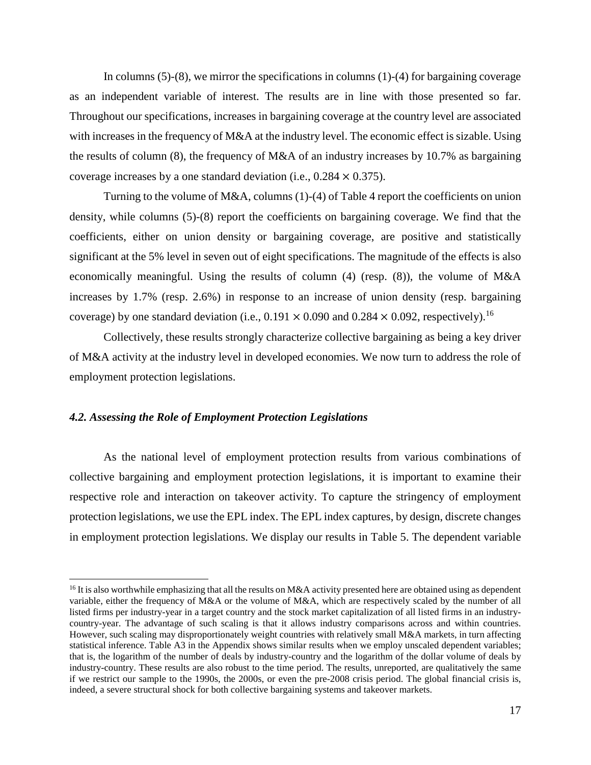In columns  $(5)-(8)$ , we mirror the specifications in columns  $(1)-(4)$  for bargaining coverage as an independent variable of interest. The results are in line with those presented so far. Throughout our specifications, increases in bargaining coverage at the country level are associated with increases in the frequency of M&A at the industry level. The economic effect is sizable. Using the results of column (8), the frequency of M&A of an industry increases by 10.7% as bargaining coverage increases by a one standard deviation (i.e.,  $0.284 \times 0.375$ ).

 Turning to the volume of M&A, columns (1)-(4) of Table 4 report the coefficients on union density, while columns (5)-(8) report the coefficients on bargaining coverage. We find that the coefficients, either on union density or bargaining coverage, are positive and statistically significant at the 5% level in seven out of eight specifications. The magnitude of the effects is also economically meaningful. Using the results of column (4) (resp. (8)), the volume of M&A increases by 1.7% (resp. 2.6%) in response to an increase of union density (resp. bargaining coverage) by one standard deviation (i.e.,  $0.191 \times 0.090$  and  $0.284 \times 0.092$ , respectively).<sup>16</sup>

Collectively, these results strongly characterize collective bargaining as being a key driver of M&A activity at the industry level in developed economies. We now turn to address the role of employment protection legislations.

## *4.2. Assessing the Role of Employment Protection Legislations*

 $\overline{a}$ 

As the national level of employment protection results from various combinations of collective bargaining and employment protection legislations, it is important to examine their respective role and interaction on takeover activity. To capture the stringency of employment protection legislations, we use the EPL index. The EPL index captures, by design, discrete changes in employment protection legislations. We display our results in Table 5. The dependent variable

<sup>&</sup>lt;sup>16</sup> It is also worthwhile emphasizing that all the results on M&A activity presented here are obtained using as dependent variable, either the frequency of M&A or the volume of M&A, which are respectively scaled by the number of all listed firms per industry-year in a target country and the stock market capitalization of all listed firms in an industrycountry-year. The advantage of such scaling is that it allows industry comparisons across and within countries. However, such scaling may disproportionately weight countries with relatively small M&A markets, in turn affecting statistical inference. Table A3 in the Appendix shows similar results when we employ unscaled dependent variables; that is, the logarithm of the number of deals by industry-country and the logarithm of the dollar volume of deals by industry-country. These results are also robust to the time period. The results, unreported, are qualitatively the same if we restrict our sample to the 1990s, the 2000s, or even the pre-2008 crisis period. The global financial crisis is, indeed, a severe structural shock for both collective bargaining systems and takeover markets.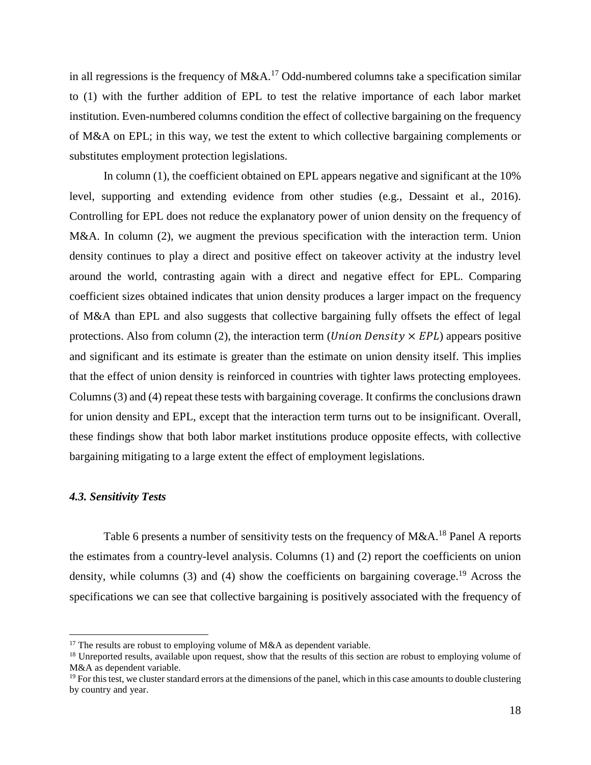in all regressions is the frequency of  $M&A.<sup>17</sup>$  Odd-numbered columns take a specification similar to (1) with the further addition of EPL to test the relative importance of each labor market institution. Even-numbered columns condition the effect of collective bargaining on the frequency of M&A on EPL; in this way, we test the extent to which collective bargaining complements or substitutes employment protection legislations.

In column (1), the coefficient obtained on EPL appears negative and significant at the 10% level, supporting and extending evidence from other studies (e.g., Dessaint et al., 2016). Controlling for EPL does not reduce the explanatory power of union density on the frequency of M&A. In column (2), we augment the previous specification with the interaction term. Union density continues to play a direct and positive effect on takeover activity at the industry level around the world, contrasting again with a direct and negative effect for EPL. Comparing coefficient sizes obtained indicates that union density produces a larger impact on the frequency of M&A than EPL and also suggests that collective bargaining fully offsets the effect of legal protections. Also from column (2), the interaction term (*Union Density*  $\times$  *EPL*) appears positive and significant and its estimate is greater than the estimate on union density itself. This implies that the effect of union density is reinforced in countries with tighter laws protecting employees. Columns (3) and (4) repeat these tests with bargaining coverage. It confirms the conclusions drawn for union density and EPL, except that the interaction term turns out to be insignificant. Overall, these findings show that both labor market institutions produce opposite effects, with collective bargaining mitigating to a large extent the effect of employment legislations.

## *4.3. Sensitivity Tests*

 $\overline{a}$ 

Table 6 presents a number of sensitivity tests on the frequency of  $M&A$ .<sup>18</sup> Panel A reports the estimates from a country-level analysis. Columns (1) and (2) report the coefficients on union density, while columns  $(3)$  and  $(4)$  show the coefficients on bargaining coverage.<sup>19</sup> Across the specifications we can see that collective bargaining is positively associated with the frequency of

<sup>&</sup>lt;sup>17</sup> The results are robust to employing volume of  $M&A$  as dependent variable.

<sup>&</sup>lt;sup>18</sup> Unreported results, available upon request, show that the results of this section are robust to employing volume of M&A as dependent variable.

 $<sup>19</sup>$  For this test, we cluster standard errors at the dimensions of the panel, which in this case amounts to double clustering</sup> by country and year.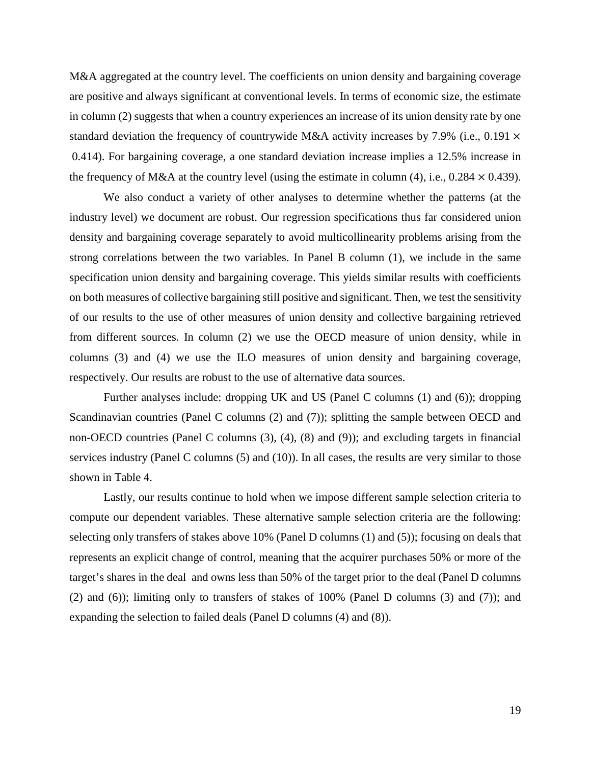M&A aggregated at the country level. The coefficients on union density and bargaining coverage are positive and always significant at conventional levels. In terms of economic size, the estimate in column (2) suggests that when a country experiences an increase of its union density rate by one standard deviation the frequency of countrywide M&A activity increases by 7.9% (i.e., 0.191  $\times$ 0.414). For bargaining coverage, a one standard deviation increase implies a 12.5% increase in the frequency of M&A at the country level (using the estimate in column (4), i.e.,  $0.284 \times 0.439$ ).

We also conduct a variety of other analyses to determine whether the patterns (at the industry level) we document are robust. Our regression specifications thus far considered union density and bargaining coverage separately to avoid multicollinearity problems arising from the strong correlations between the two variables. In Panel B column (1), we include in the same specification union density and bargaining coverage. This yields similar results with coefficients on both measures of collective bargaining still positive and significant. Then, we test the sensitivity of our results to the use of other measures of union density and collective bargaining retrieved from different sources. In column (2) we use the OECD measure of union density, while in columns (3) and (4) we use the ILO measures of union density and bargaining coverage, respectively. Our results are robust to the use of alternative data sources.

Further analyses include: dropping UK and US (Panel C columns (1) and (6)); dropping Scandinavian countries (Panel C columns (2) and (7)); splitting the sample between OECD and non-OECD countries (Panel C columns (3), (4), (8) and (9)); and excluding targets in financial services industry (Panel C columns (5) and (10)). In all cases, the results are very similar to those shown in Table 4.

 Lastly, our results continue to hold when we impose different sample selection criteria to compute our dependent variables. These alternative sample selection criteria are the following: selecting only transfers of stakes above 10% (Panel D columns (1) and (5)); focusing on deals that represents an explicit change of control, meaning that the acquirer purchases 50% or more of the target's shares in the deal and owns less than 50% of the target prior to the deal (Panel D columns (2) and (6)); limiting only to transfers of stakes of 100% (Panel D columns (3) and (7)); and expanding the selection to failed deals (Panel D columns (4) and (8)).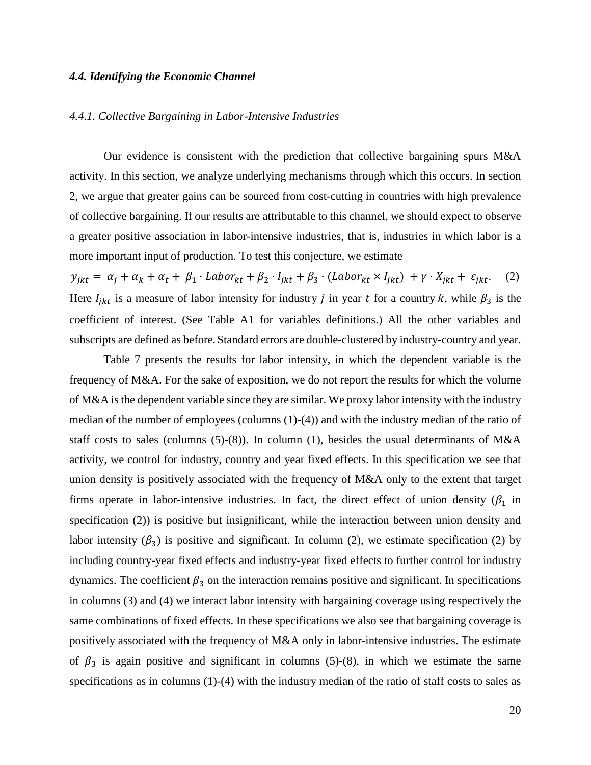## *4.4. Identifying the Economic Channel*

## *4.4.1. Collective Bargaining in Labor-Intensive Industries*

 Our evidence is consistent with the prediction that collective bargaining spurs M&A activity. In this section, we analyze underlying mechanisms through which this occurs. In section 2, we argue that greater gains can be sourced from cost-cutting in countries with high prevalence of collective bargaining. If our results are attributable to this channel, we should expect to observe a greater positive association in labor-intensive industries, that is, industries in which labor is a more important input of production. To test this conjecture, we estimate

 $y_{jkt} = \alpha_j + \alpha_k + \alpha_t + \beta_1 \cdot \text{Labor}_{kt} + \beta_2 \cdot l_{jkt} + \beta_3 \cdot (\text{Labor}_{kt} \times l_{jkt}) + \gamma \cdot X_{jkt} + \varepsilon_{jkt}.$  (2) Here  $I_{jkt}$  is a measure of labor intensity for industry j in year t for a country k, while  $\beta_3$  is the coefficient of interest. (See Table A1 for variables definitions.) All the other variables and subscripts are defined as before.Standard errors are double-clustered by industry-country and year.

Table 7 presents the results for labor intensity, in which the dependent variable is the frequency of M&A. For the sake of exposition, we do not report the results for which the volume of M&A is the dependent variable since they are similar. We proxy labor intensity with the industry median of the number of employees (columns  $(1)-(4)$ ) and with the industry median of the ratio of staff costs to sales (columns  $(5)-(8)$ ). In column  $(1)$ , besides the usual determinants of M&A activity, we control for industry, country and year fixed effects. In this specification we see that union density is positively associated with the frequency of M&A only to the extent that target firms operate in labor-intensive industries. In fact, the direct effect of union density  $(\beta_1)$  in specification (2)) is positive but insignificant, while the interaction between union density and labor intensity ( $\beta_3$ ) is positive and significant. In column (2), we estimate specification (2) by including country-year fixed effects and industry-year fixed effects to further control for industry dynamics. The coefficient  $\beta_3$  on the interaction remains positive and significant. In specifications in columns (3) and (4) we interact labor intensity with bargaining coverage using respectively the same combinations of fixed effects. In these specifications we also see that bargaining coverage is positively associated with the frequency of M&A only in labor-intensive industries. The estimate of  $\beta_3$  is again positive and significant in columns (5)-(8), in which we estimate the same specifications as in columns (1)-(4) with the industry median of the ratio of staff costs to sales as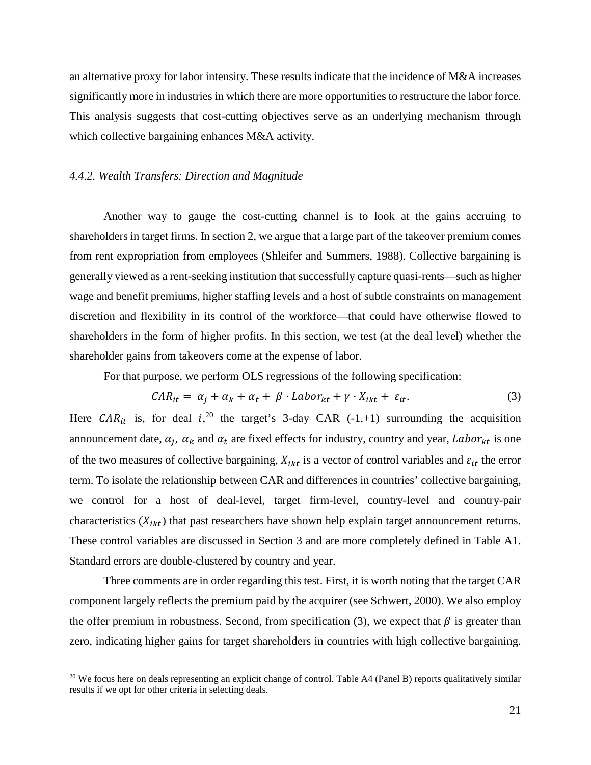an alternative proxy for labor intensity. These results indicate that the incidence of M&A increases significantly more in industries in which there are more opportunities to restructure the labor force. This analysis suggests that cost-cutting objectives serve as an underlying mechanism through which collective bargaining enhances M&A activity.

## *4.4.2. Wealth Transfers: Direction and Magnitude*

 $\overline{a}$ 

Another way to gauge the cost-cutting channel is to look at the gains accruing to shareholders in target firms. In section 2, we argue that a large part of the takeover premium comes from rent expropriation from employees (Shleifer and Summers, 1988). Collective bargaining is generally viewed as a rent-seeking institution that successfully capture quasi-rents—such as higher wage and benefit premiums, higher staffing levels and a host of subtle constraints on management discretion and flexibility in its control of the workforce—that could have otherwise flowed to shareholders in the form of higher profits. In this section, we test (at the deal level) whether the shareholder gains from takeovers come at the expense of labor.

For that purpose, we perform OLS regressions of the following specification:

$$
CAR_{it} = \alpha_j + \alpha_k + \alpha_t + \beta \cdot Labor_{kt} + \gamma \cdot X_{ikt} + \varepsilon_{it}. \tag{3}
$$

Here  $CAR_{it}$  is, for deal  $i^{20}$ , the target's 3-day CAR (-1,+1) surrounding the acquisition announcement date,  $\alpha_j$ ,  $\alpha_k$  and  $\alpha_t$  are fixed effects for industry, country and year, Labor<sub>kt</sub> is one of the two measures of collective bargaining,  $X_{ikt}$  is a vector of control variables and  $\varepsilon_{it}$  the error term. To isolate the relationship between CAR and differences in countries' collective bargaining, we control for a host of deal-level, target firm-level, country-level and country-pair characteristics  $(X_{ikt})$  that past researchers have shown help explain target announcement returns. These control variables are discussed in Section 3 and are more completely defined in Table A1. Standard errors are double-clustered by country and year.

 Three comments are in order regarding this test. First, it is worth noting that the target CAR component largely reflects the premium paid by the acquirer (see Schwert, 2000). We also employ the offer premium in robustness. Second, from specification (3), we expect that  $\beta$  is greater than zero, indicating higher gains for target shareholders in countries with high collective bargaining.

<sup>&</sup>lt;sup>20</sup> We focus here on deals representing an explicit change of control. Table A4 (Panel B) reports qualitatively similar results if we opt for other criteria in selecting deals.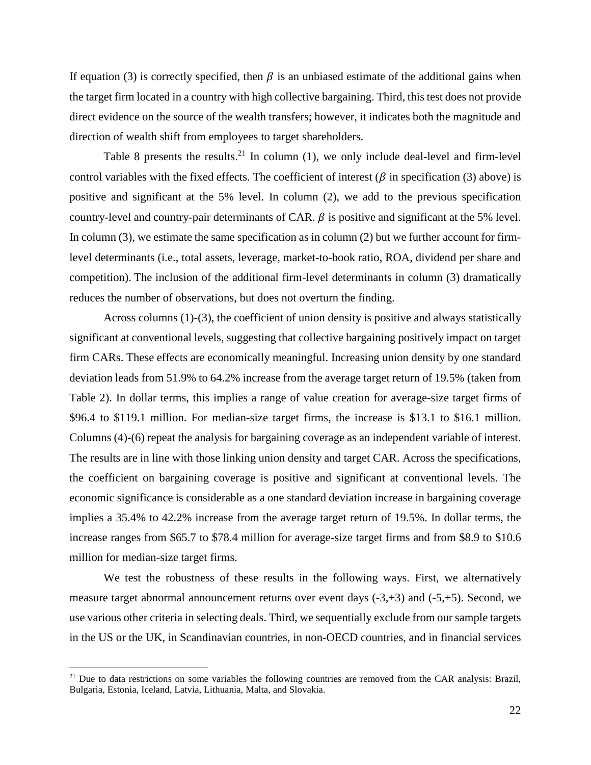If equation (3) is correctly specified, then  $\beta$  is an unbiased estimate of the additional gains when the target firm located in a country with high collective bargaining. Third, this test does not provide direct evidence on the source of the wealth transfers; however, it indicates both the magnitude and direction of wealth shift from employees to target shareholders.

Table 8 presents the results.<sup>21</sup> In column  $(1)$ , we only include deal-level and firm-level control variables with the fixed effects. The coefficient of interest ( $\beta$  in specification (3) above) is positive and significant at the 5% level. In column (2), we add to the previous specification country-level and country-pair determinants of CAR.  $\beta$  is positive and significant at the 5% level. In column (3), we estimate the same specification as in column (2) but we further account for firmlevel determinants (i.e., total assets, leverage, market-to-book ratio, ROA, dividend per share and competition). The inclusion of the additional firm-level determinants in column (3) dramatically reduces the number of observations, but does not overturn the finding.

Across columns (1)-(3), the coefficient of union density is positive and always statistically significant at conventional levels, suggesting that collective bargaining positively impact on target firm CARs. These effects are economically meaningful. Increasing union density by one standard deviation leads from 51.9% to 64.2% increase from the average target return of 19.5% (taken from Table 2). In dollar terms, this implies a range of value creation for average-size target firms of \$96.4 to \$119.1 million. For median-size target firms, the increase is \$13.1 to \$16.1 million. Columns (4)-(6) repeat the analysis for bargaining coverage as an independent variable of interest. The results are in line with those linking union density and target CAR. Across the specifications, the coefficient on bargaining coverage is positive and significant at conventional levels. The economic significance is considerable as a one standard deviation increase in bargaining coverage implies a 35.4% to 42.2% increase from the average target return of 19.5%. In dollar terms, the increase ranges from \$65.7 to \$78.4 million for average-size target firms and from \$8.9 to \$10.6 million for median-size target firms.

We test the robustness of these results in the following ways. First, we alternatively measure target abnormal announcement returns over event days (-3,+3) and (-5,+5). Second, we use various other criteria in selecting deals. Third, we sequentially exclude from our sample targets in the US or the UK, in Scandinavian countries, in non-OECD countries, and in financial services

 $21$  Due to data restrictions on some variables the following countries are removed from the CAR analysis: Brazil, Bulgaria, Estonia, Iceland, Latvia, Lithuania, Malta, and Slovakia.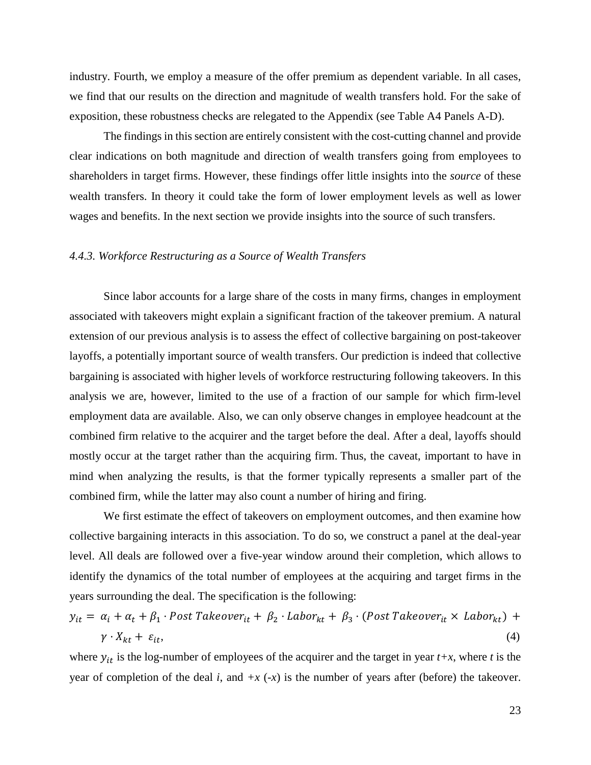industry. Fourth, we employ a measure of the offer premium as dependent variable. In all cases, we find that our results on the direction and magnitude of wealth transfers hold. For the sake of exposition, these robustness checks are relegated to the Appendix (see Table A4 Panels A-D).

The findings in this section are entirely consistent with the cost-cutting channel and provide clear indications on both magnitude and direction of wealth transfers going from employees to shareholders in target firms. However, these findings offer little insights into the *source* of these wealth transfers. In theory it could take the form of lower employment levels as well as lower wages and benefits. In the next section we provide insights into the source of such transfers.

# *4.4.3. Workforce Restructuring as a Source of Wealth Transfers*

Since labor accounts for a large share of the costs in many firms, changes in employment associated with takeovers might explain a significant fraction of the takeover premium. A natural extension of our previous analysis is to assess the effect of collective bargaining on post-takeover layoffs, a potentially important source of wealth transfers. Our prediction is indeed that collective bargaining is associated with higher levels of workforce restructuring following takeovers. In this analysis we are, however, limited to the use of a fraction of our sample for which firm-level employment data are available. Also, we can only observe changes in employee headcount at the combined firm relative to the acquirer and the target before the deal. After a deal, layoffs should mostly occur at the target rather than the acquiring firm. Thus, the caveat, important to have in mind when analyzing the results, is that the former typically represents a smaller part of the combined firm, while the latter may also count a number of hiring and firing.

We first estimate the effect of takeovers on employment outcomes, and then examine how collective bargaining interacts in this association. To do so, we construct a panel at the deal-year level. All deals are followed over a five-year window around their completion, which allows to identify the dynamics of the total number of employees at the acquiring and target firms in the years surrounding the deal. The specification is the following:

$$
y_{it} = \alpha_i + \alpha_t + \beta_1 \cdot Post\;Takeover_{it} + \beta_2 \cdot Labor_{kt} + \beta_3 \cdot (Post\;Takeover_{it} \times Labor_{kt}) + \gamma \cdot X_{kt} + \varepsilon_{it},\tag{4}
$$

where  $y_{it}$  is the log-number of employees of the acquirer and the target in year  $t+x$ , where  $t$  is the year of completion of the deal *i*, and  $+x$  ( $-x$ ) is the number of years after (before) the takeover.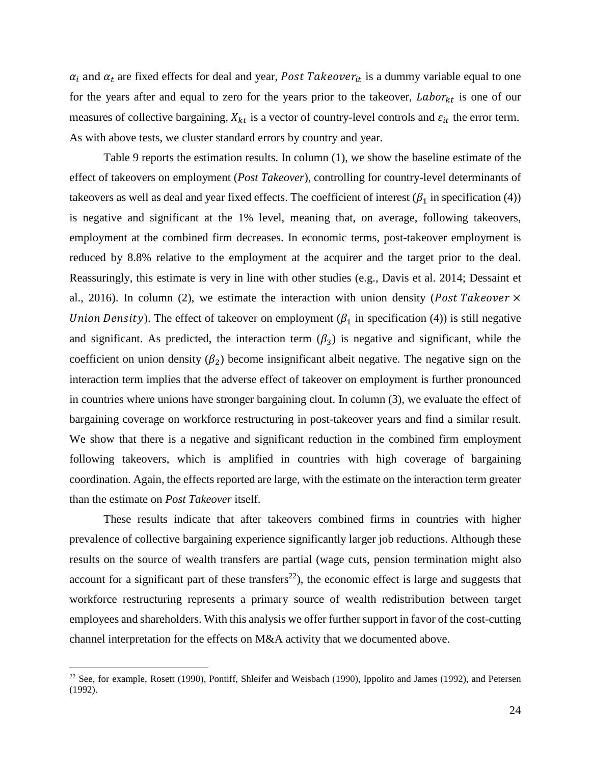$\alpha_i$  and  $\alpha_t$  are fixed effects for deal and year, *Post Takeover*<sub>it</sub> is a dummy variable equal to one for the years after and equal to zero for the years prior to the takeover,  $Labor_{kt}$  is one of our measures of collective bargaining,  $X_{kt}$  is a vector of country-level controls and  $\varepsilon_{it}$  the error term. As with above tests, we cluster standard errors by country and year.

 Table 9 reports the estimation results. In column (1), we show the baseline estimate of the effect of takeovers on employment (*Post Takeover*), controlling for country-level determinants of takeovers as well as deal and year fixed effects. The coefficient of interest ( $\beta_1$  in specification (4)) is negative and significant at the 1% level, meaning that, on average, following takeovers, employment at the combined firm decreases. In economic terms, post-takeover employment is reduced by 8.8% relative to the employment at the acquirer and the target prior to the deal. Reassuringly, this estimate is very in line with other studies (e.g., Davis et al. 2014; Dessaint et al., 2016). In column (2), we estimate the interaction with union density (Post Takeover  $\times$ Union Density). The effect of takeover on employment ( $\beta_1$  in specification (4)) is still negative and significant. As predicted, the interaction term  $(\beta_3)$  is negative and significant, while the coefficient on union density  $(\beta_2)$  become insignificant albeit negative. The negative sign on the interaction term implies that the adverse effect of takeover on employment is further pronounced in countries where unions have stronger bargaining clout. In column (3), we evaluate the effect of bargaining coverage on workforce restructuring in post-takeover years and find a similar result. We show that there is a negative and significant reduction in the combined firm employment following takeovers, which is amplified in countries with high coverage of bargaining coordination. Again, the effects reported are large, with the estimate on the interaction term greater than the estimate on *Post Takeover* itself.

These results indicate that after takeovers combined firms in countries with higher prevalence of collective bargaining experience significantly larger job reductions. Although these results on the source of wealth transfers are partial (wage cuts, pension termination might also account for a significant part of these transfers<sup>22</sup>), the economic effect is large and suggests that workforce restructuring represents a primary source of wealth redistribution between target employees and shareholders. With this analysis we offer further support in favor of the cost-cutting channel interpretation for the effects on M&A activity that we documented above.

<sup>&</sup>lt;sup>22</sup> See, for example, Rosett (1990), Pontiff, Shleifer and Weisbach (1990), Ippolito and James (1992), and Petersen (1992).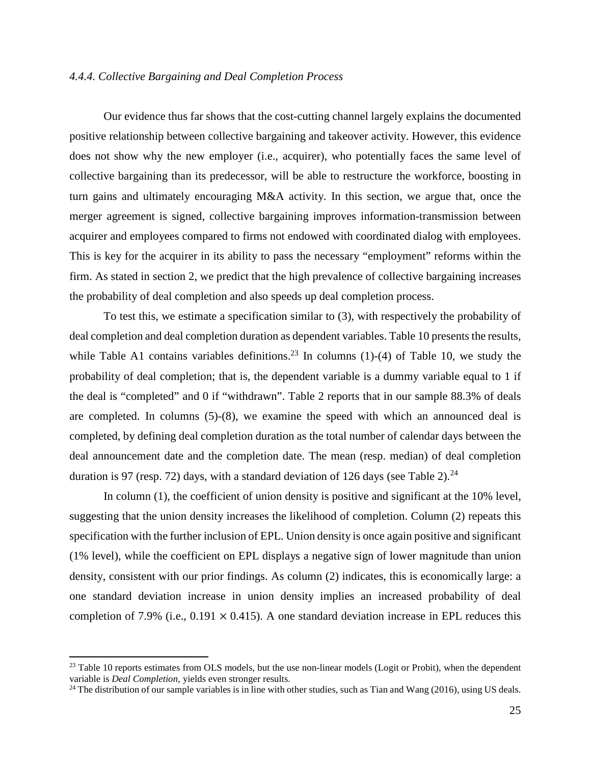## *4.4.4. Collective Bargaining and Deal Completion Process*

Our evidence thus far shows that the cost-cutting channel largely explains the documented positive relationship between collective bargaining and takeover activity. However, this evidence does not show why the new employer (i.e., acquirer), who potentially faces the same level of collective bargaining than its predecessor, will be able to restructure the workforce, boosting in turn gains and ultimately encouraging M&A activity. In this section, we argue that, once the merger agreement is signed, collective bargaining improves information-transmission between acquirer and employees compared to firms not endowed with coordinated dialog with employees. This is key for the acquirer in its ability to pass the necessary "employment" reforms within the firm. As stated in section 2, we predict that the high prevalence of collective bargaining increases the probability of deal completion and also speeds up deal completion process.

To test this, we estimate a specification similar to (3), with respectively the probability of deal completion and deal completion duration as dependent variables. Table 10 presents the results, while Table A1 contains variables definitions.<sup>23</sup> In columns  $(1)-(4)$  of Table 10, we study the probability of deal completion; that is, the dependent variable is a dummy variable equal to 1 if the deal is "completed" and 0 if "withdrawn". Table 2 reports that in our sample 88.3% of deals are completed. In columns (5)-(8), we examine the speed with which an announced deal is completed, by defining deal completion duration as the total number of calendar days between the deal announcement date and the completion date. The mean (resp. median) of deal completion duration is 97 (resp. 72) days, with a standard deviation of 126 days (see Table 2).<sup>24</sup>

In column (1), the coefficient of union density is positive and significant at the 10% level, suggesting that the union density increases the likelihood of completion. Column (2) repeats this specification with the further inclusion of EPL. Union density is once again positive and significant (1% level), while the coefficient on EPL displays a negative sign of lower magnitude than union density, consistent with our prior findings. As column (2) indicates, this is economically large: a one standard deviation increase in union density implies an increased probability of deal completion of 7.9% (i.e., 0.191  $\times$  0.415). A one standard deviation increase in EPL reduces this

<sup>&</sup>lt;sup>23</sup> Table 10 reports estimates from OLS models, but the use non-linear models (Logit or Probit), when the dependent variable is *Deal Completion*, yields even stronger results.

<sup>&</sup>lt;sup>24</sup> The distribution of our sample variables is in line with other studies, such as Tian and Wang (2016), using US deals.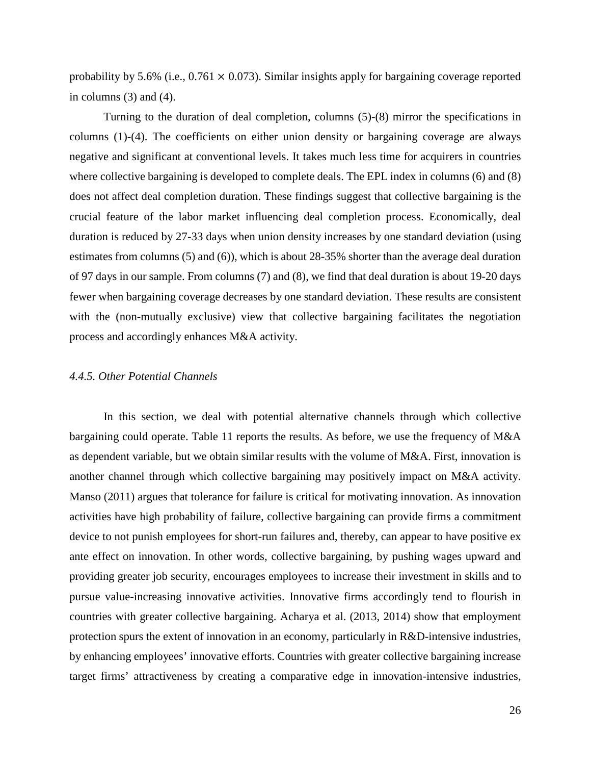probability by 5.6% (i.e.,  $0.761 \times 0.073$ ). Similar insights apply for bargaining coverage reported in columns  $(3)$  and  $(4)$ .

Turning to the duration of deal completion, columns (5)-(8) mirror the specifications in columns (1)-(4). The coefficients on either union density or bargaining coverage are always negative and significant at conventional levels. It takes much less time for acquirers in countries where collective bargaining is developed to complete deals. The EPL index in columns (6) and (8) does not affect deal completion duration. These findings suggest that collective bargaining is the crucial feature of the labor market influencing deal completion process. Economically, deal duration is reduced by 27-33 days when union density increases by one standard deviation (using estimates from columns (5) and (6)), which is about 28-35% shorter than the average deal duration of 97 days in our sample. From columns (7) and (8), we find that deal duration is about 19-20 days fewer when bargaining coverage decreases by one standard deviation. These results are consistent with the (non-mutually exclusive) view that collective bargaining facilitates the negotiation process and accordingly enhances M&A activity.

## *4.4.5. Other Potential Channels*

 In this section, we deal with potential alternative channels through which collective bargaining could operate. Table 11 reports the results. As before, we use the frequency of M&A as dependent variable, but we obtain similar results with the volume of M&A. First, innovation is another channel through which collective bargaining may positively impact on M&A activity. Manso (2011) argues that tolerance for failure is critical for motivating innovation. As innovation activities have high probability of failure, collective bargaining can provide firms a commitment device to not punish employees for short-run failures and, thereby, can appear to have positive ex ante effect on innovation. In other words, collective bargaining, by pushing wages upward and providing greater job security, encourages employees to increase their investment in skills and to pursue value-increasing innovative activities. Innovative firms accordingly tend to flourish in countries with greater collective bargaining. Acharya et al. (2013, 2014) show that employment protection spurs the extent of innovation in an economy, particularly in R&D-intensive industries, by enhancing employees' innovative efforts. Countries with greater collective bargaining increase target firms' attractiveness by creating a comparative edge in innovation-intensive industries,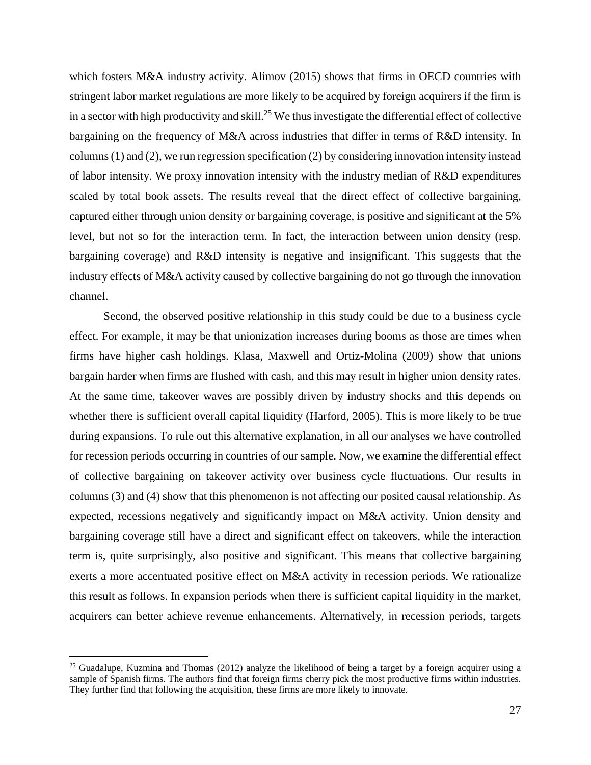which fosters M&A industry activity. Alimov (2015) shows that firms in OECD countries with stringent labor market regulations are more likely to be acquired by foreign acquirers if the firm is in a sector with high productivity and skill.<sup>25</sup> We thus investigate the differential effect of collective bargaining on the frequency of M&A across industries that differ in terms of R&D intensity. In columns (1) and (2), we run regression specification (2) by considering innovation intensity instead of labor intensity. We proxy innovation intensity with the industry median of R&D expenditures scaled by total book assets. The results reveal that the direct effect of collective bargaining, captured either through union density or bargaining coverage, is positive and significant at the 5% level, but not so for the interaction term. In fact, the interaction between union density (resp. bargaining coverage) and R&D intensity is negative and insignificant. This suggests that the industry effects of M&A activity caused by collective bargaining do not go through the innovation channel.

Second, the observed positive relationship in this study could be due to a business cycle effect. For example, it may be that unionization increases during booms as those are times when firms have higher cash holdings. Klasa, Maxwell and Ortiz-Molina (2009) show that unions bargain harder when firms are flushed with cash, and this may result in higher union density rates. At the same time, takeover waves are possibly driven by industry shocks and this depends on whether there is sufficient overall capital liquidity (Harford, 2005). This is more likely to be true during expansions. To rule out this alternative explanation, in all our analyses we have controlled for recession periods occurring in countries of our sample. Now, we examine the differential effect of collective bargaining on takeover activity over business cycle fluctuations. Our results in columns (3) and (4) show that this phenomenon is not affecting our posited causal relationship. As expected, recessions negatively and significantly impact on M&A activity. Union density and bargaining coverage still have a direct and significant effect on takeovers, while the interaction term is, quite surprisingly, also positive and significant. This means that collective bargaining exerts a more accentuated positive effect on M&A activity in recession periods. We rationalize this result as follows. In expansion periods when there is sufficient capital liquidity in the market, acquirers can better achieve revenue enhancements. Alternatively, in recession periods, targets

<sup>&</sup>lt;sup>25</sup> Guadalupe, Kuzmina and Thomas (2012) analyze the likelihood of being a target by a foreign acquirer using a sample of Spanish firms. The authors find that foreign firms cherry pick the most productive firms within industries. They further find that following the acquisition, these firms are more likely to innovate.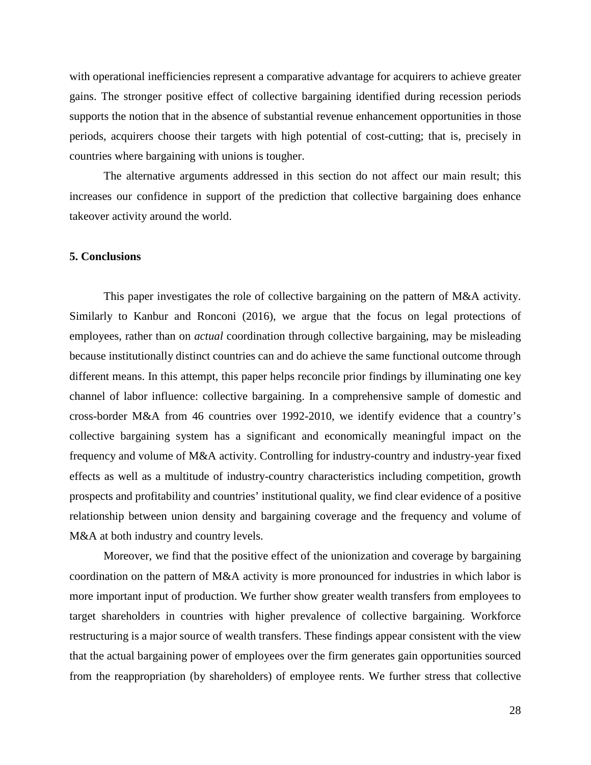with operational inefficiencies represent a comparative advantage for acquirers to achieve greater gains. The stronger positive effect of collective bargaining identified during recession periods supports the notion that in the absence of substantial revenue enhancement opportunities in those periods, acquirers choose their targets with high potential of cost-cutting; that is, precisely in countries where bargaining with unions is tougher.

The alternative arguments addressed in this section do not affect our main result; this increases our confidence in support of the prediction that collective bargaining does enhance takeover activity around the world.

## **5. Conclusions**

This paper investigates the role of collective bargaining on the pattern of M&A activity. Similarly to Kanbur and Ronconi (2016), we argue that the focus on legal protections of employees, rather than on *actual* coordination through collective bargaining, may be misleading because institutionally distinct countries can and do achieve the same functional outcome through different means. In this attempt, this paper helps reconcile prior findings by illuminating one key channel of labor influence: collective bargaining. In a comprehensive sample of domestic and cross-border M&A from 46 countries over 1992-2010, we identify evidence that a country's collective bargaining system has a significant and economically meaningful impact on the frequency and volume of M&A activity. Controlling for industry-country and industry-year fixed effects as well as a multitude of industry-country characteristics including competition, growth prospects and profitability and countries' institutional quality, we find clear evidence of a positive relationship between union density and bargaining coverage and the frequency and volume of M&A at both industry and country levels.

Moreover, we find that the positive effect of the unionization and coverage by bargaining coordination on the pattern of M&A activity is more pronounced for industries in which labor is more important input of production. We further show greater wealth transfers from employees to target shareholders in countries with higher prevalence of collective bargaining. Workforce restructuring is a major source of wealth transfers. These findings appear consistent with the view that the actual bargaining power of employees over the firm generates gain opportunities sourced from the reappropriation (by shareholders) of employee rents. We further stress that collective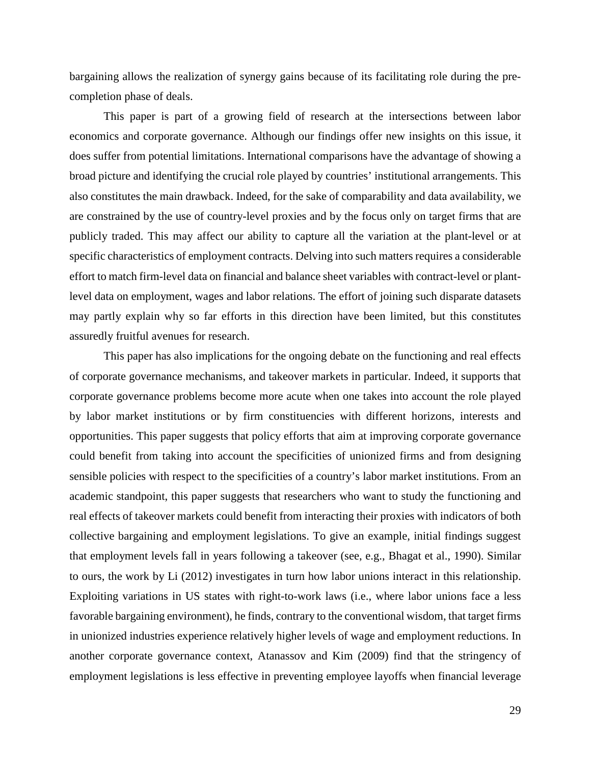bargaining allows the realization of synergy gains because of its facilitating role during the precompletion phase of deals.

This paper is part of a growing field of research at the intersections between labor economics and corporate governance. Although our findings offer new insights on this issue, it does suffer from potential limitations. International comparisons have the advantage of showing a broad picture and identifying the crucial role played by countries' institutional arrangements. This also constitutes the main drawback. Indeed, for the sake of comparability and data availability, we are constrained by the use of country-level proxies and by the focus only on target firms that are publicly traded. This may affect our ability to capture all the variation at the plant-level or at specific characteristics of employment contracts. Delving into such matters requires a considerable effort to match firm-level data on financial and balance sheet variables with contract-level or plantlevel data on employment, wages and labor relations. The effort of joining such disparate datasets may partly explain why so far efforts in this direction have been limited, but this constitutes assuredly fruitful avenues for research.

This paper has also implications for the ongoing debate on the functioning and real effects of corporate governance mechanisms, and takeover markets in particular. Indeed, it supports that corporate governance problems become more acute when one takes into account the role played by labor market institutions or by firm constituencies with different horizons, interests and opportunities. This paper suggests that policy efforts that aim at improving corporate governance could benefit from taking into account the specificities of unionized firms and from designing sensible policies with respect to the specificities of a country's labor market institutions. From an academic standpoint, this paper suggests that researchers who want to study the functioning and real effects of takeover markets could benefit from interacting their proxies with indicators of both collective bargaining and employment legislations. To give an example, initial findings suggest that employment levels fall in years following a takeover (see, e.g., Bhagat et al., 1990). Similar to ours, the work by Li (2012) investigates in turn how labor unions interact in this relationship. Exploiting variations in US states with right-to-work laws (i.e., where labor unions face a less favorable bargaining environment), he finds, contrary to the conventional wisdom, that target firms in unionized industries experience relatively higher levels of wage and employment reductions. In another corporate governance context, Atanassov and Kim (2009) find that the stringency of employment legislations is less effective in preventing employee layoffs when financial leverage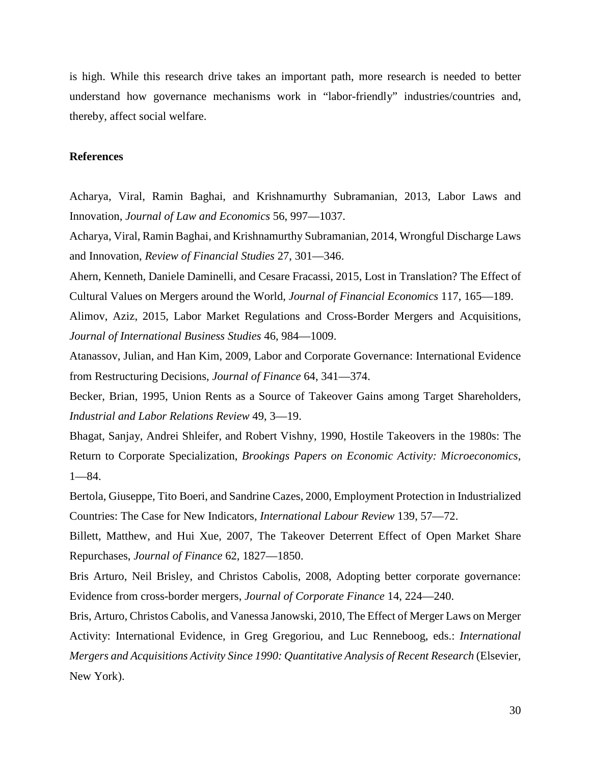is high. While this research drive takes an important path, more research is needed to better understand how governance mechanisms work in "labor-friendly" industries/countries and, thereby, affect social welfare.

## **References**

Acharya, Viral, Ramin Baghai, and Krishnamurthy Subramanian, 2013, Labor Laws and Innovation, *Journal of Law and Economics* 56, 997—1037.

Acharya, Viral, Ramin Baghai, and Krishnamurthy Subramanian, 2014, Wrongful Discharge Laws and Innovation, *Review of Financial Studies* 27, 301—346.

Ahern, Kenneth, Daniele Daminelli, and Cesare Fracassi, 2015, Lost in Translation? The Effect of Cultural Values on Mergers around the World, *Journal of Financial Economics* 117, 165—189.

Alimov, Aziz, 2015, Labor Market Regulations and Cross-Border Mergers and Acquisitions, *Journal of International Business Studies* 46, 984—1009.

Atanassov, Julian, and Han Kim, 2009, Labor and Corporate Governance: International Evidence from Restructuring Decisions, *Journal of Finance* 64, 341—374.

Becker, Brian, 1995, Union Rents as a Source of Takeover Gains among Target Shareholders, *Industrial and Labor Relations Review* 49, 3—19.

Bhagat, Sanjay, Andrei Shleifer, and Robert Vishny, 1990, Hostile Takeovers in the 1980s: The Return to Corporate Specialization, *Brookings Papers on Economic Activity: Microeconomics*, 1—84.

Bertola, Giuseppe, Tito Boeri, and Sandrine Cazes, 2000, Employment Protection in Industrialized Countries: The Case for New Indicators, *International Labour Review* 139, 57—72.

Billett, Matthew, and Hui Xue, 2007, The Takeover Deterrent Effect of Open Market Share Repurchases, *Journal of Finance* 62, 1827—1850.

Bris Arturo, Neil Brisley, and Christos Cabolis, 2008, Adopting better corporate governance: Evidence from cross-border mergers, *Journal of Corporate Finance* 14, 224—240.

Bris, Arturo, Christos Cabolis, and Vanessa Janowski, 2010, The Effect of Merger Laws on Merger Activity: International Evidence, in Greg Gregoriou, and Luc Renneboog, eds.: *International Mergers and Acquisitions Activity Since 1990: Quantitative Analysis of Recent Research* (Elsevier, New York).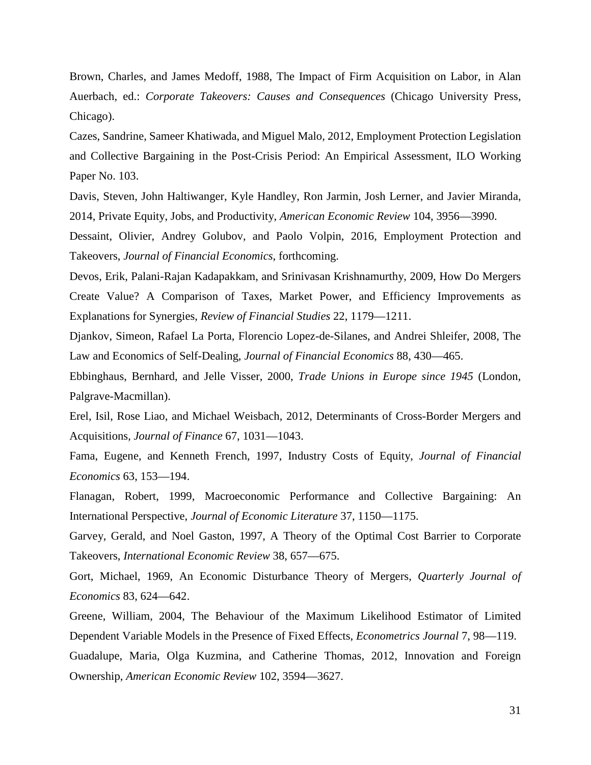Brown, Charles, and James Medoff, 1988, The Impact of Firm Acquisition on Labor, in Alan Auerbach, ed.: *Corporate Takeovers: Causes and Consequences* (Chicago University Press, Chicago).

Cazes, Sandrine, Sameer Khatiwada, and Miguel Malo, 2012, Employment Protection Legislation and Collective Bargaining in the Post-Crisis Period: An Empirical Assessment, ILO Working Paper No. 103.

Davis, Steven, John Haltiwanger, Kyle Handley, Ron Jarmin, Josh Lerner, and Javier Miranda, 2014, Private Equity, Jobs, and Productivity, *American Economic Review* 104, 3956—3990.

Dessaint, Olivier, Andrey Golubov, and Paolo Volpin, 2016, Employment Protection and Takeovers, *Journal of Financial Economics*, forthcoming.

Devos, Erik, Palani-Rajan Kadapakkam, and Srinivasan Krishnamurthy, 2009, How Do Mergers Create Value? A Comparison of Taxes, Market Power, and Efficiency Improvements as Explanations for Synergies, *Review of Financial Studies* 22, 1179—1211.

Djankov, Simeon, Rafael La Porta, Florencio Lopez-de-Silanes, and Andrei Shleifer, 2008, The Law and Economics of Self-Dealing, *Journal of Financial Economics* 88, 430—465.

Ebbinghaus, Bernhard, and Jelle Visser, 2000, *Trade Unions in Europe since 1945* (London, Palgrave-Macmillan).

Erel, Isil, Rose Liao, and Michael Weisbach, 2012, Determinants of Cross-Border Mergers and Acquisitions, *Journal of Finance* 67, 1031—1043.

Fama, Eugene, and Kenneth French, 1997, Industry Costs of Equity, *Journal of Financial Economics* 63, 153—194.

Flanagan, Robert, 1999, Macroeconomic Performance and Collective Bargaining: An International Perspective, *Journal of Economic Literature* 37, 1150—1175.

Garvey, Gerald, and Noel Gaston, 1997, A Theory of the Optimal Cost Barrier to Corporate Takeovers, *International Economic Review* 38, 657—675.

Gort, Michael, 1969, An Economic Disturbance Theory of Mergers, *Quarterly Journal of Economics* 83, 624—642.

Greene, William, 2004, The Behaviour of the Maximum Likelihood Estimator of Limited Dependent Variable Models in the Presence of Fixed Effects, *Econometrics Journal* 7, 98—119. Guadalupe, Maria, Olga Kuzmina, and Catherine Thomas, 2012, Innovation and Foreign Ownership, *American Economic Review* 102, 3594—3627.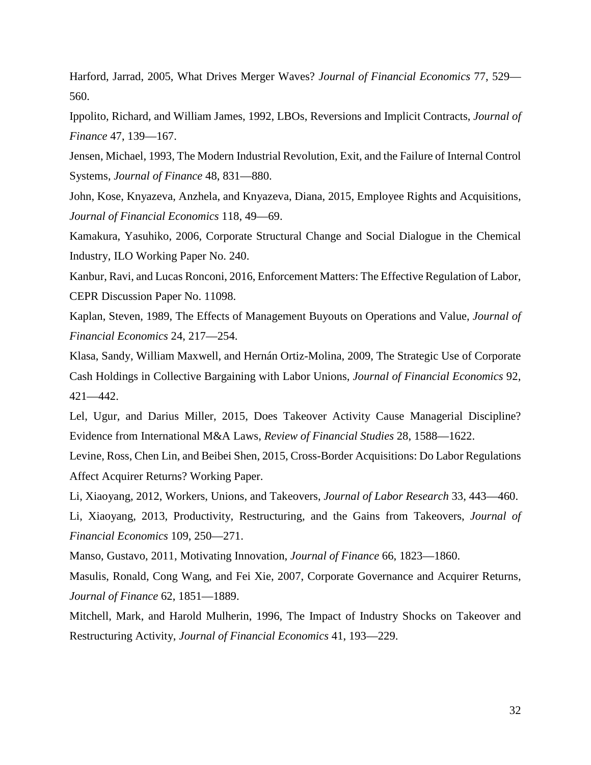Harford, Jarrad, 2005, What Drives Merger Waves? *Journal of Financial Economics* 77, 529— 560.

Ippolito, Richard, and William James, 1992, LBOs, Reversions and Implicit Contracts, *Journal of Finance* 47, 139—167.

Jensen, Michael, 1993, The Modern Industrial Revolution, Exit, and the Failure of Internal Control Systems, *Journal of Finance* 48, 831—880.

John, Kose, Knyazeva, Anzhela, and Knyazeva, Diana, 2015, Employee Rights and Acquisitions, *Journal of Financial Economics* 118, 49—69.

Kamakura, Yasuhiko, 2006, Corporate Structural Change and Social Dialogue in the Chemical Industry, ILO Working Paper No. 240.

Kanbur, Ravi, and Lucas Ronconi, 2016, Enforcement Matters: The Effective Regulation of Labor, CEPR Discussion Paper No. 11098.

Kaplan, Steven, 1989, The Effects of Management Buyouts on Operations and Value, *Journal of Financial Economics* 24, 217—254.

Klasa, Sandy, William Maxwell, and Hernán Ortiz-Molina, 2009, The Strategic Use of Corporate Cash Holdings in Collective Bargaining with Labor Unions, *Journal of Financial Economics* 92, 421—442.

Lel, Ugur, and Darius Miller, 2015, Does Takeover Activity Cause Managerial Discipline? Evidence from International M&A Laws, *Review of Financial Studies* 28, 1588—1622.

Levine, Ross, Chen Lin, and Beibei Shen, 2015, Cross-Border Acquisitions: Do Labor Regulations Affect Acquirer Returns? Working Paper.

Li, Xiaoyang, 2012, Workers, Unions, and Takeovers, *Journal of Labor Research* 33, 443—460.

Li, Xiaoyang, 2013, Productivity, Restructuring, and the Gains from Takeovers, *Journal of Financial Economics* 109, 250—271.

Manso, Gustavo, 2011, Motivating Innovation, *Journal of Finance* 66, 1823—1860.

Masulis, Ronald, Cong Wang, and Fei Xie, 2007, Corporate Governance and Acquirer Returns, *Journal of Finance* 62, 1851—1889.

Mitchell, Mark, and Harold Mulherin, 1996, The Impact of Industry Shocks on Takeover and Restructuring Activity, *Journal of Financial Economics* 41, 193—229.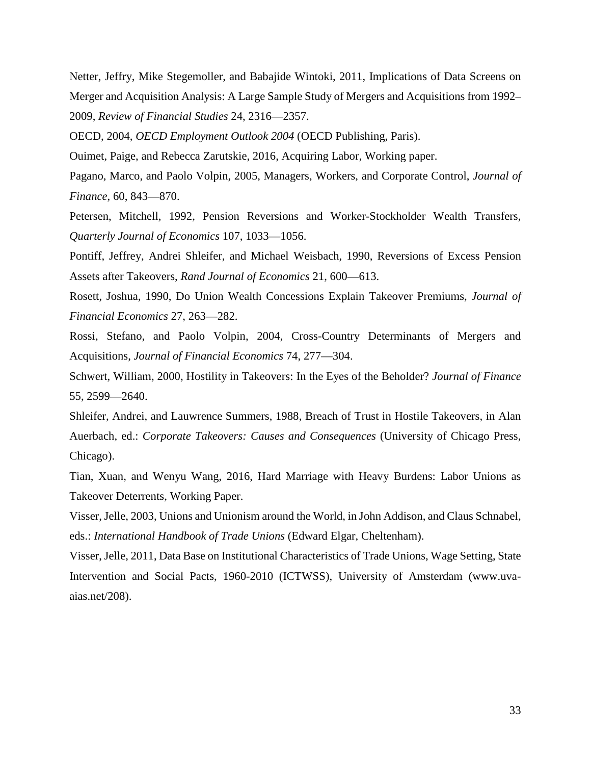Netter, Jeffry, Mike Stegemoller, and Babajide Wintoki, 2011, Implications of Data Screens on Merger and Acquisition Analysis: A Large Sample Study of Mergers and Acquisitions from 1992– 2009, *Review of Financial Studies* 24, 2316—2357.

OECD, 2004, *OECD Employment Outlook 2004* (OECD Publishing, Paris).

Ouimet, Paige, and Rebecca Zarutskie, 2016, Acquiring Labor, Working paper.

Pagano, Marco, and Paolo Volpin, 2005, Managers, Workers, and Corporate Control, *Journal of Finance*, 60, 843—870.

Petersen, Mitchell, 1992, Pension Reversions and Worker-Stockholder Wealth Transfers, *Quarterly Journal of Economics* 107, 1033—1056.

Pontiff, Jeffrey, Andrei Shleifer, and Michael Weisbach, 1990, Reversions of Excess Pension Assets after Takeovers, *Rand Journal of Economics* 21, 600—613.

Rosett, Joshua, 1990, Do Union Wealth Concessions Explain Takeover Premiums, *Journal of Financial Economics* 27, 263—282.

Rossi, Stefano, and Paolo Volpin, 2004, Cross-Country Determinants of Mergers and Acquisitions, *Journal of Financial Economics* 74, 277—304.

Schwert, William, 2000, Hostility in Takeovers: In the Eyes of the Beholder? *Journal of Finance* 55, 2599—2640.

Shleifer, Andrei, and Lauwrence Summers, 1988, Breach of Trust in Hostile Takeovers, in Alan Auerbach, ed.: *Corporate Takeovers: Causes and Consequences* (University of Chicago Press, Chicago).

Tian, Xuan, and Wenyu Wang, 2016, Hard Marriage with Heavy Burdens: Labor Unions as Takeover Deterrents, Working Paper.

Visser, Jelle, 2003, Unions and Unionism around the World, in John Addison, and Claus Schnabel, eds.: *International Handbook of Trade Unions* (Edward Elgar, Cheltenham).

Visser, Jelle, 2011, Data Base on Institutional Characteristics of Trade Unions, Wage Setting, State Intervention and Social Pacts, 1960-2010 (ICTWSS), University of Amsterdam (www.uvaaias.net/208).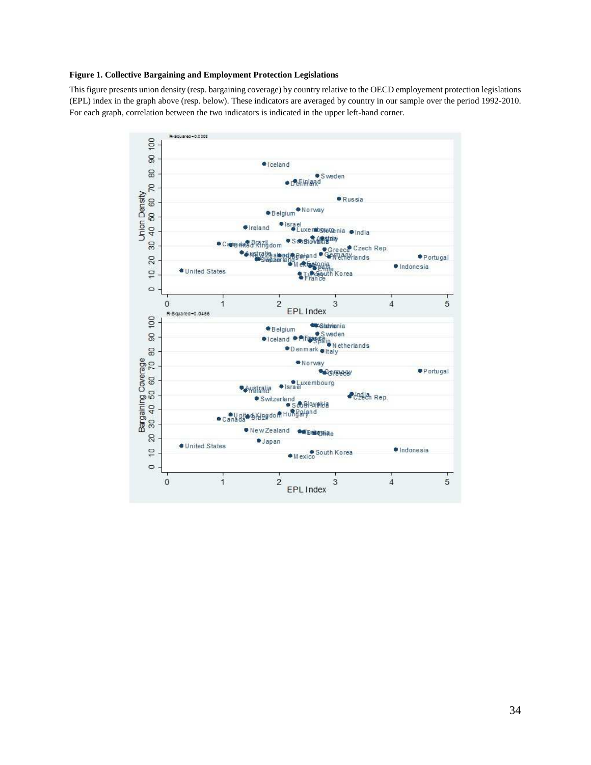## **Figure 1. Collective Bargaining and Employment Protection Legislations**

This figure presents union density (resp. bargaining coverage) by country relative to the OECD employement protection legislations (EPL) index in the graph above (resp. below). These indicators are averaged by country in our sample over the period 1992-2010. For each graph, correlation between the two indicators is indicated in the upper left-hand corner.

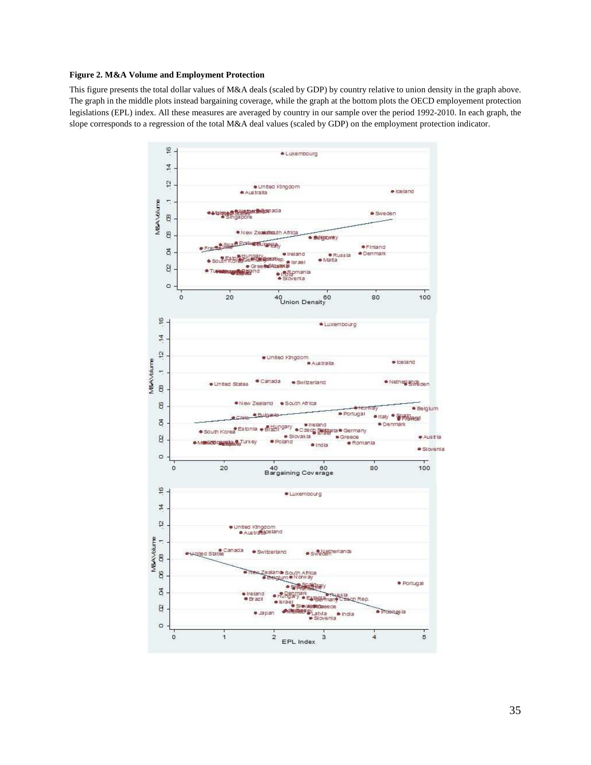## **Figure 2. M&A Volume and Employment Protection**

This figure presents the total dollar values of M&A deals (scaled by GDP) by country relative to union density in the graph above. The graph in the middle plots instead bargaining coverage, while the graph at the bottom plots the OECD employement protection legislations (EPL) index. All these measures are averaged by country in our sample over the period 1992-2010. In each graph, the slope corresponds to a regression of the total M&A deal values (scaled by GDP) on the employment protection indicator.

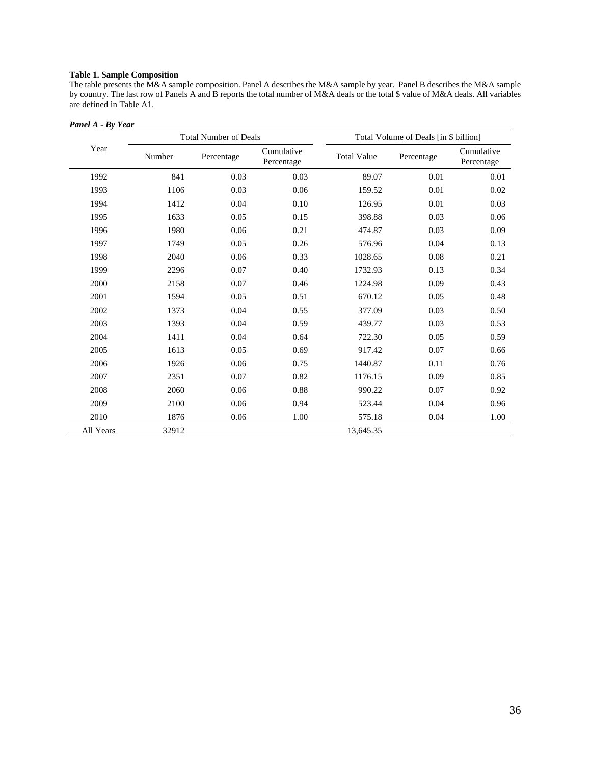## **Table 1. Sample Composition**

The table presents the M&A sample composition. Panel A describes the M&A sample by year. Panel B describes the M&A sample by country. The last row of Panels A and B reports the total number of M&A deals or the total \$ value of M&A deals. All variables are defined in Table A1.

#### *Panel A - By Year*

|           |        | <b>Total Number of Deals</b> |                          | Total Volume of Deals [in \$ billion] |            |                          |  |  |  |
|-----------|--------|------------------------------|--------------------------|---------------------------------------|------------|--------------------------|--|--|--|
| Year      | Number | Percentage                   | Cumulative<br>Percentage | <b>Total Value</b>                    | Percentage | Cumulative<br>Percentage |  |  |  |
| 1992      | 841    | 0.03                         | 0.03                     | 89.07                                 | 0.01       | 0.01                     |  |  |  |
| 1993      | 1106   | 0.03                         | 0.06                     | 159.52                                | $0.01\,$   | 0.02                     |  |  |  |
| 1994      | 1412   | $0.04\,$                     | 0.10                     | 126.95                                | $0.01\,$   | 0.03                     |  |  |  |
| 1995      | 1633   | 0.05                         | 0.15                     | 398.88                                | 0.03       | 0.06                     |  |  |  |
| 1996      | 1980   | 0.06                         | 0.21                     | 474.87                                | 0.03       | 0.09                     |  |  |  |
| 1997      | 1749   | 0.05                         | 0.26                     | 576.96                                | 0.04       | 0.13                     |  |  |  |
| 1998      | 2040   | 0.06                         | 0.33                     | 1028.65                               | $0.08\,$   | 0.21                     |  |  |  |
| 1999      | 2296   | 0.07                         | 0.40                     | 1732.93                               | 0.13       | 0.34                     |  |  |  |
| 2000      | 2158   | 0.07                         | 0.46                     | 1224.98                               | 0.09       | 0.43                     |  |  |  |
| 2001      | 1594   | 0.05                         | 0.51                     | 670.12                                | 0.05       | 0.48                     |  |  |  |
| 2002      | 1373   | 0.04                         | 0.55                     | 377.09                                | 0.03       | 0.50                     |  |  |  |
| 2003      | 1393   | 0.04                         | 0.59                     | 439.77                                | 0.03       | 0.53                     |  |  |  |
| 2004      | 1411   | 0.04                         | 0.64                     | 722.30                                | 0.05       | 0.59                     |  |  |  |
| 2005      | 1613   | 0.05                         | 0.69                     | 917.42                                | 0.07       | 0.66                     |  |  |  |
| 2006      | 1926   | 0.06                         | 0.75                     | 1440.87                               | 0.11       | 0.76                     |  |  |  |
| 2007      | 2351   | 0.07                         | 0.82                     | 1176.15                               | 0.09       | 0.85                     |  |  |  |
| 2008      | 2060   | 0.06                         | 0.88                     | 990.22                                | 0.07       | 0.92                     |  |  |  |
| 2009      | 2100   | 0.06                         | 0.94                     | 523.44                                | 0.04       | 0.96                     |  |  |  |
| 2010      | 1876   | 0.06                         | 1.00                     | 575.18                                | 0.04       | 1.00                     |  |  |  |
| All Years | 32912  |                              |                          | 13,645.35                             |            |                          |  |  |  |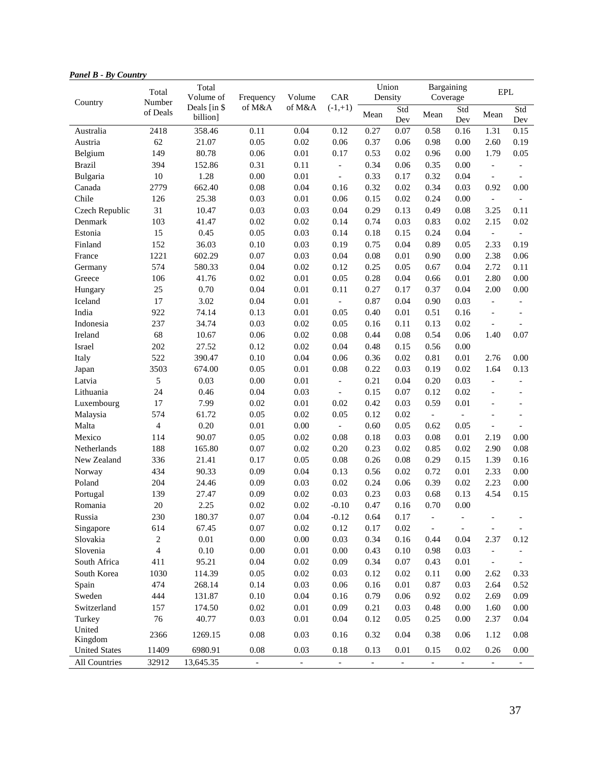| -anet <b>D - D</b> y Countr<br>Country | Total<br>Number | Total<br>Volume of       | Frequency                | Volume   | CAR                      | Union<br>Density         |                | Bargaining<br>Coverage      |                          | $\ensuremath{\mathrm{EPL}}$ |                          |
|----------------------------------------|-----------------|--------------------------|--------------------------|----------|--------------------------|--------------------------|----------------|-----------------------------|--------------------------|-----------------------------|--------------------------|
|                                        | of Deals        | Deals [in \$<br>billion] | of M&A                   | of M&A   | $(-1,+1)$                | Mean                     | Std<br>Dev     | Mean                        | Std<br>Dev               | Mean                        | Std<br>Dev               |
| Australia                              | 2418            | 358.46                   | 0.11                     | 0.04     | 0.12                     | 0.27                     | 0.07           | 0.58                        | 0.16                     | 1.31                        | 0.15                     |
| Austria                                | 62              | 21.07                    | 0.05                     | $0.02\,$ | 0.06                     | 0.37                     | 0.06           | 0.98                        | 0.00                     | 2.60                        | 0.19                     |
| Belgium                                | 149             | 80.78                    | 0.06                     | $0.01\,$ | 0.17                     | 0.53                     | 0.02           | 0.96                        | 0.00                     | 1.79                        | 0.05                     |
| <b>Brazil</b>                          | 394             | 152.86                   | 0.31                     | 0.11     | $\overline{\phantom{a}}$ | 0.34                     | 0.06           | 0.35                        | 0.00                     | $\overline{\phantom{a}}$    | $\overline{\phantom{a}}$ |
| Bulgaria                               | 10              | 1.28                     | 0.00                     | $0.01\,$ | $\overline{\phantom{a}}$ | 0.33                     | 0.17           | 0.32                        | 0.04                     | $\overline{\phantom{a}}$    | $\overline{\phantom{a}}$ |
| Canada                                 | 2779            | 662.40                   | 0.08                     | 0.04     | 0.16                     | 0.32                     | 0.02           | 0.34                        | 0.03                     | 0.92                        | 0.00                     |
| Chile                                  | 126             | 25.38                    | 0.03                     | $0.01\,$ | 0.06                     | 0.15                     | 0.02           | 0.24                        | 0.00                     | $\overline{\phantom{a}}$    | $\overline{\phantom{a}}$ |
| Czech Republic                         | 31              | 10.47                    | 0.03                     | 0.03     | 0.04                     | 0.29                     | 0.13           | 0.49                        | 0.08                     | 3.25                        | 0.11                     |
| Denmark                                | 103             | 41.47                    | 0.02                     | $0.02\,$ | 0.14                     | 0.74                     | 0.03           | 0.83                        | 0.02                     | 2.15                        | 0.02                     |
| Estonia                                | 15              | 0.45                     | 0.05                     | 0.03     | 0.14                     | 0.18                     | 0.15           | 0.24                        | 0.04                     | $\overline{\phantom{a}}$    | $\overline{\phantom{a}}$ |
| Finland                                | 152             | 36.03                    | 0.10                     | 0.03     | 0.19                     | 0.75                     | 0.04           | 0.89                        | 0.05                     | 2.33                        | 0.19                     |
| France                                 | 1221            | 602.29                   | 0.07                     | 0.03     | 0.04                     | 0.08                     | 0.01           | 0.90                        | 0.00                     | 2.38                        | 0.06                     |
| Germany                                | 574             | 580.33                   | 0.04                     | 0.02     | 0.12                     | 0.25                     | 0.05           | 0.67                        | 0.04                     | 2.72                        | 0.11                     |
| Greece                                 | 106             | 41.76                    | 0.02                     | $0.01\,$ | 0.05                     | 0.28                     | 0.04           | 0.66                        | $0.01\,$                 | 2.80                        | 0.00                     |
| Hungary                                | 25              | 0.70                     | 0.04                     | $0.01\,$ | 0.11                     | 0.27                     | 0.17           | 0.37                        | 0.04                     | 2.00                        | 0.00                     |
| Iceland                                | 17              | 3.02                     | 0.04                     | $0.01\,$ | $\overline{\phantom{a}}$ | 0.87                     | 0.04           | 0.90                        | 0.03                     | $\overline{\phantom{a}}$    | $\overline{\phantom{a}}$ |
| India                                  | 922             | 74.14                    | 0.13                     | $0.01\,$ | 0.05                     | 0.40                     | 0.01           | 0.51                        | 0.16                     | $\overline{a}$              | $\overline{\phantom{a}}$ |
| Indonesia                              | 237             | 34.74                    | 0.03                     | $0.02\,$ | 0.05                     | 0.16                     | 0.11           | 0.13                        | 0.02                     | $\blacksquare$              |                          |
| Ireland                                | 68              | 10.67                    | 0.06                     | 0.02     | 0.08                     | 0.44                     | 0.08           | 0.54                        | 0.06                     | 1.40                        | 0.07                     |
| Israel                                 | 202             | 27.52                    | 0.12                     | $0.02\,$ | 0.04                     | 0.48                     | 0.15           | 0.56                        | 0.00                     |                             |                          |
| Italy                                  | 522             | 390.47                   | 0.10                     | 0.04     | 0.06                     | 0.36                     | 0.02           | 0.81                        | 0.01                     | 2.76                        | 0.00                     |
| Japan                                  | 3503            | 674.00                   | 0.05                     | $0.01\,$ | 0.08                     | 0.22                     | 0.03           | 0.19                        | 0.02                     | 1.64                        | 0.13                     |
| Latvia                                 | 5               | 0.03                     | 0.00                     | $0.01\,$ | $\overline{\phantom{a}}$ | 0.21                     | 0.04           | 0.20                        | 0.03                     | $\mathcal{L}$               | $\blacksquare$           |
| Lithuania                              | 24              | 0.46                     | 0.04                     | 0.03     | $\blacksquare$           | 0.15                     | 0.07           | 0.12                        | 0.02                     |                             | $\overline{\phantom{a}}$ |
| Luxembourg                             | 17              | 7.99                     | 0.02                     | $0.01\,$ | 0.02                     | 0.42                     | 0.03           | 0.59                        | 0.01                     |                             | $\overline{\phantom{a}}$ |
| Malaysia                               | 574             | 61.72                    | 0.05                     | $0.02\,$ | 0.05                     | 0.12                     | 0.02           | $\mathcal{L}_{\mathcal{A}}$ | $\equiv$                 |                             | $\overline{\phantom{a}}$ |
| Malta                                  | $\overline{4}$  | 0.20                     | 0.01                     | $0.00\,$ | $\overline{\phantom{a}}$ | 0.60                     | 0.05           | 0.62                        | 0.05                     | $\overline{\phantom{a}}$    | $\overline{\phantom{a}}$ |
| Mexico                                 | 114             | 90.07                    | 0.05                     | $0.02\,$ | 0.08                     | 0.18                     | 0.03           | 0.08                        | 0.01                     | 2.19                        | 0.00                     |
| Netherlands                            | 188             | 165.80                   | 0.07                     | $0.02\,$ | 0.20                     | 0.23                     | 0.02           | 0.85                        | 0.02                     | 2.90                        | 0.08                     |
| New Zealand                            | 336             | 21.41                    | 0.17                     | 0.05     | 0.08                     | 0.26                     | 0.08           | 0.29                        | 0.15                     | 1.39                        | 0.16                     |
| Norway                                 | 434             | 90.33                    | 0.09                     | 0.04     | 0.13                     | 0.56                     | 0.02           | 0.72                        | 0.01                     | 2.33                        | 0.00                     |
| Poland                                 | 204             | 24.46                    | 0.09                     | 0.03     | 0.02                     | 0.24                     | 0.06           | 0.39                        | 0.02                     | 2.23                        | 0.00                     |
| Portugal                               | 139             | 27.47                    | 0.09                     | 0.02     | 0.03                     | 0.23                     | 0.03           | 0.68                        | 0.13                     | 4.54                        | 0.15                     |
| Romania                                | 20              | 2.25                     | 0.02                     | 0.02     | $-0.10$                  | 0.47                     | 0.16           | 0.70                        | $0.00\,$                 |                             |                          |
| Russia                                 | 230             | 180.37                   | 0.07                     | $0.04\,$ | $-0.12$                  | 0.64                     | 0.17           | $\overline{a}$              |                          |                             |                          |
| Singapore                              | 614             | 67.45                    | $0.07\,$                 | $0.02\,$ | 0.12                     | 0.17                     | 0.02           |                             |                          |                             |                          |
| Slovakia                               | $\overline{c}$  | $0.01\,$                 | $0.00\,$                 | $0.00\,$ | 0.03                     | 0.34                     | $0.16\,$       | 0.44                        | 0.04                     | 2.37                        | 0.12                     |
| Slovenia                               | $\overline{4}$  | $0.10\,$                 | $0.00\,$                 | $0.01\,$ | $0.00\,$                 | 0.43                     | 0.10           | 0.98                        | 0.03                     | $\overline{\phantom{a}}$    |                          |
| South Africa                           | 411             | 95.21                    | 0.04                     | $0.02\,$ | 0.09                     | 0.34                     | 0.07           | 0.43                        | $0.01\,$                 | $\overline{\phantom{a}}$    | $\overline{\phantom{a}}$ |
| South Korea                            | 1030            | 114.39                   | 0.05                     | $0.02\,$ | 0.03                     | 0.12                     | 0.02           | 0.11                        | 0.00                     | 2.62                        | 0.33                     |
| Spain                                  | 474             | 268.14                   | 0.14                     | $0.03\,$ | $0.06\,$                 | 0.16                     | 0.01           | 0.87                        | 0.03                     | 2.64                        | 0.52                     |
| Sweden                                 | 444             | 131.87                   | 0.10                     | $0.04\,$ | $0.16\,$                 | 0.79                     | 0.06           | 0.92                        | 0.02                     | 2.69                        | 0.09                     |
| Switzerland                            | 157             | 174.50                   | $0.02\,$                 | $0.01\,$ | 0.09                     | 0.21                     | 0.03           | 0.48                        | 0.00                     | 1.60                        | 0.00                     |
| Turkey                                 | 76              | 40.77                    | 0.03                     | $0.01\,$ | 0.04                     | 0.12                     | 0.05           | 0.25                        | 0.00                     | 2.37                        | $0.04\,$                 |
| United                                 |                 |                          |                          |          |                          |                          |                |                             |                          |                             |                          |
| Kingdom                                | 2366            | 1269.15                  | $0.08\,$                 | 0.03     | 0.16                     | 0.32                     | 0.04           | 0.38                        | 0.06                     | 1.12                        | $0.08\,$                 |
| <b>United States</b>                   | 11409           | 6980.91                  | 0.08                     | 0.03     | 0.18                     | 0.13                     | 0.01           | 0.15                        | 0.02                     | 0.26                        | 0.00                     |
| All Countries                          | 32912           | 13,645.35                | $\overline{\phantom{a}}$ | $\omega$ | $\overline{\phantom{a}}$ | $\overline{\phantom{a}}$ | $\blacksquare$ | $\blacksquare$              | $\overline{\phantom{a}}$ | $\overline{\phantom{a}}$    | $\blacksquare$           |

## *Panel B - By Country*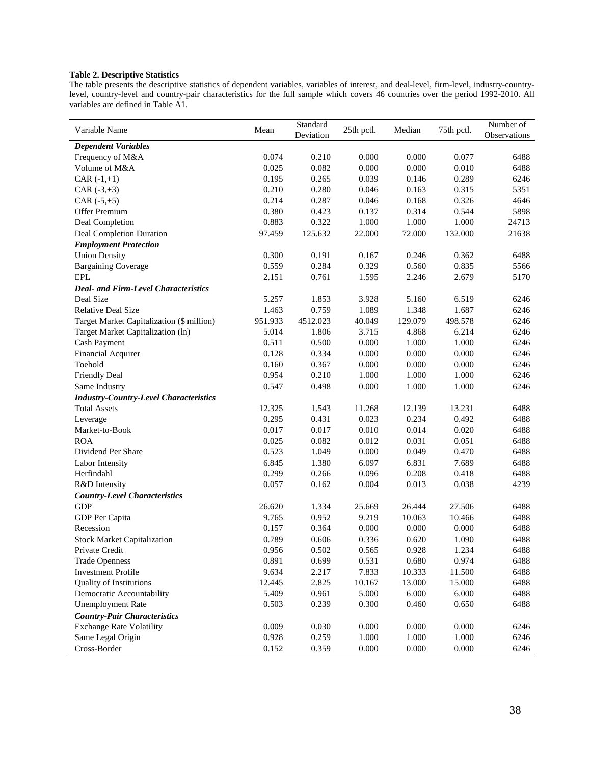## **Table 2. Descriptive Statistics**

The table presents the descriptive statistics of dependent variables, variables of interest, and deal-level, firm-level, industry-countrylevel, country-level and country-pair characteristics for the full sample which covers 46 countries over the period 1992-2010. All variables are defined in Table A1.

| Variable Name                                 | Mean    | Standard  | 25th pctl. | Median  | 75th pctl. | Number of    |
|-----------------------------------------------|---------|-----------|------------|---------|------------|--------------|
|                                               |         | Deviation |            |         |            | Observations |
| <b>Dependent Variables</b>                    |         |           |            |         |            |              |
| Frequency of M&A                              | 0.074   | 0.210     | 0.000      | 0.000   | 0.077      | 6488         |
| Volume of M&A                                 | 0.025   | 0.082     | 0.000      | 0.000   | 0.010      | 6488         |
| $CAR (-1,+1)$                                 | 0.195   | 0.265     | 0.039      | 0.146   | 0.289      | 6246         |
| CAR $(-3,+3)$                                 | 0.210   | 0.280     | 0.046      | 0.163   | 0.315      | 5351         |
| $CAR (+5, +5)$                                | 0.214   | 0.287     | 0.046      | 0.168   | 0.326      | 4646         |
| Offer Premium                                 | 0.380   | 0.423     | 0.137      | 0.314   | 0.544      | 5898         |
| Deal Completion                               | 0.883   | 0.322     | 1.000      | 1.000   | 1.000      | 24713        |
| Deal Completion Duration                      | 97.459  | 125.632   | 22.000     | 72.000  | 132.000    | 21638        |
| <b>Employment Protection</b>                  |         |           |            |         |            |              |
| <b>Union Density</b>                          | 0.300   | 0.191     | 0.167      | 0.246   | 0.362      | 6488         |
| <b>Bargaining Coverage</b>                    | 0.559   | 0.284     | 0.329      | 0.560   | 0.835      | 5566         |
| <b>EPL</b>                                    | 2.151   | 0.761     | 1.595      | 2.246   | 2.679      | 5170         |
| <b>Deal- and Firm-Level Characteristics</b>   |         |           |            |         |            |              |
| Deal Size                                     | 5.257   | 1.853     | 3.928      | 5.160   | 6.519      | 6246         |
| <b>Relative Deal Size</b>                     | 1.463   | 0.759     | 1.089      | 1.348   | 1.687      | 6246         |
| Target Market Capitalization (\$ million)     | 951.933 | 4512.023  | 40.049     | 129.079 | 498.578    | 6246         |
| Target Market Capitalization (ln)             | 5.014   | 1.806     | 3.715      | 4.868   | 6.214      | 6246         |
| Cash Payment                                  | 0.511   | 0.500     | 0.000      | 1.000   | 1.000      | 6246         |
| Financial Acquirer                            | 0.128   | 0.334     | 0.000      | 0.000   | 0.000      | 6246         |
| Toehold                                       | 0.160   | 0.367     | 0.000      | 0.000   | 0.000      | 6246         |
| <b>Friendly Deal</b>                          | 0.954   | 0.210     | 1.000      | 1.000   | 1.000      | 6246         |
| Same Industry                                 | 0.547   | 0.498     | 0.000      | 1.000   | 1.000      | 6246         |
| <b>Industry-Country-Level Characteristics</b> |         |           |            |         |            |              |
| <b>Total Assets</b>                           | 12.325  | 1.543     | 11.268     | 12.139  | 13.231     | 6488         |
| Leverage                                      | 0.295   | 0.431     | 0.023      | 0.234   | 0.492      | 6488         |
| Market-to-Book                                | 0.017   | 0.017     | 0.010      | 0.014   | 0.020      | 6488         |
| <b>ROA</b>                                    | 0.025   | 0.082     | 0.012      | 0.031   | 0.051      | 6488         |
| Dividend Per Share                            | 0.523   | 1.049     | 0.000      | 0.049   | 0.470      | 6488         |
| Labor Intensity                               | 6.845   | 1.380     | 6.097      | 6.831   | 7.689      | 6488         |
| Herfindahl                                    | 0.299   | 0.266     | 0.096      | 0.208   | 0.418      | 6488         |
| R&D Intensity                                 | 0.057   | 0.162     | 0.004      | 0.013   | 0.038      | 4239         |
| <b>Country-Level Characteristics</b>          |         |           |            |         |            |              |
| <b>GDP</b>                                    | 26.620  | 1.334     | 25.669     | 26.444  | 27.506     | 6488         |
| GDP Per Capita                                | 9.765   | 0.952     | 9.219      | 10.063  | 10.466     | 6488         |
| Recession                                     | 0.157   | 0.364     | 0.000      | 0.000   | 0.000      | 6488         |
| <b>Stock Market Capitalization</b>            | 0.789   | 0.606     | 0.336      | 0.620   | 1.090      | 6488         |
| Private Credit                                | 0.956   | 0.502     | 0.565      | 0.928   | 1.234      | 6488         |
| <b>Trade Openness</b>                         | 0.891   | 0.699     | 0.531      | 0.680   | 0.974      | 6488         |
| <b>Investment Profile</b>                     | 9.634   | 2.217     | 7.833      | 10.333  | 11.500     | 6488         |
| <b>Quality of Institutions</b>                | 12.445  | 2.825     | 10.167     | 13.000  | 15.000     | 6488         |
| Democratic Accountability                     | 5.409   | 0.961     | 5.000      | 6.000   | 6.000      | 6488         |
| <b>Unemployment Rate</b>                      | 0.503   | 0.239     | 0.300      | 0.460   | 0.650      | 6488         |
| <b>Country-Pair Characteristics</b>           |         |           |            |         |            |              |
| <b>Exchange Rate Volatility</b>               | 0.009   | 0.030     | 0.000      | 0.000   | 0.000      | 6246         |
| Same Legal Origin                             | 0.928   | 0.259     | 1.000      | 1.000   | 1.000      | 6246         |
| Cross-Border                                  | 0.152   | 0.359     | 0.000      | 0.000   | 0.000      | 6246         |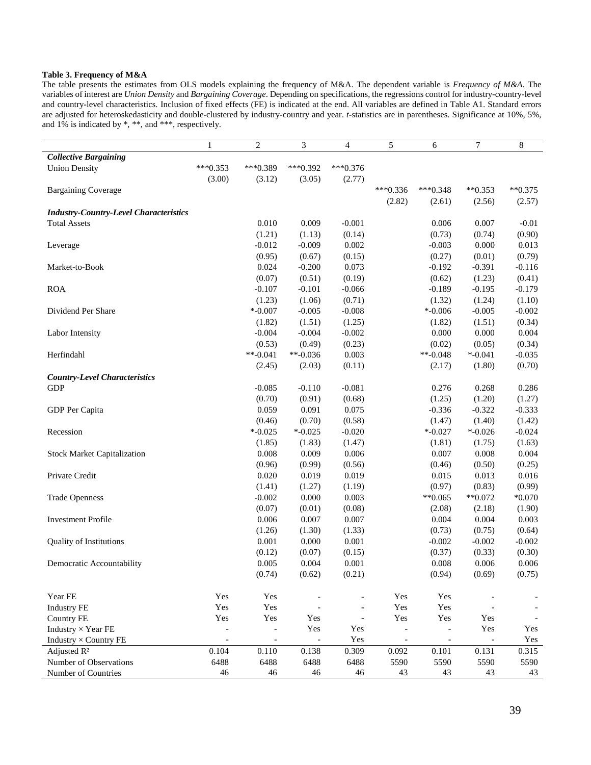## **Table 3. Frequency of M&A**

The table presents the estimates from OLS models explaining the frequency of M&A. The dependent variable is *Frequency of M&A*. The variables of interest are *Union Density* and *Bargaining Coverage*. Depending on specifications, the regressions control for industry-country-level and country-level characteristics. Inclusion of fixed effects (FE) is indicated at the end. All variables are defined in Table A1. Standard errors are adjusted for heteroskedasticity and double-clustered by industry-country and year. *t*-statistics are in parentheses. Significance at 10%, 5%, and 1% is indicated by \*, \*\*, and \*\*\*, respectively.

|                                               | 1                        | $\overline{c}$           | 3                        | 4          | 5                        | 6                        | 7                        | 8            |
|-----------------------------------------------|--------------------------|--------------------------|--------------------------|------------|--------------------------|--------------------------|--------------------------|--------------|
| <b>Collective Bargaining</b>                  |                          |                          |                          |            |                          |                          |                          |              |
| <b>Union Density</b>                          | $***0.353$               | $***0.389$               | $***0.392$               | $***0.376$ |                          |                          |                          |              |
|                                               | (3.00)                   | (3.12)                   | (3.05)                   | (2.77)     |                          |                          |                          |              |
| <b>Bargaining Coverage</b>                    |                          |                          |                          |            | $***0.336$               | $***0.348$               | $*$ *0.353               | $*$ $*0.375$ |
|                                               |                          |                          |                          |            | (2.82)                   | (2.61)                   | (2.56)                   | (2.57)       |
| <b>Industry-Country-Level Characteristics</b> |                          |                          |                          |            |                          |                          |                          |              |
| <b>Total Assets</b>                           |                          | 0.010                    | 0.009                    | $-0.001$   |                          | 0.006                    | 0.007                    | $-0.01$      |
|                                               |                          | (1.21)                   | (1.13)                   | (0.14)     |                          | (0.73)                   | (0.74)                   | (0.90)       |
| Leverage                                      |                          | $-0.012$                 | $-0.009$                 | 0.002      |                          | $-0.003$                 | 0.000                    | 0.013        |
|                                               |                          | (0.95)                   | (0.67)                   | (0.15)     |                          | (0.27)                   | (0.01)                   | (0.79)       |
| Market-to-Book                                |                          | 0.024                    | $-0.200$                 | 0.073      |                          | $-0.192$                 | $-0.391$                 | $-0.116$     |
|                                               |                          | (0.07)                   | (0.51)                   | (0.19)     |                          | (0.62)                   | (1.23)                   | (0.41)       |
| <b>ROA</b>                                    |                          | $-0.107$                 | $-0.101$                 | $-0.066$   |                          | $-0.189$                 | $-0.195$                 | $-0.179$     |
|                                               |                          | (1.23)                   | (1.06)                   | (0.71)     |                          | (1.32)                   | (1.24)                   | (1.10)       |
| Dividend Per Share                            |                          | $* -0.007$               | $-0.005$                 | $-0.008$   |                          | $* -0.006$               | $-0.005$                 | $-0.002$     |
|                                               |                          | (1.82)                   | (1.51)                   | (1.25)     |                          | (1.82)                   | (1.51)                   | (0.34)       |
| Labor Intensity                               |                          | $-0.004$                 | $-0.004$                 | $-0.002$   |                          | 0.000                    | 0.000                    | 0.004        |
|                                               |                          | (0.53)                   | (0.49)                   | (0.23)     |                          | (0.02)                   | (0.05)                   | (0.34)       |
| Herfindahl                                    |                          | $**-0.041$               | $**-0.036$               | 0.003      |                          | $**-0.048$               | $* -0.041$               | $-0.035$     |
|                                               |                          | (2.45)                   | (2.03)                   | (0.11)     |                          | (2.17)                   | (1.80)                   | (0.70)       |
| <b>Country-Level Characteristics</b>          |                          |                          |                          |            |                          |                          |                          |              |
| <b>GDP</b>                                    |                          | $-0.085$                 | $-0.110$                 | $-0.081$   |                          | 0.276                    | 0.268                    | 0.286        |
|                                               |                          | (0.70)                   | (0.91)                   | (0.68)     |                          | (1.25)                   | (1.20)                   | (1.27)       |
| GDP Per Capita                                |                          | 0.059                    | 0.091                    | 0.075      |                          | $-0.336$                 | $-0.322$                 | $-0.333$     |
|                                               |                          | (0.46)                   | (0.70)                   | (0.58)     |                          | (1.47)                   | (1.40)                   | (1.42)       |
| Recession                                     |                          | $* -0.025$               | $* -0.025$               | $-0.020$   |                          | $* -0.027$               | $* -0.026$               | $-0.024$     |
|                                               |                          | (1.85)                   | (1.83)                   | (1.47)     |                          | (1.81)                   | (1.75)                   | (1.63)       |
| <b>Stock Market Capitalization</b>            |                          | 0.008                    | 0.009                    | 0.006      |                          | 0.007                    | 0.008                    | 0.004        |
|                                               |                          | (0.96)                   | (0.99)                   | (0.56)     |                          | (0.46)                   | (0.50)                   | (0.25)       |
| Private Credit                                |                          | 0.020                    | 0.019                    | 0.019      |                          | 0.015                    | 0.013                    | 0.016        |
|                                               |                          | (1.41)                   | (1.27)                   | (1.19)     |                          | (0.97)                   | (0.83)                   | (0.99)       |
| <b>Trade Openness</b>                         |                          | $-0.002$                 | 0.000                    | 0.003      |                          | $*$ $*0.065$             | $**0.072$                | $*0.070$     |
|                                               |                          | (0.07)                   | (0.01)                   | (0.08)     |                          | (2.08)                   | (2.18)                   | (1.90)       |
| <b>Investment Profile</b>                     |                          | 0.006                    | 0.007                    | 0.007      |                          | 0.004                    | 0.004                    | 0.003        |
|                                               |                          | (1.26)                   | (1.30)                   | (1.33)     |                          | (0.73)                   | (0.75)                   | (0.64)       |
| Quality of Institutions                       |                          | 0.001                    | 0.000                    | 0.001      |                          | $-0.002$                 | $-0.002$                 | $-0.002$     |
|                                               |                          | (0.12)                   | (0.07)                   | (0.15)     |                          | (0.37)                   | (0.33)                   | (0.30)       |
| Democratic Accountability                     |                          | 0.005                    | 0.004                    | 0.001      |                          | 0.008                    | 0.006                    | 0.006        |
|                                               |                          | (0.74)                   | (0.62)                   | (0.21)     |                          | (0.94)                   | (0.69)                   | (0.75)       |
|                                               |                          |                          |                          |            |                          |                          |                          |              |
| Year FE                                       | Yes                      | Yes                      | $\overline{\phantom{a}}$ |            | Yes                      | Yes                      |                          |              |
| <b>Industry FE</b>                            | Yes                      | Yes                      |                          |            | Yes                      | Yes                      |                          |              |
| <b>Country FE</b>                             | Yes                      | Yes                      | Yes                      |            | Yes                      | Yes                      | Yes                      |              |
| Industry $\times$ Year FE                     | $\overline{\phantom{a}}$ | $\overline{\phantom{a}}$ | Yes                      | Yes        | $\overline{\phantom{a}}$ | $\blacksquare$           | Yes                      | Yes          |
| Industry × Country FE                         | $\overline{\phantom{a}}$ | $\overline{\phantom{a}}$ | $\overline{\phantom{a}}$ | Yes        | $\overline{\phantom{a}}$ | $\overline{\phantom{a}}$ | $\overline{\phantom{a}}$ | Yes          |
| Adjusted R <sup>2</sup>                       | 0.104                    | 0.110                    | 0.138                    | 0.309      | 0.092                    | 0.101                    | 0.131                    | 0.315        |
| Number of Observations                        | 6488                     | 6488                     | 6488                     | 6488       | 5590                     | 5590                     | 5590                     | 5590         |
| Number of Countries                           | 46                       | 46                       | 46                       | $46\,$     | 43                       | 43                       | 43                       | 43           |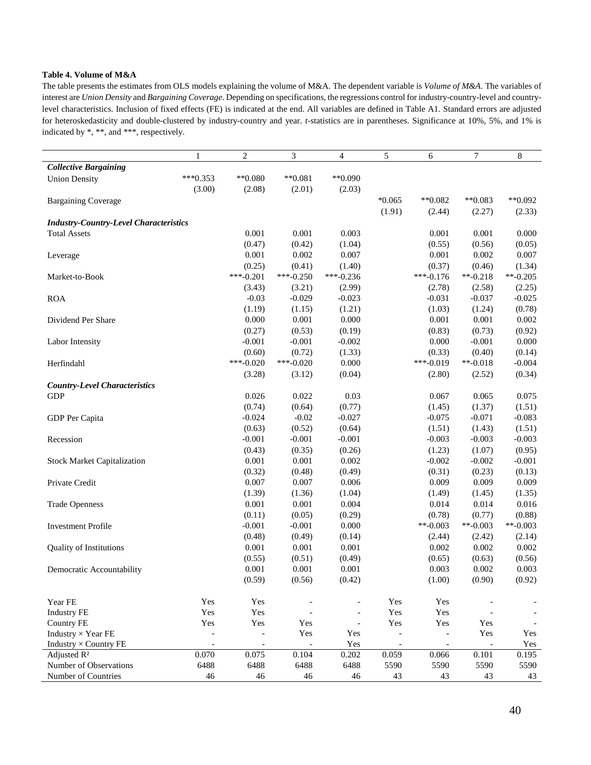## **Table 4. Volume of M&A**

l,

The table presents the estimates from OLS models explaining the volume of M&A. The dependent variable is *Volume of M&A*. The variables of interest are *Union Density* and *Bargaining Coverage*. Depending on specifications, the regressions control for industry-country-level and countrylevel characteristics. Inclusion of fixed effects (FE) is indicated at the end. All variables are defined in Table A1. Standard errors are adjusted for heteroskedasticity and double-clustered by industry-country and year. *t*-statistics are in parentheses. Significance at 10%, 5%, and 1% is indicated by \*, \*\*, and \*\*\*, respectively.

|                                               | 1                        | $\overline{c}$           | 3              | $\overline{4}$           | 5                        | 6                        | $\tau$         | 8          |
|-----------------------------------------------|--------------------------|--------------------------|----------------|--------------------------|--------------------------|--------------------------|----------------|------------|
| <b>Collective Bargaining</b>                  |                          |                          |                |                          |                          |                          |                |            |
| <b>Union Density</b>                          | $***0.353$               | $*$ $0.080$              | $**0.081$      | $*$ $0.090$              |                          |                          |                |            |
|                                               | (3.00)                   | (2.08)                   | (2.01)         | (2.03)                   |                          |                          |                |            |
| <b>Bargaining Coverage</b>                    |                          |                          |                |                          | $*0.065$                 | $*$ <sup>0.082</sup>     | $*$ *0.083     | $**0.092$  |
|                                               |                          |                          |                |                          | (1.91)                   | (2.44)                   | (2.27)         | (2.33)     |
| <b>Industry-Country-Level Characteristics</b> |                          |                          |                |                          |                          |                          |                |            |
| <b>Total Assets</b>                           |                          | 0.001                    | 0.001          | 0.003                    |                          | 0.001                    | 0.001          | 0.000      |
|                                               |                          | (0.47)                   | (0.42)         | (1.04)                   |                          | (0.55)                   | (0.56)         | (0.05)     |
| Leverage                                      |                          | 0.001                    | 0.002          | 0.007                    |                          | 0.001                    | 0.002          | 0.007      |
|                                               |                          | (0.25)                   | (0.41)         | (1.40)                   |                          | (0.37)                   | (0.46)         | (1.34)     |
| Market-to-Book                                |                          | $***-0.201$              | $***-0.250$    | $***-0.236$              |                          | $***-0.176$              | $**-0.218$     | $**-0.205$ |
|                                               |                          | (3.43)                   | (3.21)         | (2.99)                   |                          | (2.78)                   | (2.58)         | (2.25)     |
| <b>ROA</b>                                    |                          | $-0.03$                  | $-0.029$       | $-0.023$                 |                          | $-0.031$                 | $-0.037$       | $-0.025$   |
|                                               |                          | (1.19)                   | (1.15)         | (1.21)                   |                          | (1.03)                   | (1.24)         | (0.78)     |
| Dividend Per Share                            |                          | 0.000                    | 0.001          | 0.000                    |                          | 0.001                    | 0.001          | 0.002      |
|                                               |                          | (0.27)                   | (0.53)         | (0.19)                   |                          | (0.83)                   | (0.73)         | (0.92)     |
| Labor Intensity                               |                          | $-0.001$                 | $-0.001$       | $-0.002$                 |                          | 0.000                    | $-0.001$       | 0.000      |
|                                               |                          | (0.60)                   | (0.72)         | (1.33)                   |                          | (0.33)                   | (0.40)         | (0.14)     |
| Herfindahl                                    |                          | $***-0.020$              | $***-0.020$    | 0.000                    |                          | $***-0.019$              | $**-0.018$     | $-0.004$   |
|                                               |                          | (3.28)                   | (3.12)         | (0.04)                   |                          | (2.80)                   | (2.52)         | (0.34)     |
| <b>Country-Level Characteristics</b>          |                          |                          |                |                          |                          |                          |                |            |
| <b>GDP</b>                                    |                          | 0.026                    | 0.022          | 0.03                     |                          | 0.067                    | 0.065          | 0.075      |
|                                               |                          | (0.74)                   | (0.64)         | (0.77)                   |                          | (1.45)                   | (1.37)         | (1.51)     |
| GDP Per Capita                                |                          | $-0.024$                 | $-0.02$        | $-0.027$                 |                          | $-0.075$                 | $-0.071$       | $-0.083$   |
|                                               |                          | (0.63)                   | (0.52)         | (0.64)                   |                          | (1.51)                   | (1.43)         | (1.51)     |
| Recession                                     |                          | $-0.001$                 | $-0.001$       | $-0.001$                 |                          | $-0.003$                 | $-0.003$       | $-0.003$   |
|                                               |                          | (0.43)                   | (0.35)         | (0.26)                   |                          | (1.23)                   | (1.07)         | (0.95)     |
| <b>Stock Market Capitalization</b>            |                          | 0.001                    | 0.001          | 0.002                    |                          | $-0.002$                 | $-0.002$       | $-0.001$   |
|                                               |                          | (0.32)                   | (0.48)         | (0.49)                   |                          | (0.31)                   | (0.23)         | (0.13)     |
| Private Credit                                |                          | 0.007                    | 0.007          | 0.006                    |                          | 0.009                    | 0.009          | 0.009      |
|                                               |                          | (1.39)                   | (1.36)         | (1.04)                   |                          | (1.49)                   | (1.45)         | (1.35)     |
| <b>Trade Openness</b>                         |                          | 0.001                    | 0.001          | 0.004                    |                          | 0.014                    | 0.014          | 0.016      |
|                                               |                          | (0.11)                   | (0.05)         | (0.29)                   |                          | (0.78)                   | (0.77)         | (0.88)     |
| <b>Investment Profile</b>                     |                          | $-0.001$                 | $-0.001$       | 0.000                    |                          | $**-0.003$               | $**-0.003$     | $**-0.003$ |
|                                               |                          | (0.48)                   | (0.49)         | (0.14)                   |                          | (2.44)                   | (2.42)         | (2.14)     |
| <b>Quality of Institutions</b>                |                          | 0.001                    | 0.001          | 0.001                    |                          | 0.002                    | 0.002          | 0.002      |
|                                               |                          | (0.55)                   | (0.51)         | (0.49)                   |                          | (0.65)                   | (0.63)         | (0.56)     |
| Democratic Accountability                     |                          | 0.001                    | 0.001          | 0.001                    |                          | 0.003                    | 0.002          | 0.003      |
|                                               |                          | (0.59)                   | (0.56)         | (0.42)                   |                          | (1.00)                   | (0.90)         | (0.92)     |
| Year FE                                       | Yes                      | Yes                      |                |                          | Yes                      | Yes                      |                |            |
| <b>Industry FE</b>                            | Yes                      | Yes                      |                | $\overline{\phantom{a}}$ | Yes                      | Yes                      |                |            |
| <b>Country FE</b>                             | Yes                      | Yes                      | Yes            | $\overline{\phantom{a}}$ | Yes                      | Yes                      | Yes            |            |
| Industry $\times$ Year FE                     | $\overline{\phantom{m}}$ | $\overline{\phantom{a}}$ | Yes            | Yes                      | $\overline{\phantom{a}}$ | $\overline{\phantom{a}}$ | Yes            | Yes        |
| Industry × Country FE                         | $\blacksquare$           | $\blacksquare$           | $\blacksquare$ | Yes                      | $\overline{\phantom{a}}$ | $\overline{\phantom{a}}$ | $\blacksquare$ | Yes        |
| Adjusted $R^2$                                | 0.070                    | 0.075                    | 0.104          | 0.202                    | 0.059                    | 0.066                    | 0.101          | 0.195      |
| Number of Observations                        | 6488                     | 6488                     | 6488           | 6488                     | 5590                     | 5590                     | 5590           | 5590       |
| Number of Countries                           | 46                       | 46                       | 46             | 46                       | 43                       | 43                       | 43             | 43         |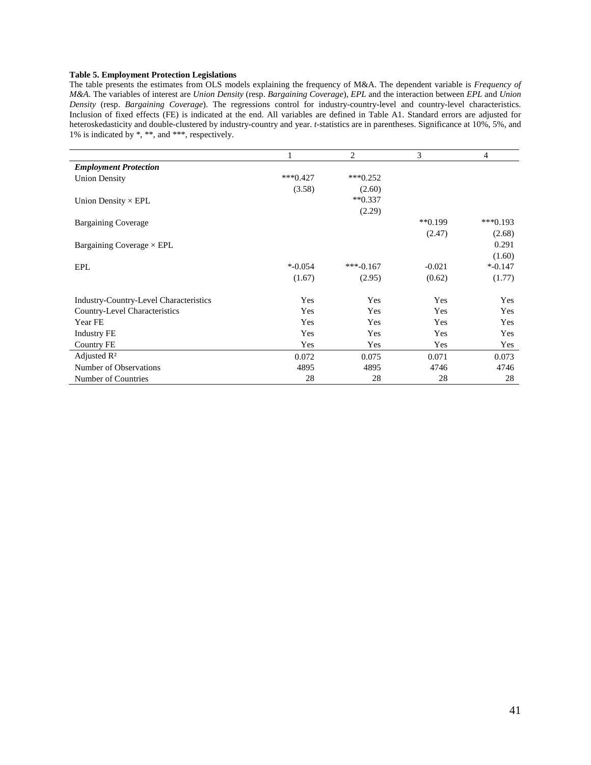## **Table 5. Employment Protection Legislations**

The table presents the estimates from OLS models explaining the frequency of M&A. The dependent variable is *Frequency of M&A*. The variables of interest are *Union Density* (resp. *Bargaining Coverage*), *EPL* and the interaction between *EPL* and *Union Density* (resp. *Bargaining Coverage*). The regressions control for industry-country-level and country-level characteristics. Inclusion of fixed effects (FE) is indicated at the end. All variables are defined in Table A1. Standard errors are adjusted for heteroskedasticity and double-clustered by industry-country and year. *t*-statistics are in parentheses. Significance at 10%, 5%, and 1% is indicated by \*, \*\*, and \*\*\*, respectively.

|                                        |            | $\overline{2}$ | 3                    | 4          |
|----------------------------------------|------------|----------------|----------------------|------------|
| <b>Employment Protection</b>           |            |                |                      |            |
| <b>Union Density</b>                   | $***0.427$ | $***0.252$     |                      |            |
|                                        | (3.58)     | (2.60)         |                      |            |
| Union Density $\times$ EPL             |            | $**0.337$      |                      |            |
|                                        |            | (2.29)         |                      |            |
| <b>Bargaining Coverage</b>             |            |                | $*$ <sup>0.199</sup> | $***0.193$ |
|                                        |            |                | (2.47)               | (2.68)     |
| Bargaining Coverage $\times$ EPL       |            |                |                      | 0.291      |
|                                        |            |                |                      | (1.60)     |
| <b>EPL</b>                             | $*$ -0.054 | $***-0.167$    | $-0.021$             | $*$ -0.147 |
|                                        | (1.67)     | (2.95)         | (0.62)               | (1.77)     |
| Industry-Country-Level Characteristics | Yes        | Yes            | Yes                  | Yes        |
| Country-Level Characteristics          | Yes        | Yes            | Yes                  | Yes        |
| Year FE                                | Yes        | Yes            | Yes                  | Yes        |
| <b>Industry FE</b>                     | Yes        | Yes            | Yes                  | Yes        |
| <b>Country FE</b>                      | Yes        | Yes            | Yes                  | Yes        |
| Adjusted $\mathbb{R}^2$                | 0.072      | 0.075          | 0.071                | 0.073      |
| Number of Observations                 | 4895       | 4895           | 4746                 | 4746       |
| Number of Countries                    | 28         | 28             | 28                   | 28         |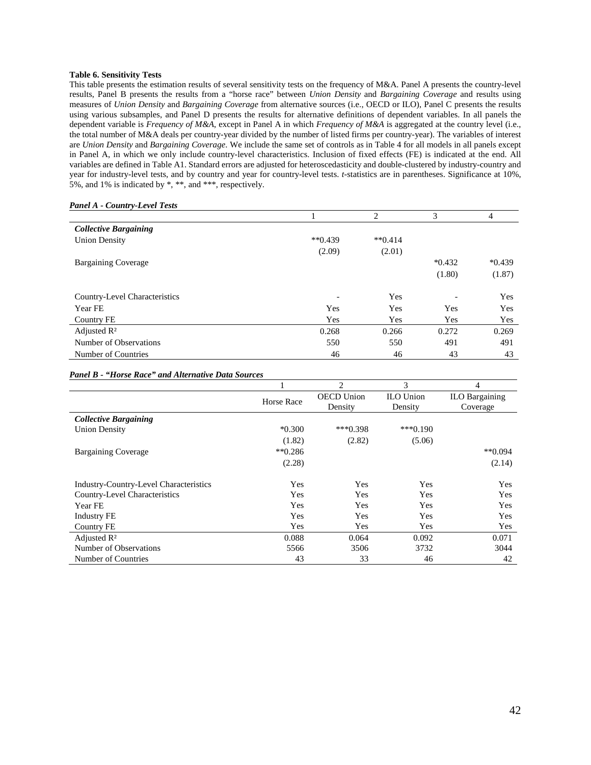#### **Table 6. Sensitivity Tests**

This table presents the estimation results of several sensitivity tests on the frequency of M&A. Panel A presents the country-level results, Panel B presents the results from a "horse race" between *Union Density* and *Bargaining Coverage* and results using measures of *Union Density* and *Bargaining Coverage* from alternative sources (i.e., OECD or ILO), Panel C presents the results using various subsamples, and Panel D presents the results for alternative definitions of dependent variables. In all panels the dependent variable is *Frequency of M&A*, except in Panel A in which *Frequency of M&A* is aggregated at the country level (i.e., the total number of M&A deals per country-year divided by the number of listed firms per country-year). The variables of interest are *Union Density* and *Bargaining Coverage*. We include the same set of controls as in Table 4 for all models in all panels except in Panel A, in which we only include country-level characteristics. Inclusion of fixed effects (FE) is indicated at the end. All variables are defined in Table A1. Standard errors are adjusted for heteroscedasticity and double-clustered by industry-country and year for industry-level tests, and by country and year for country-level tests. *t*-statistics are in parentheses. Significance at 10%, 5%, and 1% is indicated by \*, \*\*, and \*\*\*, respectively.

#### *Panel A - Country-Level Tests*

|                               |                          | $\overline{c}$ | 3        | $\overline{4}$ |
|-------------------------------|--------------------------|----------------|----------|----------------|
| <b>Collective Bargaining</b>  |                          |                |          |                |
| <b>Union Density</b>          | $*$ $(0.439)$            | $**0.414$      |          |                |
|                               | (2.09)                   | (2.01)         |          |                |
| <b>Bargaining Coverage</b>    |                          |                | $*0.432$ | $*0.439$       |
|                               |                          |                | (1.80)   | (1.87)         |
| Country-Level Characteristics | $\overline{\phantom{0}}$ | Yes            |          | Yes            |
| Year FE                       | Yes                      | Yes            | Yes      | Yes            |
| Country FE                    | Yes                      | Yes            | Yes      | Yes            |
| Adjusted $\mathbb{R}^2$       | 0.268                    | 0.266          | 0.272    | 0.269          |
| Number of Observations        | 550                      | 550            | 491      | 491            |
| Number of Countries           | 46                       | 46             | 43       | 43             |

#### *Panel B - "Horse Race" and Alternative Data Sources*

|                                               |                      | $\overline{c}$    | 3                | $\overline{4}$        |
|-----------------------------------------------|----------------------|-------------------|------------------|-----------------------|
|                                               | Horse Race           | <b>OECD</b> Union | <b>ILO</b> Union | <b>ILO Bargaining</b> |
|                                               |                      | Density           | Density          | Coverage              |
| <b>Collective Bargaining</b>                  |                      |                   |                  |                       |
| <b>Union Density</b>                          | $*0.300$             | $***0.398$        | $***0.190$       |                       |
|                                               | (1.82)               | (2.82)            | (5.06)           |                       |
| <b>Bargaining Coverage</b>                    | $*$ <sup>0.286</sup> |                   |                  | $*$ *0.094            |
|                                               | (2.28)               |                   |                  | (2.14)                |
| <b>Industry-Country-Level Characteristics</b> | Yes                  | Yes               | Yes              | Yes                   |
| <b>Country-Level Characteristics</b>          | Yes                  | Yes               | Yes              | Yes                   |
| Year FE                                       | Yes                  | Yes               | Yes              | Yes                   |
| <b>Industry FE</b>                            | Yes                  | Yes               | Yes              | Yes                   |
| Country FE                                    | Yes                  | Yes               | Yes              | Yes                   |
| Adjusted $\mathbb{R}^2$                       | 0.088                | 0.064             | 0.092            | 0.071                 |
| Number of Observations                        | 5566                 | 3506              | 3732             | 3044                  |
| Number of Countries                           | 43                   | 33                | 46               | 42                    |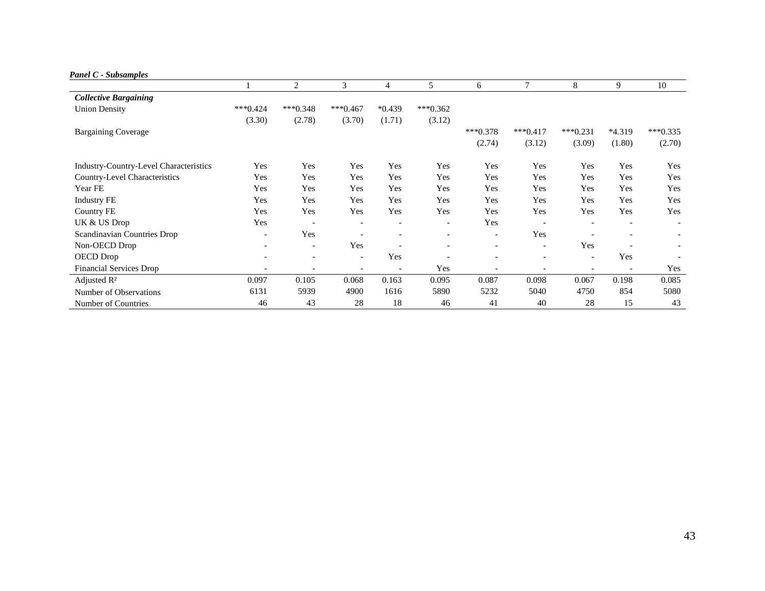*Panel C - Subsamples* 

|                                               |                          | 2                        | 3                        | $\overline{4}$           | 5                        | 6                        | 7                        | 8                        | 9                            | 10         |
|-----------------------------------------------|--------------------------|--------------------------|--------------------------|--------------------------|--------------------------|--------------------------|--------------------------|--------------------------|------------------------------|------------|
| <b>Collective Bargaining</b>                  |                          |                          |                          |                          |                          |                          |                          |                          |                              |            |
| <b>Union Density</b>                          | $***0.424$               | $***0.348$               | $***0.467$               | $*0.439$                 | $***0.362$               |                          |                          |                          |                              |            |
|                                               | (3.30)                   | (2.78)                   | (3.70)                   | (1.71)                   | (3.12)                   |                          |                          |                          |                              |            |
| <b>Bargaining Coverage</b>                    |                          |                          |                          |                          |                          | $***0.378$               | $***0.417$               | $***0.231$               | *4.319                       | $***0.335$ |
|                                               |                          |                          |                          |                          |                          | (2.74)                   | (3.12)                   | (3.09)                   | (1.80)                       | (2.70)     |
| <b>Industry-Country-Level Characteristics</b> | Yes                      | Yes                      | Yes                      | Yes                      | Yes                      | Yes                      | Yes                      | Yes                      | Yes                          | Yes        |
| Country-Level Characteristics                 | Yes                      | Yes                      | Yes                      | Yes                      | Yes                      | Yes                      | Yes                      | Yes                      | Yes                          | Yes        |
| Year FE                                       | Yes                      | Yes                      | Yes                      | Yes                      | Yes                      | Yes                      | Yes                      | Yes                      | Yes                          | Yes        |
| <b>Industry FE</b>                            | Yes                      | Yes                      | Yes                      | Yes                      | Yes                      | Yes                      | Yes                      | Yes                      | Yes                          | Yes        |
| Country FE                                    | Yes                      | Yes                      | Yes                      | Yes                      | Yes                      | Yes                      | Yes                      | Yes                      | Yes                          | Yes        |
| UK & US Drop                                  | Yes                      | $\overline{\phantom{a}}$ | $\overline{\phantom{a}}$ | $\overline{\phantom{a}}$ | $\overline{\phantom{a}}$ | Yes                      | $\overline{\phantom{a}}$ | $\overline{\phantom{a}}$ | $\qquad \qquad \blacksquare$ |            |
| Scandinavian Countries Drop                   | $\overline{\phantom{a}}$ | Yes                      |                          | ۰                        |                          | $\overline{\phantom{a}}$ | Yes                      |                          | $\overline{\phantom{0}}$     |            |
| Non-OECD Drop                                 | $\overline{\phantom{0}}$ | $\overline{\phantom{a}}$ | Yes                      | $\overline{\phantom{a}}$ |                          | $\overline{\phantom{a}}$ | $\overline{\phantom{a}}$ | Yes                      | ۰                            |            |
| OECD Drop                                     | $\overline{\phantom{a}}$ | $\overline{\phantom{a}}$ | $\overline{\phantom{a}}$ | Yes                      | $\overline{\phantom{a}}$ | $\overline{\phantom{a}}$ | $\overline{\phantom{a}}$ | $\overline{\phantom{a}}$ | Yes                          |            |
| <b>Financial Services Drop</b>                |                          |                          |                          |                          | Yes                      |                          | $\overline{\phantom{0}}$ |                          | $\overline{\phantom{a}}$     | Yes        |
| Adjusted $R^2$                                | 0.097                    | 0.105                    | 0.068                    | 0.163                    | 0.095                    | 0.087                    | 0.098                    | 0.067                    | 0.198                        | 0.085      |
| Number of Observations                        | 6131                     | 5939                     | 4900                     | 1616                     | 5890                     | 5232                     | 5040                     | 4750                     | 854                          | 5080       |
| Number of Countries                           | 46                       | 43                       | 28                       | 18                       | 46                       | 41                       | 40                       | 28                       | 15                           | 43         |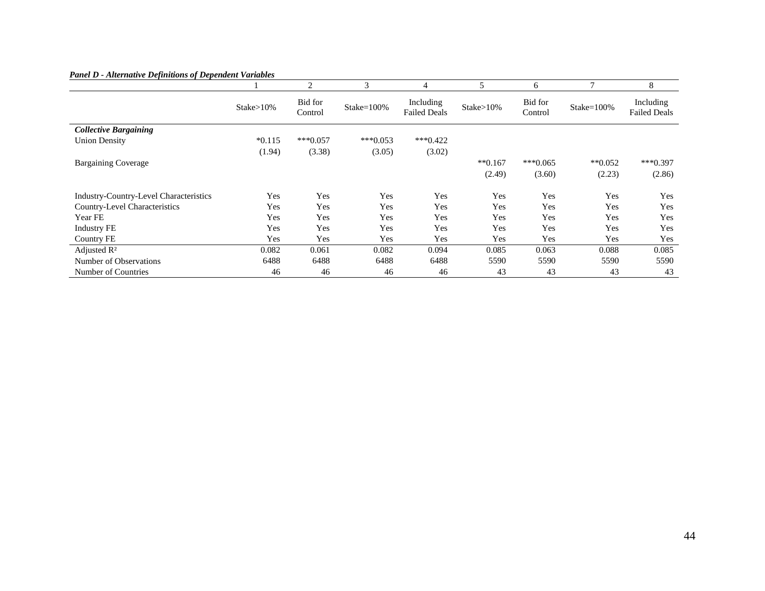| I anci D - Aucrianve Definitions of Dependent variables |                | $\overline{2}$     | 3              | 4                                | 5              | 6                  | 7            | 8                                |
|---------------------------------------------------------|----------------|--------------------|----------------|----------------------------------|----------------|--------------------|--------------|----------------------------------|
|                                                         | $Stake > 10\%$ | Bid for<br>Control | Stake= $100\%$ | Including<br><b>Failed Deals</b> | $Stake > 10\%$ | Bid for<br>Control | $Stake=100%$ | Including<br><b>Failed Deals</b> |
| <b>Collective Bargaining</b>                            |                |                    |                |                                  |                |                    |              |                                  |
| <b>Union Density</b>                                    | $*0.115$       | $***0.057$         | $***0.053$     | $***0.422$                       |                |                    |              |                                  |
|                                                         | (1.94)         | (3.38)             | (3.05)         | (3.02)                           |                |                    |              |                                  |
| <b>Bargaining Coverage</b>                              |                |                    |                |                                  | $**0.167$      | $***0.065$         | $*$ *0.052   | $***0.397$                       |
|                                                         |                |                    |                |                                  | (2.49)         | (3.60)             | (2.23)       | (2.86)                           |
| Industry-Country-Level Characteristics                  | Yes            | Yes                | Yes            | Yes                              | Yes            | Yes                | Yes          | Yes                              |
| Country-Level Characteristics                           | Yes            | Yes                | Yes            | Yes                              | Yes            | Yes                | Yes          | Yes                              |
| Year FE                                                 | Yes            | Yes                | Yes            | Yes                              | Yes            | Yes                | Yes          | Yes                              |
| <b>Industry FE</b>                                      | Yes            | Yes                | Yes            | Yes                              | Yes            | Yes                | Yes          | Yes                              |
| Country FE                                              | Yes            | Yes                | Yes            | Yes                              | Yes            | Yes                | Yes          | Yes                              |
| Adjusted $\mathbb{R}^2$                                 | 0.082          | 0.061              | 0.082          | 0.094                            | 0.085          | 0.063              | 0.088        | 0.085                            |
| Number of Observations                                  | 6488           | 6488               | 6488           | 6488                             | 5590           | 5590               | 5590         | 5590                             |

Number of Countries 23 246 46 46 46 46 43 43 43 43 43 43

#### *Panel D - Alternative Definitions of Dependent Variables*

Yes

 $43$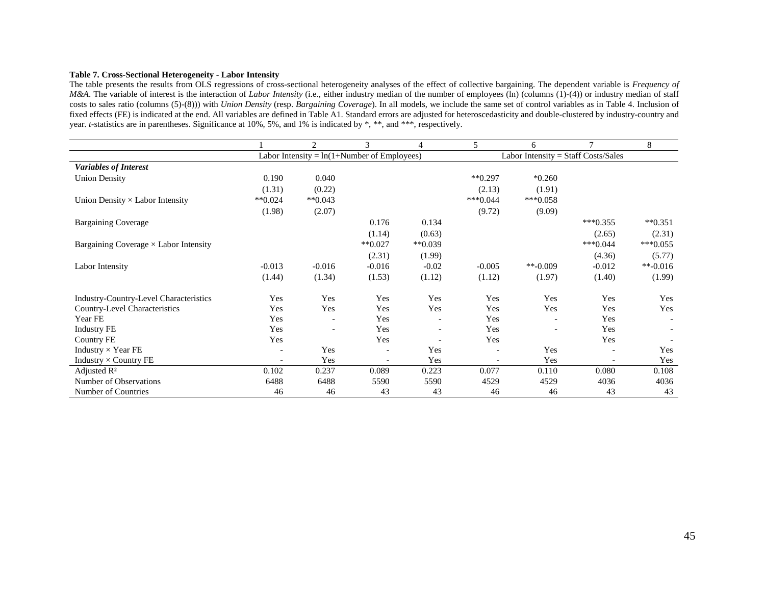#### **Table 7. Cross-Sectional Heterogeneity - Labor Intensity**

 The table presents the results from OLS regressions of cross-sectional heterogeneity analyses of the effect of collective bargaining. The dependent variable is *Frequency of M&A*. The variable of interest is the interaction of *Labor Intensity* (i.e., either industry median of the number of employees (ln) (columns (1)-(4)) or industry median of staff costs to sales ratio (columns (5)-(8))) with *Union Density* (resp. *Bargaining Coverage*). In all models, we include the same set of control variables as in Table 4. Inclusion of fixed effects (FE) is indicated at the end. All variables are defined in Table A1. Standard errors are adjusted for heteroscedasticity and double-clustered by industry-country and year. *t*-statistics are in parentheses. Significance at 10%, 5%, and 1% is indicated by \*, \*\*, and \*\*\*, respectively.

|                                               |             | 2           | 3                                            | 4           | 5          | 6                                   | $\tau$     | 8                    |
|-----------------------------------------------|-------------|-------------|----------------------------------------------|-------------|------------|-------------------------------------|------------|----------------------|
|                                               |             |             | Labor Intensity = $ln(1+Number of Employes)$ |             |            | Labor Intensity = Staff Costs/Sales |            |                      |
| <b>Variables of Interest</b>                  |             |             |                                              |             |            |                                     |            |                      |
| <b>Union Density</b>                          | 0.190       | 0.040       |                                              |             | $**0.297$  | $*0.260$                            |            |                      |
|                                               | (1.31)      | (0.22)      |                                              |             | (2.13)     | (1.91)                              |            |                      |
| Union Density $\times$ Labor Intensity        | $*$ $0.024$ | $*$ $0.043$ |                                              |             | $***0.044$ | $***0.058$                          |            |                      |
|                                               | (1.98)      | (2.07)      |                                              |             | (9.72)     | (9.09)                              |            |                      |
| <b>Bargaining Coverage</b>                    |             |             | 0.176                                        | 0.134       |            |                                     | $***0.355$ | $*$ <sup>0.351</sup> |
|                                               |             |             | (1.14)                                       | (0.63)      |            |                                     | (2.65)     | (2.31)               |
| Bargaining Coverage $\times$ Labor Intensity  |             |             | $*$ $0.027$                                  | $*$ $0.039$ |            |                                     | $***0.044$ | $***0.055$           |
|                                               |             |             | (2.31)                                       | (1.99)      |            |                                     | (4.36)     | (5.77)               |
| Labor Intensity                               | $-0.013$    | $-0.016$    | $-0.016$                                     | $-0.02$     | $-0.005$   | $**-0.009$                          | $-0.012$   | $*$ -0.016           |
|                                               | (1.44)      | (1.34)      | (1.53)                                       | (1.12)      | (1.12)     | (1.97)                              | (1.40)     | (1.99)               |
| <b>Industry-Country-Level Characteristics</b> | Yes         | Yes         | Yes                                          | Yes         | Yes        | Yes                                 | Yes        | Yes                  |
| Country-Level Characteristics                 | Yes         | Yes         | Yes                                          | Yes         | Yes        | Yes                                 | Yes        | Yes                  |
| Year FE                                       | Yes         |             | Yes                                          |             | Yes        |                                     | Yes        |                      |
| <b>Industry FE</b>                            | Yes         |             | Yes                                          |             | Yes        |                                     | Yes        |                      |
| <b>Country FE</b>                             | Yes         |             | Yes                                          |             | Yes        |                                     | Yes        |                      |
| Industry $\times$ Year FE                     |             | Yes         |                                              | Yes         |            | Yes                                 |            | Yes                  |
| Industry $\times$ Country FE                  |             | Yes         |                                              | Yes         |            | Yes                                 |            | Yes                  |
| Adjusted $\mathbb{R}^2$                       | 0.102       | 0.237       | 0.089                                        | 0.223       | 0.077      | 0.110                               | 0.080      | 0.108                |
| Number of Observations                        | 6488        | 6488        | 5590                                         | 5590        | 4529       | 4529                                | 4036       | 4036                 |
| Number of Countries                           | 46          | 46          | 43                                           | 43          | 46         | 46                                  | 43         | 43                   |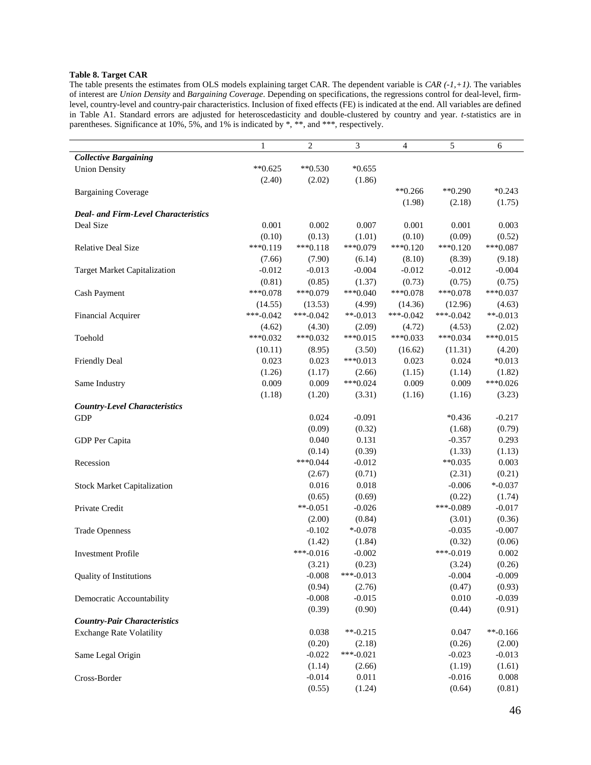## **Table 8. Target CAR**

The table presents the estimates from OLS models explaining target CAR. The dependent variable is *CAR (-1,+1)*. The variables of interest are *Union Density* and *Bargaining Coverage*. Depending on specifications, the regressions control for deal-level, firmlevel, country-level and country-pair characteristics. Inclusion of fixed effects (FE) is indicated at the end. All variables are defined in Table A1. Standard errors are adjusted for heteroscedasticity and double-clustered by country and year. *t*-statistics are in parentheses. Significance at 10%, 5%, and 1% is indicated by \*, \*\*, and \*\*\*, respectively.

| <b>Collective Bargaining</b><br>$*$ *0.625<br>$*$ $*$ 0.530<br>$*0.655$<br><b>Union Density</b><br>(2.40)<br>(2.02)<br>(1.86)<br>$*$ $*0.266$<br>$*$ $*$ 0.290<br>$*0.243$<br><b>Bargaining Coverage</b><br>(2.18)<br>(1.75)<br>(1.98)<br><b>Deal- and Firm-Level Characteristics</b><br>Deal Size<br>0.001<br>0.002<br>0.007<br>0.001<br>0.003<br>0.001<br>(0.10)<br>(0.13)<br>(1.01)<br>(0.10)<br>(0.09)<br>(0.52)<br>$***0.119$<br>$***0.118$<br>***0.079<br>$***0.120$<br>$***0.087$<br>Relative Deal Size<br>$***0.120$<br>(7.90)<br>(6.14)<br>(8.10)<br>(8.39)<br>(7.66)<br>(9.18)<br>$-0.012$<br>$-0.013$<br>$-0.004$<br>$-0.012$<br>$-0.012$<br>$-0.004$<br><b>Target Market Capitalization</b><br>(0.81)<br>(0.85)<br>(1.37)<br>(0.73)<br>(0.75)<br>(0.75)<br>$***0.078$<br>***0.079<br>$***0.040$<br>$***0.078$<br>$***0.078$<br>$***0.037$<br>Cash Payment<br>(12.96)<br>(4.63)<br>(14.55)<br>(13.53)<br>(4.99)<br>(14.36)<br>$***-0.042$<br>$***-0.042$<br>$**-0.013$<br>$***-0.042$<br>***-0.042<br>$**-0.013$ |
|-----------------------------------------------------------------------------------------------------------------------------------------------------------------------------------------------------------------------------------------------------------------------------------------------------------------------------------------------------------------------------------------------------------------------------------------------------------------------------------------------------------------------------------------------------------------------------------------------------------------------------------------------------------------------------------------------------------------------------------------------------------------------------------------------------------------------------------------------------------------------------------------------------------------------------------------------------------------------------------------------------------------------------|
|                                                                                                                                                                                                                                                                                                                                                                                                                                                                                                                                                                                                                                                                                                                                                                                                                                                                                                                                                                                                                             |
|                                                                                                                                                                                                                                                                                                                                                                                                                                                                                                                                                                                                                                                                                                                                                                                                                                                                                                                                                                                                                             |
|                                                                                                                                                                                                                                                                                                                                                                                                                                                                                                                                                                                                                                                                                                                                                                                                                                                                                                                                                                                                                             |
|                                                                                                                                                                                                                                                                                                                                                                                                                                                                                                                                                                                                                                                                                                                                                                                                                                                                                                                                                                                                                             |
|                                                                                                                                                                                                                                                                                                                                                                                                                                                                                                                                                                                                                                                                                                                                                                                                                                                                                                                                                                                                                             |
|                                                                                                                                                                                                                                                                                                                                                                                                                                                                                                                                                                                                                                                                                                                                                                                                                                                                                                                                                                                                                             |
|                                                                                                                                                                                                                                                                                                                                                                                                                                                                                                                                                                                                                                                                                                                                                                                                                                                                                                                                                                                                                             |
|                                                                                                                                                                                                                                                                                                                                                                                                                                                                                                                                                                                                                                                                                                                                                                                                                                                                                                                                                                                                                             |
|                                                                                                                                                                                                                                                                                                                                                                                                                                                                                                                                                                                                                                                                                                                                                                                                                                                                                                                                                                                                                             |
|                                                                                                                                                                                                                                                                                                                                                                                                                                                                                                                                                                                                                                                                                                                                                                                                                                                                                                                                                                                                                             |
|                                                                                                                                                                                                                                                                                                                                                                                                                                                                                                                                                                                                                                                                                                                                                                                                                                                                                                                                                                                                                             |
|                                                                                                                                                                                                                                                                                                                                                                                                                                                                                                                                                                                                                                                                                                                                                                                                                                                                                                                                                                                                                             |
|                                                                                                                                                                                                                                                                                                                                                                                                                                                                                                                                                                                                                                                                                                                                                                                                                                                                                                                                                                                                                             |
|                                                                                                                                                                                                                                                                                                                                                                                                                                                                                                                                                                                                                                                                                                                                                                                                                                                                                                                                                                                                                             |
| Financial Acquirer                                                                                                                                                                                                                                                                                                                                                                                                                                                                                                                                                                                                                                                                                                                                                                                                                                                                                                                                                                                                          |
| (4.53)<br>(2.02)<br>(4.62)<br>(4.30)<br>(2.09)<br>(4.72)                                                                                                                                                                                                                                                                                                                                                                                                                                                                                                                                                                                                                                                                                                                                                                                                                                                                                                                                                                    |
| $***0.032$<br>$***0.032$<br>$***0.015$<br>$***0.033$<br>$***0.034$<br>$***0.015$<br>Toehold                                                                                                                                                                                                                                                                                                                                                                                                                                                                                                                                                                                                                                                                                                                                                                                                                                                                                                                                 |
| (10.11)<br>(8.95)<br>(3.50)<br>(11.31)<br>(4.20)<br>(16.62)                                                                                                                                                                                                                                                                                                                                                                                                                                                                                                                                                                                                                                                                                                                                                                                                                                                                                                                                                                 |
| 0.023<br>0.023<br>0.023<br>$***0.013$<br>0.024<br>$*0.013$<br><b>Friendly Deal</b>                                                                                                                                                                                                                                                                                                                                                                                                                                                                                                                                                                                                                                                                                                                                                                                                                                                                                                                                          |
| (1.26)<br>(1.14)<br>(1.82)<br>(1.17)<br>(2.66)<br>(1.15)                                                                                                                                                                                                                                                                                                                                                                                                                                                                                                                                                                                                                                                                                                                                                                                                                                                                                                                                                                    |
| $***0.026$<br>0.009<br>0.009<br>$***0.024$<br>0.009<br>0.009<br>Same Industry                                                                                                                                                                                                                                                                                                                                                                                                                                                                                                                                                                                                                                                                                                                                                                                                                                                                                                                                               |
| (1.18)<br>(1.20)<br>(3.31)<br>(1.16)<br>(1.16)<br>(3.23)                                                                                                                                                                                                                                                                                                                                                                                                                                                                                                                                                                                                                                                                                                                                                                                                                                                                                                                                                                    |
| <b>Country-Level Characteristics</b>                                                                                                                                                                                                                                                                                                                                                                                                                                                                                                                                                                                                                                                                                                                                                                                                                                                                                                                                                                                        |
| 0.024<br>$-0.091$<br>$-0.217$<br>$*0.436$<br><b>GDP</b>                                                                                                                                                                                                                                                                                                                                                                                                                                                                                                                                                                                                                                                                                                                                                                                                                                                                                                                                                                     |
| (0.09)<br>(0.32)<br>(1.68)<br>(0.79)                                                                                                                                                                                                                                                                                                                                                                                                                                                                                                                                                                                                                                                                                                                                                                                                                                                                                                                                                                                        |
| 0.040<br>0.131<br>$-0.357$<br>0.293<br>GDP Per Capita                                                                                                                                                                                                                                                                                                                                                                                                                                                                                                                                                                                                                                                                                                                                                                                                                                                                                                                                                                       |
| (0.14)<br>(0.39)<br>(1.33)<br>(1.13)                                                                                                                                                                                                                                                                                                                                                                                                                                                                                                                                                                                                                                                                                                                                                                                                                                                                                                                                                                                        |
| $***0.044$<br>$*$ $*0.035$<br>0.003<br>$-0.012$<br>Recession                                                                                                                                                                                                                                                                                                                                                                                                                                                                                                                                                                                                                                                                                                                                                                                                                                                                                                                                                                |
| (2.31)<br>(0.21)<br>(2.67)<br>(0.71)                                                                                                                                                                                                                                                                                                                                                                                                                                                                                                                                                                                                                                                                                                                                                                                                                                                                                                                                                                                        |
| 0.016<br>$-0.006$<br>$* -0.037$<br>0.018<br><b>Stock Market Capitalization</b>                                                                                                                                                                                                                                                                                                                                                                                                                                                                                                                                                                                                                                                                                                                                                                                                                                                                                                                                              |
| (0.22)<br>(0.65)<br>(0.69)<br>(1.74)                                                                                                                                                                                                                                                                                                                                                                                                                                                                                                                                                                                                                                                                                                                                                                                                                                                                                                                                                                                        |
| $**-0.051$<br>$***-0.089$<br>$-0.017$<br>$-0.026$<br>Private Credit                                                                                                                                                                                                                                                                                                                                                                                                                                                                                                                                                                                                                                                                                                                                                                                                                                                                                                                                                         |
| (0.36)<br>(2.00)<br>(0.84)<br>(3.01)                                                                                                                                                                                                                                                                                                                                                                                                                                                                                                                                                                                                                                                                                                                                                                                                                                                                                                                                                                                        |
| $* -0.078$<br>$-0.007$<br>$-0.102$<br>$-0.035$<br><b>Trade Openness</b>                                                                                                                                                                                                                                                                                                                                                                                                                                                                                                                                                                                                                                                                                                                                                                                                                                                                                                                                                     |
| (1.84)<br>(0.32)<br>(0.06)<br>(1.42)                                                                                                                                                                                                                                                                                                                                                                                                                                                                                                                                                                                                                                                                                                                                                                                                                                                                                                                                                                                        |
| $***-0.016$<br>$-0.002$<br>$***-0.019$<br>0.002<br><b>Investment Profile</b>                                                                                                                                                                                                                                                                                                                                                                                                                                                                                                                                                                                                                                                                                                                                                                                                                                                                                                                                                |
| (3.21)<br>(0.23)<br>(3.24)<br>(0.26)                                                                                                                                                                                                                                                                                                                                                                                                                                                                                                                                                                                                                                                                                                                                                                                                                                                                                                                                                                                        |
| $-0.008$<br>***-0.013<br>$-0.004$<br>$-0.009$<br><b>Quality of Institutions</b>                                                                                                                                                                                                                                                                                                                                                                                                                                                                                                                                                                                                                                                                                                                                                                                                                                                                                                                                             |
| (0.94)<br>(2.76)<br>(0.47)<br>(0.93)                                                                                                                                                                                                                                                                                                                                                                                                                                                                                                                                                                                                                                                                                                                                                                                                                                                                                                                                                                                        |
| $-0.008$<br>0.010<br>$-0.039$<br>$-0.015$<br>Democratic Accountability                                                                                                                                                                                                                                                                                                                                                                                                                                                                                                                                                                                                                                                                                                                                                                                                                                                                                                                                                      |
| (0.39)<br>(0.90)<br>(0.44)<br>(0.91)                                                                                                                                                                                                                                                                                                                                                                                                                                                                                                                                                                                                                                                                                                                                                                                                                                                                                                                                                                                        |
| <b>Country-Pair Characteristics</b>                                                                                                                                                                                                                                                                                                                                                                                                                                                                                                                                                                                                                                                                                                                                                                                                                                                                                                                                                                                         |
| $**-0.166$<br>0.038<br>$*$ -0.215<br>0.047<br><b>Exchange Rate Volatility</b>                                                                                                                                                                                                                                                                                                                                                                                                                                                                                                                                                                                                                                                                                                                                                                                                                                                                                                                                               |
| (0.20)<br>(0.26)<br>(2.00)<br>(2.18)                                                                                                                                                                                                                                                                                                                                                                                                                                                                                                                                                                                                                                                                                                                                                                                                                                                                                                                                                                                        |
| $-0.022$<br>$***-0.021$<br>$-0.013$<br>$-0.023$<br>Same Legal Origin                                                                                                                                                                                                                                                                                                                                                                                                                                                                                                                                                                                                                                                                                                                                                                                                                                                                                                                                                        |
| (1.19)<br>(1.61)<br>(1.14)<br>(2.66)                                                                                                                                                                                                                                                                                                                                                                                                                                                                                                                                                                                                                                                                                                                                                                                                                                                                                                                                                                                        |
| 0.008<br>$-0.014$<br>0.011<br>$-0.016$<br>Cross-Border                                                                                                                                                                                                                                                                                                                                                                                                                                                                                                                                                                                                                                                                                                                                                                                                                                                                                                                                                                      |
| (1.24)<br>(0.64)<br>(0.81)<br>(0.55)                                                                                                                                                                                                                                                                                                                                                                                                                                                                                                                                                                                                                                                                                                                                                                                                                                                                                                                                                                                        |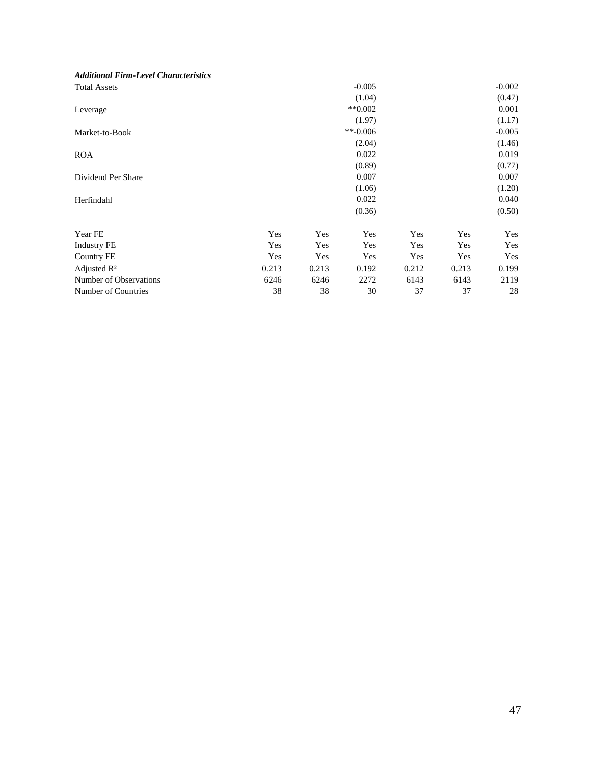| <b>Additional Firm-Level Characteristics</b> |       |       |                      |       |       |          |
|----------------------------------------------|-------|-------|----------------------|-------|-------|----------|
| <b>Total Assets</b>                          |       |       | $-0.005$             |       |       | $-0.002$ |
|                                              |       |       | (1.04)               |       |       | (0.47)   |
| Leverage                                     |       |       | $*$ <sup>0.002</sup> |       |       | 0.001    |
|                                              |       |       | (1.97)               |       |       | (1.17)   |
| Market-to-Book                               |       |       | $**-0.006$           |       |       | $-0.005$ |
|                                              |       |       | (2.04)               |       |       | (1.46)   |
| <b>ROA</b>                                   |       |       | 0.022                |       |       | 0.019    |
|                                              |       |       | (0.89)               |       |       | (0.77)   |
| Dividend Per Share                           |       |       | 0.007                |       |       | 0.007    |
|                                              |       |       | (1.06)               |       |       | (1.20)   |
| Herfindahl                                   |       |       | 0.022                |       |       | 0.040    |
|                                              |       |       | (0.36)               |       |       | (0.50)   |
| Year FE                                      | Yes   | Yes   | Yes                  | Yes   | Yes   | Yes      |
| <b>Industry FE</b>                           | Yes   | Yes   | Yes                  | Yes   | Yes   | Yes      |
| Country FE                                   | Yes   | Yes   | Yes                  | Yes   | Yes   | Yes      |
| Adjusted $\mathbb{R}^2$                      | 0.213 | 0.213 | 0.192                | 0.212 | 0.213 | 0.199    |
| Number of Observations                       | 6246  | 6246  | 2272                 | 6143  | 6143  | 2119     |
| Number of Countries                          | 38    | 38    | 30                   | 37    | 37    | 28       |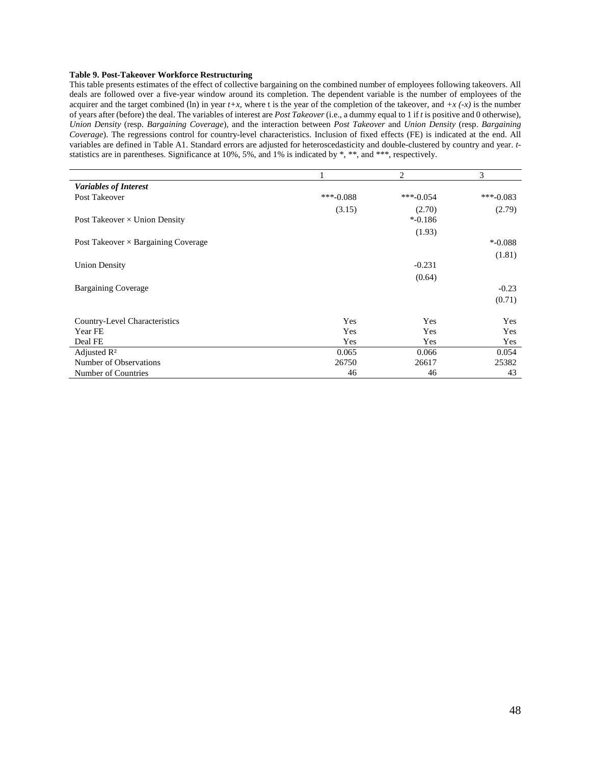#### **Table 9. Post-Takeover Workforce Restructuring**

This table presents estimates of the effect of collective bargaining on the combined number of employees following takeovers. All deals are followed over a five-year window around its completion. The dependent variable is the number of employees of the acquirer and the target combined (ln) in year  $t+x$ , where t is the year of the completion of the takeover, and  $+x$   $(-x)$  is the number of years after (before) the deal. The variables of interest are *Post Takeover* (i.e., a dummy equal to 1 if *t* is positive and 0 otherwise), *Union Density* (resp. *Bargaining Coverage*), and the interaction between *Post Takeover* and *Union Density* (resp. *Bargaining Coverage*). The regressions control for country-level characteristics. Inclusion of fixed effects (FE) is indicated at the end. All variables are defined in Table A1. Standard errors are adjusted for heteroscedasticity and double-clustered by country and year. *t*statistics are in parentheses. Significance at 10%, 5%, and 1% is indicated by \*, \*\*, and \*\*\*, respectively.

|                                            |             | 2          | 3          |
|--------------------------------------------|-------------|------------|------------|
| <b>Variables of Interest</b>               |             |            |            |
| Post Takeover                              | $***-0.088$ | ***-0.054  | ***-0.083  |
|                                            | (3.15)      | (2.70)     | (2.79)     |
| Post Takeover $\times$ Union Density       |             | $* -0.186$ |            |
|                                            |             | (1.93)     |            |
| Post Takeover $\times$ Bargaining Coverage |             |            | $*$ -0.088 |
|                                            |             |            | (1.81)     |
| <b>Union Density</b>                       |             | $-0.231$   |            |
|                                            |             | (0.64)     |            |
| <b>Bargaining Coverage</b>                 |             |            | $-0.23$    |
|                                            |             |            | (0.71)     |
|                                            |             |            |            |
| Country-Level Characteristics              | Yes         | Yes        | Yes        |
| Year FE                                    | Yes         | Yes        | Yes        |
| Deal FE                                    | Yes         | Yes        | Yes        |
| Adjusted $\mathbb{R}^2$                    | 0.065       | 0.066      | 0.054      |
| Number of Observations                     | 26750       | 26617      | 25382      |
| Number of Countries                        | 46          | 46         | 43         |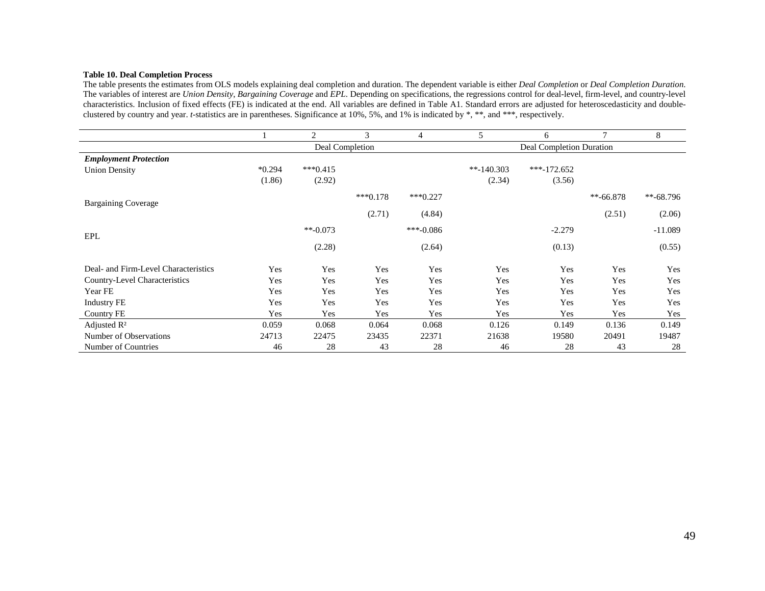#### **Table 10. Deal Completion Process**

 The table presents the estimates from OLS models explaining deal completion and duration. The dependent variable is either *Deal Completion* or *Deal Completion Duration*. The variables of interest are *Union Density*, *Bargaining Coverage* and *EPL*. Depending on specifications, the regressions control for deal-level, firm-level, and country-level characteristics. Inclusion of fixed effects (FE) is indicated at the end. All variables are defined in Table A1. Standard errors are adjusted for heteroscedasticity and doubleclustered by country and year. *t*-statistics are in parentheses. Significance at 10%, 5%, and 1% is indicated by \*, \*\*, and \*\*\*, respectively.

|                                      |          | 2               | 3          | 4           | 5            | 6                        | 7           | 8           |  |  |
|--------------------------------------|----------|-----------------|------------|-------------|--------------|--------------------------|-------------|-------------|--|--|
|                                      |          | Deal Completion |            |             |              | Deal Completion Duration |             |             |  |  |
| <b>Employment Protection</b>         |          |                 |            |             |              |                          |             |             |  |  |
| <b>Union Density</b>                 | $*0.294$ | $***0.415$      |            |             | $*$ -140.303 | $***-172.652$            |             |             |  |  |
|                                      | (1.86)   | (2.92)          |            |             | (2.34)       | (3.56)                   |             |             |  |  |
| <b>Bargaining Coverage</b>           |          |                 | $***0.178$ | $***0.227$  |              |                          | $**-66.878$ | $**-68.796$ |  |  |
|                                      |          |                 | (2.71)     | (4.84)      |              |                          | (2.51)      | (2.06)      |  |  |
| EPL                                  |          | $**-0.073$      |            | $***-0.086$ |              | $-2.279$                 |             | $-11.089$   |  |  |
|                                      |          | (2.28)          |            | (2.64)      |              | (0.13)                   |             | (0.55)      |  |  |
| Deal- and Firm-Level Characteristics | Yes      | Yes             | Yes        | Yes         | Yes          | Yes                      | Yes         | Yes         |  |  |
| Country-Level Characteristics        | Yes      | Yes             | Yes        | Yes         | Yes          | Yes                      | Yes         | Yes         |  |  |
| Year FE                              | Yes      | Yes             | Yes        | Yes         | Yes          | Yes                      | Yes         | Yes         |  |  |
| <b>Industry FE</b>                   | Yes      | Yes             | Yes        | Yes         | Yes          | Yes                      | Yes         | Yes         |  |  |
| Country FE                           | Yes      | Yes             | Yes        | Yes         | Yes          | Yes                      | Yes         | Yes         |  |  |
| Adjusted $R^2$                       | 0.059    | 0.068           | 0.064      | 0.068       | 0.126        | 0.149                    | 0.136       | 0.149       |  |  |
| Number of Observations               | 24713    | 22475           | 23435      | 22371       | 21638        | 19580                    | 20491       | 19487       |  |  |
| Number of Countries                  | 46       | 28              | 43         | 28          | 46           | 28                       | 43          | 28          |  |  |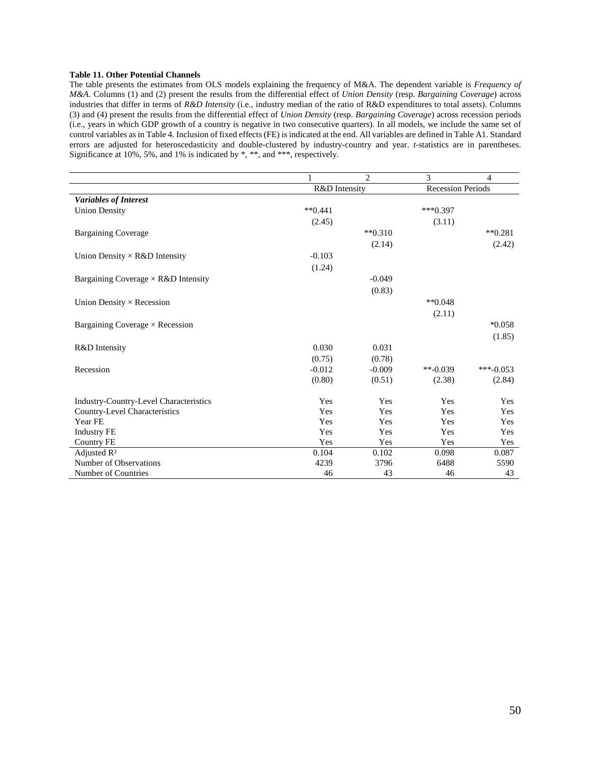#### **Table 11. Other Potential Channels**

The table presents the estimates from OLS models explaining the frequency of M&A. The dependent variable is *Frequency of M&A*. Columns (1) and (2) present the results from the differential effect of *Union Density* (resp. *Bargaining Coverage*) across industries that differ in terms of *R&D Intensity* (i.e., industry median of the ratio of R&D expenditures to total assets). Columns (3) and (4) present the results from the differential effect of *Union Density* (resp. *Bargaining Coverage*) across recession periods (i.e., years in which GDP growth of a country is negative in two consecutive quarters). In all models, we include the same set of control variables as in Table 4. Inclusion of fixed effects (FE) is indicated at the end. All variables are defined in Table A1. Standard errors are adjusted for heteroscedasticity and double-clustered by industry-country and year. *t*-statistics are in parentheses. Significance at 10%, 5%, and 1% is indicated by \*, \*\*, and \*\*\*, respectively.

|                                            |               | 2             | 3                        | 4           |
|--------------------------------------------|---------------|---------------|--------------------------|-------------|
|                                            | R&D Intensity |               | <b>Recession Periods</b> |             |
| <b>Variables of Interest</b>               |               |               |                          |             |
| <b>Union Density</b>                       | $**0.441$     |               | $***0.397$               |             |
|                                            | (2.45)        |               | (3.11)                   |             |
| <b>Bargaining Coverage</b>                 |               | $*$ $*$ 0.310 |                          | $*$ $0.281$ |
|                                            |               | (2.14)        |                          | (2.42)      |
| Union Density $\times$ R&D Intensity       | $-0.103$      |               |                          |             |
|                                            | (1.24)        |               |                          |             |
| Bargaining Coverage $\times$ R&D Intensity |               | $-0.049$      |                          |             |
|                                            |               | (0.83)        |                          |             |
| Union Density $\times$ Recession           |               |               | $**0.048$                |             |
|                                            |               |               | (2.11)                   |             |
| Bargaining Coverage $\times$ Recession     |               |               |                          | $*0.058$    |
|                                            |               |               |                          | (1.85)      |
| R&D Intensity                              | 0.030         | 0.031         |                          |             |
|                                            | (0.75)        | (0.78)        |                          |             |
| Recession                                  | $-0.012$      | $-0.009$      | $**(-0.039)$             | ***-0.053   |
|                                            | (0.80)        | (0.51)        | (2.38)                   | (2.84)      |
|                                            |               |               |                          |             |
| Industry-Country-Level Characteristics     | Yes           | Yes           | Yes                      | Yes         |
| Country-Level Characteristics              | Yes           | Yes           | Yes                      | Yes         |
| Year FE                                    | Yes           | Yes           | Yes                      | Yes         |
| <b>Industry FE</b>                         | Yes           | Yes           | Yes                      | Yes         |
| <b>Country FE</b>                          | Yes           | Yes           | Yes                      | Yes         |
| Adjusted R <sup>2</sup>                    | 0.104         | 0.102         | 0.098                    | 0.087       |
| Number of Observations                     | 4239          | 3796          | 6488                     | 5590        |
| Number of Countries                        | 46            | 43            | 46                       | 43          |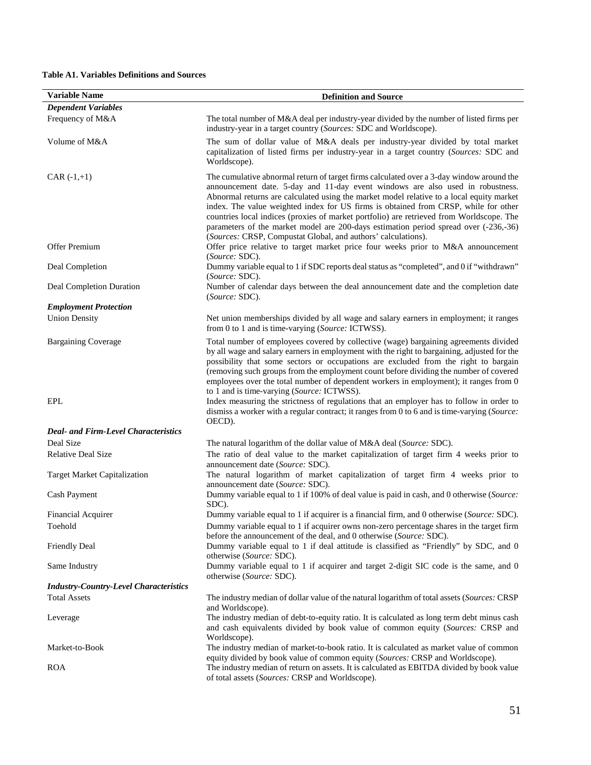## **Table A1. Variables Definitions and Sources**

| <b>Variable Name</b>                          | <b>Definition and Source</b>                                                                                                                                                                                                                                                                                                                                                                                                                                                                                                                                                                                       |
|-----------------------------------------------|--------------------------------------------------------------------------------------------------------------------------------------------------------------------------------------------------------------------------------------------------------------------------------------------------------------------------------------------------------------------------------------------------------------------------------------------------------------------------------------------------------------------------------------------------------------------------------------------------------------------|
| <b>Dependent Variables</b>                    |                                                                                                                                                                                                                                                                                                                                                                                                                                                                                                                                                                                                                    |
| Frequency of M&A                              | The total number of M&A deal per industry-year divided by the number of listed firms per<br>industry-year in a target country (Sources: SDC and Worldscope).                                                                                                                                                                                                                                                                                                                                                                                                                                                       |
| Volume of M&A                                 | The sum of dollar value of M&A deals per industry-year divided by total market<br>capitalization of listed firms per industry-year in a target country (Sources: SDC and<br>Worldscope).                                                                                                                                                                                                                                                                                                                                                                                                                           |
| $CAR (-1,+1)$                                 | The cumulative abnormal return of target firms calculated over a 3-day window around the<br>announcement date. 5-day and 11-day event windows are also used in robustness.<br>Abnormal returns are calculated using the market model relative to a local equity market<br>index. The value weighted index for US firms is obtained from CRSP, while for other<br>countries local indices (proxies of market portfolio) are retrieved from Worldscope. The<br>parameters of the market model are 200-days estimation period spread over (-236,-36)<br>(Sources: CRSP, Compustat Global, and authors' calculations). |
| Offer Premium                                 | Offer price relative to target market price four weeks prior to M&A announcement<br>(Source: SDC).                                                                                                                                                                                                                                                                                                                                                                                                                                                                                                                 |
| Deal Completion                               | Dummy variable equal to 1 if SDC reports deal status as "completed", and 0 if "withdrawn"<br>(Source: SDC).                                                                                                                                                                                                                                                                                                                                                                                                                                                                                                        |
| Deal Completion Duration                      | Number of calendar days between the deal announcement date and the completion date<br>(Source: SDC).                                                                                                                                                                                                                                                                                                                                                                                                                                                                                                               |
| <b>Employment Protection</b>                  |                                                                                                                                                                                                                                                                                                                                                                                                                                                                                                                                                                                                                    |
| <b>Union Density</b>                          | Net union memberships divided by all wage and salary earners in employment; it ranges<br>from 0 to 1 and is time-varying (Source: ICTWSS).                                                                                                                                                                                                                                                                                                                                                                                                                                                                         |
| <b>Bargaining Coverage</b>                    | Total number of employees covered by collective (wage) bargaining agreements divided<br>by all wage and salary earners in employment with the right to bargaining, adjusted for the<br>possibility that some sectors or occupations are excluded from the right to bargain<br>(removing such groups from the employment count before dividing the number of covered<br>employees over the total number of dependent workers in employment); it ranges from 0<br>to 1 and is time-varying (Source: ICTWSS).                                                                                                         |
| <b>EPL</b>                                    | Index measuring the strictness of regulations that an employer has to follow in order to<br>dismiss a worker with a regular contract; it ranges from 0 to 6 and is time-varying (Source:<br>OECD).                                                                                                                                                                                                                                                                                                                                                                                                                 |
| <b>Deal- and Firm-Level Characteristics</b>   |                                                                                                                                                                                                                                                                                                                                                                                                                                                                                                                                                                                                                    |
| Deal Size                                     | The natural logarithm of the dollar value of M&A deal (Source: SDC).                                                                                                                                                                                                                                                                                                                                                                                                                                                                                                                                               |
| <b>Relative Deal Size</b>                     | The ratio of deal value to the market capitalization of target firm 4 weeks prior to<br>announcement date (Source: SDC).                                                                                                                                                                                                                                                                                                                                                                                                                                                                                           |
| <b>Target Market Capitalization</b>           | The natural logarithm of market capitalization of target firm 4 weeks prior to<br>announcement date (Source: SDC).                                                                                                                                                                                                                                                                                                                                                                                                                                                                                                 |
| <b>Cash Payment</b>                           | Dummy variable equal to 1 if 100% of deal value is paid in cash, and 0 otherwise (Source:<br>SDC).                                                                                                                                                                                                                                                                                                                                                                                                                                                                                                                 |
| <b>Financial Acquirer</b>                     | Dummy variable equal to 1 if acquirer is a financial firm, and 0 otherwise (Source: SDC).                                                                                                                                                                                                                                                                                                                                                                                                                                                                                                                          |
| Toehold                                       | Dummy variable equal to 1 if acquirer owns non-zero percentage shares in the target firm<br>before the announcement of the deal, and 0 otherwise (Source: SDC).                                                                                                                                                                                                                                                                                                                                                                                                                                                    |
| <b>Friendly Deal</b>                          | Dummy variable equal to 1 if deal attitude is classified as "Friendly" by SDC, and 0<br>otherwise (Source: SDC).                                                                                                                                                                                                                                                                                                                                                                                                                                                                                                   |
| Same Industry                                 | Dummy variable equal to 1 if acquirer and target 2-digit SIC code is the same, and 0<br>otherwise (Source: SDC).                                                                                                                                                                                                                                                                                                                                                                                                                                                                                                   |
| <b>Industry-Country-Level Characteristics</b> |                                                                                                                                                                                                                                                                                                                                                                                                                                                                                                                                                                                                                    |
| <b>Total Assets</b>                           | The industry median of dollar value of the natural logarithm of total assets (Sources: CRSP<br>and Worldscope).                                                                                                                                                                                                                                                                                                                                                                                                                                                                                                    |
| Leverage                                      | The industry median of debt-to-equity ratio. It is calculated as long term debt minus cash<br>and cash equivalents divided by book value of common equity (Sources: CRSP and<br>Worldscope).                                                                                                                                                                                                                                                                                                                                                                                                                       |
| Market-to-Book                                | The industry median of market-to-book ratio. It is calculated as market value of common<br>equity divided by book value of common equity (Sources: CRSP and Worldscope).                                                                                                                                                                                                                                                                                                                                                                                                                                           |
| <b>ROA</b>                                    | The industry median of return on assets. It is calculated as EBITDA divided by book value<br>of total assets (Sources: CRSP and Worldscope).                                                                                                                                                                                                                                                                                                                                                                                                                                                                       |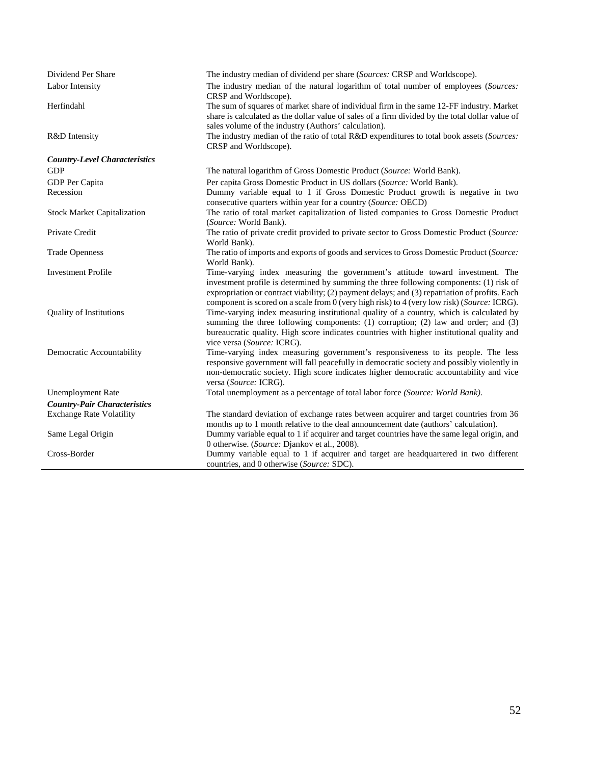| Dividend Per Share                   | The industry median of dividend per share (Sources: CRSP and Worldscope).                                                                                                                                                                                                                                                                                                 |
|--------------------------------------|---------------------------------------------------------------------------------------------------------------------------------------------------------------------------------------------------------------------------------------------------------------------------------------------------------------------------------------------------------------------------|
| Labor Intensity                      | The industry median of the natural logarithm of total number of employees (Sources:<br>CRSP and Worldscope).                                                                                                                                                                                                                                                              |
| Herfindahl                           | The sum of squares of market share of individual firm in the same 12-FF industry. Market<br>share is calculated as the dollar value of sales of a firm divided by the total dollar value of<br>sales volume of the industry (Authors' calculation).                                                                                                                       |
| R&D Intensity                        | The industry median of the ratio of total R&D expenditures to total book assets (Sources:<br>CRSP and Worldscope).                                                                                                                                                                                                                                                        |
| <b>Country-Level Characteristics</b> |                                                                                                                                                                                                                                                                                                                                                                           |
| <b>GDP</b>                           | The natural logarithm of Gross Domestic Product (Source: World Bank).                                                                                                                                                                                                                                                                                                     |
| GDP Per Capita                       | Per capita Gross Domestic Product in US dollars (Source: World Bank).                                                                                                                                                                                                                                                                                                     |
| Recession                            | Dummy variable equal to 1 if Gross Domestic Product growth is negative in two<br>consecutive quarters within year for a country (Source: OECD)                                                                                                                                                                                                                            |
| <b>Stock Market Capitalization</b>   | The ratio of total market capitalization of listed companies to Gross Domestic Product<br>(Source: World Bank).                                                                                                                                                                                                                                                           |
| Private Credit                       | The ratio of private credit provided to private sector to Gross Domestic Product (Source:<br>World Bank).                                                                                                                                                                                                                                                                 |
| <b>Trade Openness</b>                | The ratio of imports and exports of goods and services to Gross Domestic Product (Source:<br>World Bank).                                                                                                                                                                                                                                                                 |
| <b>Investment Profile</b>            | Time-varying index measuring the government's attitude toward investment. The<br>investment profile is determined by summing the three following components: (1) risk of<br>expropriation or contract viability; (2) payment delays; and (3) repatriation of profits. Each<br>component is scored on a scale from 0 (very high risk) to 4 (very low risk) (Source: ICRG). |
| <b>Quality of Institutions</b>       | Time-varying index measuring institutional quality of a country, which is calculated by<br>summing the three following components: (1) corruption; (2) law and order; and (3)<br>bureaucratic quality. High score indicates countries with higher institutional quality and<br>vice versa (Source: ICRG).                                                                 |
| Democratic Accountability            | Time-varying index measuring government's responsiveness to its people. The less<br>responsive government will fall peacefully in democratic society and possibly violently in<br>non-democratic society. High score indicates higher democratic accountability and vice<br>versa (Source: ICRG).                                                                         |
| <b>Unemployment Rate</b>             | Total unemployment as a percentage of total labor force (Source: World Bank).                                                                                                                                                                                                                                                                                             |
| <b>Country-Pair Characteristics</b>  |                                                                                                                                                                                                                                                                                                                                                                           |
| <b>Exchange Rate Volatility</b>      | The standard deviation of exchange rates between acquirer and target countries from 36<br>months up to 1 month relative to the deal announcement date (authors' calculation).                                                                                                                                                                                             |
| Same Legal Origin                    | Dummy variable equal to 1 if acquirer and target countries have the same legal origin, and<br>0 otherwise. (Source: Djankov et al., 2008).                                                                                                                                                                                                                                |
| Cross-Border                         | Dummy variable equal to 1 if acquirer and target are headquartered in two different<br>countries, and 0 otherwise (Source: SDC).                                                                                                                                                                                                                                          |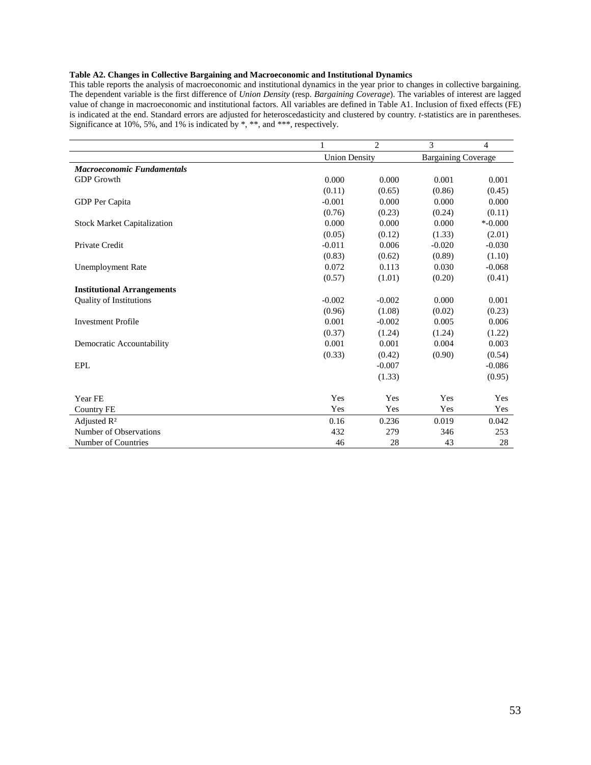## **Table A2. Changes in Collective Bargaining and Macroeconomic and Institutional Dynamics**

This table reports the analysis of macroeconomic and institutional dynamics in the year prior to changes in collective bargaining. The dependent variable is the first difference of *Union Density* (resp. *Bargaining Coverage*). The variables of interest are lagged value of change in macroeconomic and institutional factors. All variables are defined in Table A1. Inclusion of fixed effects (FE) is indicated at the end. Standard errors are adjusted for heteroscedasticity and clustered by country. *t*-statistics are in parentheses. Significance at 10%, 5%, and 1% is indicated by \*, \*\*, and \*\*\*, respectively.

|                                    | 1                    | $\overline{2}$ | 3                          | 4          |
|------------------------------------|----------------------|----------------|----------------------------|------------|
|                                    | <b>Union Density</b> |                | <b>Bargaining Coverage</b> |            |
| <b>Macroeconomic Fundamentals</b>  |                      |                |                            |            |
| <b>GDP</b> Growth                  | 0.000                | 0.000          | 0.001                      | 0.001      |
|                                    | (0.11)               | (0.65)         | (0.86)                     | (0.45)     |
| GDP Per Capita                     | $-0.001$             | 0.000          | 0.000                      | 0.000      |
|                                    | (0.76)               | (0.23)         | (0.24)                     | (0.11)     |
| <b>Stock Market Capitalization</b> | 0.000                | 0.000          | 0.000                      | $*$ -0.000 |
|                                    | (0.05)               | (0.12)         | (1.33)                     | (2.01)     |
| Private Credit                     | $-0.011$             | 0.006          | $-0.020$                   | $-0.030$   |
|                                    | (0.83)               | (0.62)         | (0.89)                     | (1.10)     |
| <b>Unemployment Rate</b>           | 0.072                | 0.113          | 0.030                      | $-0.068$   |
|                                    | (0.57)               | (1.01)         | (0.20)                     | (0.41)     |
| <b>Institutional Arrangements</b>  |                      |                |                            |            |
| <b>Quality of Institutions</b>     | $-0.002$             | $-0.002$       | 0.000                      | 0.001      |
|                                    | (0.96)               | (1.08)         | (0.02)                     | (0.23)     |
| <b>Investment Profile</b>          | 0.001                | $-0.002$       | 0.005                      | 0.006      |
|                                    | (0.37)               | (1.24)         | (1.24)                     | (1.22)     |
| Democratic Accountability          | 0.001                | 0.001          | 0.004                      | 0.003      |
|                                    | (0.33)               | (0.42)         | (0.90)                     | (0.54)     |
| <b>EPL</b>                         |                      | $-0.007$       |                            | $-0.086$   |
|                                    |                      | (1.33)         |                            | (0.95)     |
|                                    |                      |                |                            |            |
| Year FE                            | Yes                  | Yes            | Yes                        | Yes        |
| <b>Country FE</b>                  | Yes                  | Yes            | Yes                        | Yes        |
| Adjusted R <sup>2</sup>            | 0.16                 | 0.236          | 0.019                      | 0.042      |
| Number of Observations             | 432                  | 279            | 346                        | 253        |
| Number of Countries                | 46                   | 28             | 43                         | 28         |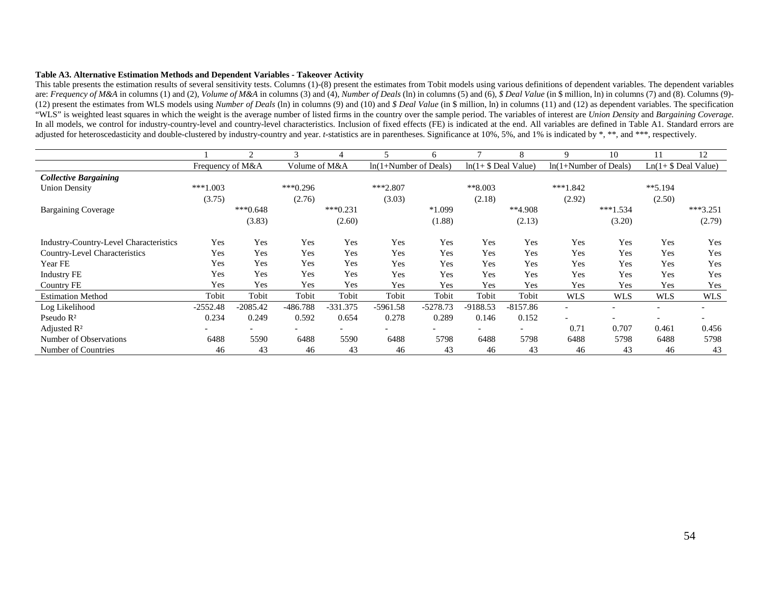#### **Table A3. Alternative Estimation Methods and Dependent Variables - Takeover Activity**

This table presents the estimation results of several sensitivity tests. Columns (1)-(8) present the estimates from Tobit models using various definitions of dependent variables. The dependent variables are: Frequency of M&A in columns (1) and (2), Volume of M&A in columns (3) and (4), Number of Deals (ln) in columns (5) and (6), \$ Deal Value (in \$ million, ln) in columns (7) and (8). Columns (9)- (12) present the estimates from WLS models using *Number of Deals* (ln) in columns (9) and (10) and *\$ Deal Value* (in \$ million, ln) in columns (11) and (12) as dependent variables. The specification "WLS" is weighted least squares in which the weight is the average number of listed firms in the country over the sample period. The variables of interest are *Union Density* and *Bargaining Coverage*. In all models, we control for industry-country-level and country-level characteristics. Inclusion of fixed effects (FE) is indicated at the end. All variables are defined in Table A1. Standard errors are adjusted for heteroscedasticity and double-clustered by industry-country and year. *t*-statistics are in parentheses. Significance at 10%, 5%, and 1% is indicated by \*, \*\*, and \*\*\*, respectively.

|                                        |                  | $\mathfrak{D}$           | $\mathcal{R}$            | 4                        |                         | 6                        |                          | 8                        | $\mathbf Q$              | 10                       | 11                       | 12                       |
|----------------------------------------|------------------|--------------------------|--------------------------|--------------------------|-------------------------|--------------------------|--------------------------|--------------------------|--------------------------|--------------------------|--------------------------|--------------------------|
|                                        | Frequency of M&A |                          | Volume of M&A            |                          | $ln(1+Number of Deals)$ |                          | $ln(1+ $$ Deal Value)    |                          | $ln(1+Number of Deals)$  |                          | $Ln(1+ $$ Deal Value)    |                          |
| <b>Collective Bargaining</b>           |                  |                          |                          |                          |                         |                          |                          |                          |                          |                          |                          |                          |
| <b>Union Density</b>                   | $***1.003$       |                          | $***0.296$               |                          | $***2.807$              |                          | $*8.003$                 |                          | $***1.842$               |                          | $**5.194$                |                          |
|                                        | (3.75)           |                          | (2.76)                   |                          | (3.03)                  |                          | (2.18)                   |                          | (2.92)                   |                          | (2.50)                   |                          |
| <b>Bargaining Coverage</b>             |                  | $***0.648$               |                          | $***0.231$               |                         | *1.099                   |                          | **4.908                  |                          | $***1.534$               |                          | $***3.251$               |
|                                        |                  | (3.83)                   |                          | (2.60)                   |                         | (1.88)                   |                          | (2.13)                   |                          | (3.20)                   |                          | (2.79)                   |
| Industry-Country-Level Characteristics | Yes              | Yes                      | Yes                      | Yes                      | Yes                     | Yes                      | Yes                      | Yes                      | Yes                      | Yes                      | Yes                      | Yes                      |
| Country-Level Characteristics          | Yes              | Yes                      | Yes                      | Yes                      | Yes                     | Yes                      | Yes                      | Yes                      | Yes                      | Yes                      | Yes                      | Yes                      |
| Year FE                                | Yes              | Yes                      | Yes                      | Yes                      | Yes                     | Yes                      | Yes                      | Yes                      | Yes                      | Yes                      | Yes                      | Yes                      |
| <b>Industry FE</b>                     | Yes              | Yes                      | Yes                      | Yes                      | Yes                     | Yes                      | Yes                      | Yes                      | Yes                      | Yes                      | Yes                      | Yes                      |
| Country FE                             | Yes              | Yes                      | Yes                      | Yes                      | Yes                     | Yes                      | Yes                      | Yes                      | Yes                      | Yes                      | Yes                      | Yes                      |
| <b>Estimation Method</b>               | Tobit            | Tobit                    | Tobit                    | Tobit                    | Tobit                   | Tobit                    | Tobit                    | Tobit                    | <b>WLS</b>               | <b>WLS</b>               | <b>WLS</b>               | <b>WLS</b>               |
| Log Likelihood                         | $-2552.48$       | $-2085.42$               | $-486.788$               | $-331.375$               | $-5961.58$              | $-5278.73$               | $-9188.53$               | $-8157.86$               | $\overline{\phantom{a}}$ | $\overline{\phantom{0}}$ | $\overline{\phantom{a}}$ | $\overline{\phantom{a}}$ |
| Pseudo $R^2$                           | 0.234            | 0.249                    | 0.592                    | 0.654                    | 0.278                   | 0.289                    | 0.146                    | 0.152                    |                          | $\overline{\phantom{0}}$ | $\overline{\phantom{0}}$ |                          |
| Adjusted $\mathbb{R}^2$                |                  | $\overline{\phantom{0}}$ | $\overline{\phantom{0}}$ | $\overline{\phantom{0}}$ | -                       | $\overline{\phantom{a}}$ | $\overline{\phantom{0}}$ | $\overline{\phantom{0}}$ | 0.71                     | 0.707                    | 0.461                    | 0.456                    |
| Number of Observations                 | 6488             | 5590                     | 6488                     | 5590                     | 6488                    | 5798                     | 6488                     | 5798                     | 6488                     | 5798                     | 6488                     | 5798                     |
| Number of Countries                    | 46               | 43                       | 46                       | 43                       | 46                      | 43                       | 46                       | 43                       | 46                       | 43                       | 46                       | 43                       |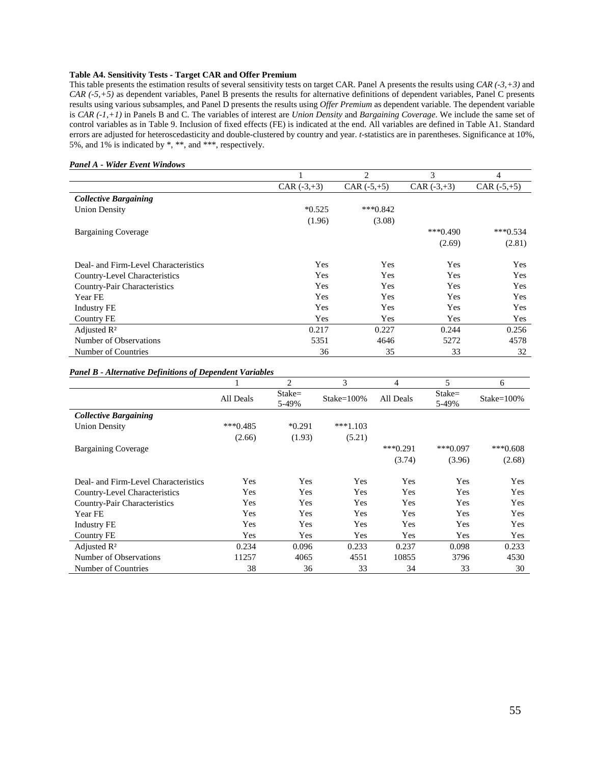## **Table A4. Sensitivity Tests - Target CAR and Offer Premium**

This table presents the estimation results of several sensitivity tests on target CAR. Panel A presents the results using *CAR (-3,+3)* and *CAR (-5,+5)* as dependent variables, Panel B presents the results for alternative definitions of dependent variables, Panel C presents results using various subsamples, and Panel D presents the results using *Offer Premium* as dependent variable. The dependent variable is *CAR (-1,+1)* in Panels B and C. The variables of interest are *Union Density* and *Bargaining Coverage*. We include the same set of control variables as in Table 9. Inclusion of fixed effects (FE) is indicated at the end. All variables are defined in Table A1. Standard errors are adjusted for heteroscedasticity and double-clustered by country and year. *t*-statistics are in parentheses. Significance at 10%, 5%, and 1% is indicated by \*, \*\*, and \*\*\*, respectively.

|                                      |               | $\overline{c}$ | 3             | 4             |
|--------------------------------------|---------------|----------------|---------------|---------------|
|                                      | CAR $(-3,+3)$ | $CAR (+5,+5)$  | CAR $(-3,+3)$ | $CAR (-5,+5)$ |
| <b>Collective Bargaining</b>         |               |                |               |               |
| <b>Union Density</b>                 | $*0.525$      | $***0.842$     |               |               |
|                                      | (1.96)        | (3.08)         |               |               |
| <b>Bargaining Coverage</b>           |               |                | $***0.490$    | $***0.534$    |
|                                      |               |                | (2.69)        | (2.81)        |
| Deal- and Firm-Level Characteristics | Yes           | Yes            | Yes           | Yes           |
| Country-Level Characteristics        | Yes           | Yes            | Yes           | Yes           |
| Country-Pair Characteristics         | Yes           | Yes            | Yes           | Yes           |
| Year FE                              | Yes           | Yes            | Yes           | Yes           |
| <b>Industry FE</b>                   | Yes           | Yes            | Yes           | Yes           |
| Country FE                           | Yes           | Yes            | Yes           | Yes           |
| Adjusted $R^2$                       | 0.217         | 0.227          | 0.244         | 0.256         |
| Number of Observations               | 5351          | 4646           | 5272          | 4578          |
| Number of Countries                  | 36            | 35             | 33            | 32            |

#### *Panel A - Wider Event Windows*

#### *Panel B - Alternative Definitions of Dependent Variables*

|                                      |            | 2                 | 3          | 4          | 5                 | 6             |
|--------------------------------------|------------|-------------------|------------|------------|-------------------|---------------|
|                                      | All Deals  | $State=$<br>5-49% | Stake=100% | All Deals  | $State=$<br>5-49% | $Stake=100\%$ |
| <b>Collective Bargaining</b>         |            |                   |            |            |                   |               |
| <b>Union Density</b>                 | $***0.485$ | $*0.291$          | $***1.103$ |            |                   |               |
|                                      | (2.66)     | (1.93)            | (5.21)     |            |                   |               |
| <b>Bargaining Coverage</b>           |            |                   |            | $***0.291$ | $***0.097$        | $***0.608$    |
|                                      |            |                   |            | (3.74)     | (3.96)            | (2.68)        |
| Deal- and Firm-Level Characteristics | Yes        | Yes               | Yes        | Yes        | Yes               | Yes           |
| Country-Level Characteristics        | Yes        | Yes               | Yes        | Yes        | Yes               | Yes           |
| Country-Pair Characteristics         | Yes        | Yes               | Yes        | Yes        | Yes               | Yes           |
| Year FE                              | Yes        | Yes               | Yes        | Yes        | Yes               | Yes           |
| <b>Industry FE</b>                   | Yes        | Yes               | Yes        | Yes        | Yes               | Yes           |
| Country FE                           | Yes        | Yes               | Yes        | Yes        | Yes               | <b>Yes</b>    |
| Adjusted $\mathbb{R}^2$              | 0.234      | 0.096             | 0.233      | 0.237      | 0.098             | 0.233         |
| Number of Observations               | 11257      | 4065              | 4551       | 10855      | 3796              | 4530          |
| Number of Countries                  | 38         | 36                | 33         | 34         | 33                | 30            |